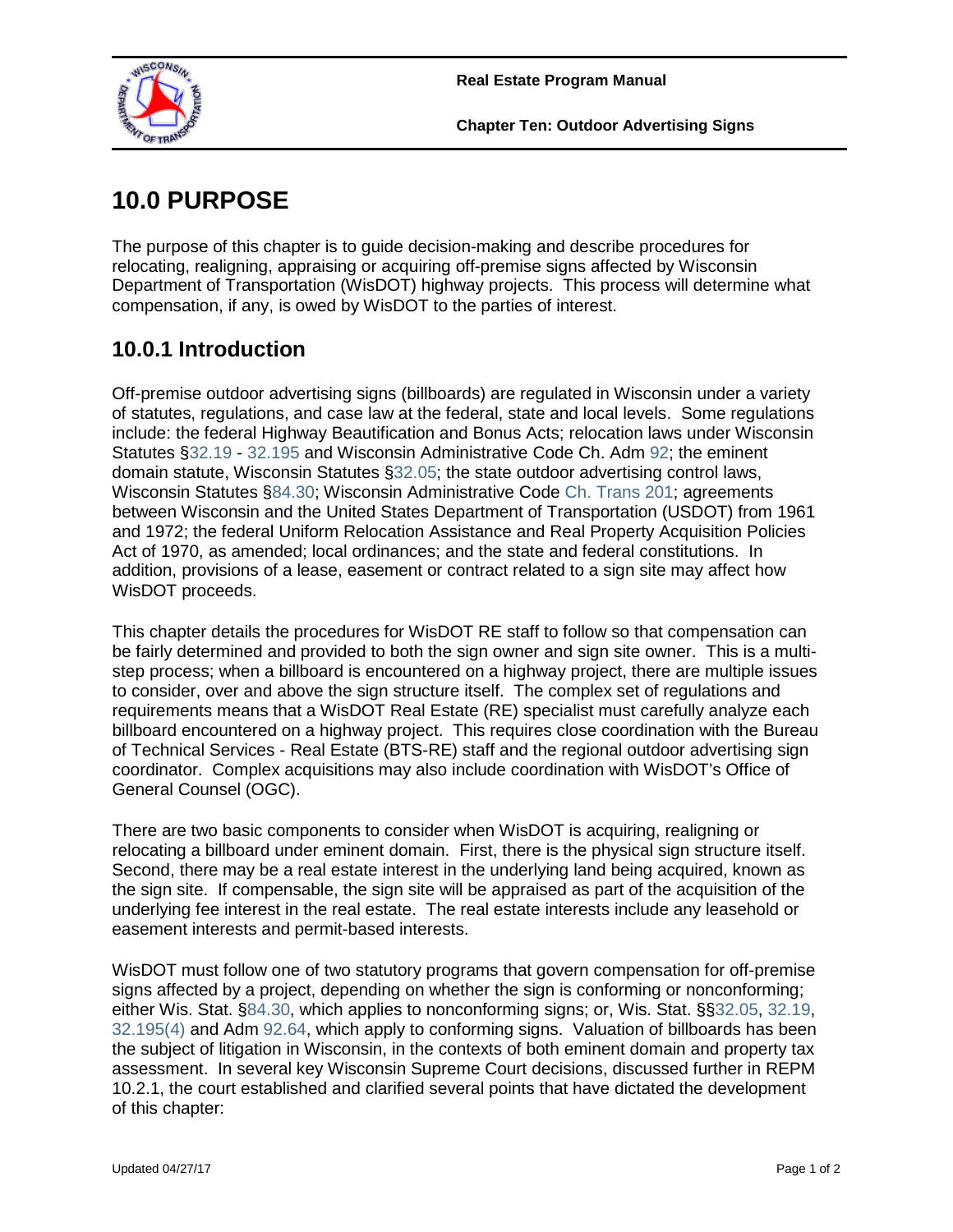

# **10.0 PURPOSE**

The purpose of this chapter is to guide decision-making and describe procedures for relocating, realigning, appraising or acquiring off-premise signs affected by Wisconsin Department of Transportation (WisDOT) highway projects. This process will determine what compensation, if any, is owed by WisDOT to the parties of interest.

# **10.0.1 Introduction**

Off-premise outdoor advertising signs (billboards) are regulated in Wisconsin under a variety of statutes, regulations, and case law at the federal, state and local levels. Some regulations include: the federal Highway Beautification and Bonus Acts; relocation laws under Wisconsin Statutes [§32.19](https://docs.legis.wisconsin.gov/document/statutes/32.19) - [32.195](https://docs.legis.wisconsin.gov/document/statutes/32.195) and Wisconsin Administrative Code Ch. Adm [92;](https://docs.legis.wisconsin.gov/code/admin_code/adm/92/Title) the eminent domain statute, Wisconsin Statutes [§32.05;](https://docs.legis.wisconsin.gov/document/statutes/32.05) the state outdoor advertising control laws, Wisconsin Statutes [§84.30;](https://docs.legis.wisconsin.gov/document/statutes/84.30) Wisconsin Administrative Code [Ch. Trans 201;](https://docs.legis.wisconsin.gov/code/admin_code/trans/201) agreements between Wisconsin and the United States Department of Transportation (USDOT) from 1961 and 1972; the federal Uniform Relocation Assistance and Real Property Acquisition Policies Act of 1970, as amended; local ordinances; and the state and federal constitutions. In addition, provisions of a lease, easement or contract related to a sign site may affect how WisDOT proceeds.

This chapter details the procedures for WisDOT RE staff to follow so that compensation can be fairly determined and provided to both the sign owner and sign site owner. This is a multistep process; when a billboard is encountered on a highway project, there are multiple issues to consider, over and above the sign structure itself. The complex set of regulations and requirements means that a WisDOT Real Estate (RE) specialist must carefully analyze each billboard encountered on a highway project. This requires close coordination with the Bureau of Technical Services - Real Estate (BTS-RE) staff and the regional outdoor advertising sign coordinator. Complex acquisitions may also include coordination with WisDOT's Office of General Counsel (OGC).

There are two basic components to consider when WisDOT is acquiring, realigning or relocating a billboard under eminent domain. First, there is the physical sign structure itself. Second, there may be a real estate interest in the underlying land being acquired, known as the sign site. If compensable, the sign site will be appraised as part of the acquisition of the underlying fee interest in the real estate. The real estate interests include any leasehold or easement interests and permit-based interests.

WisDOT must follow one of two statutory programs that govern compensation for off-premise signs affected by a project, depending on whether the sign is conforming or nonconforming; either Wis. Stat. [§84.30,](https://docs.legis.wisconsin.gov/document/statutes/84.30) which applies to nonconforming signs; or, Wis. Stat. §[§32.05,](https://docs.legis.wisconsin.gov/document/statutes/32.05) [32.19,](https://docs.legis.wisconsin.gov/document/statutes/32.19) [32.195\(4\)](https://docs.legis.wisconsin.gov/document/statutes/32.195(4)) and Adm [92.64,](https://docs.legis.wisconsin.gov/document/administrativecode/Adm%2092.64) which apply to conforming signs. Valuation of billboards has been the subject of litigation in Wisconsin, in the contexts of both eminent domain and property tax assessment. In several key Wisconsin Supreme Court decisions, discussed further in REPM 10.2.1, the court established and clarified several points that have dictated the development of this chapter: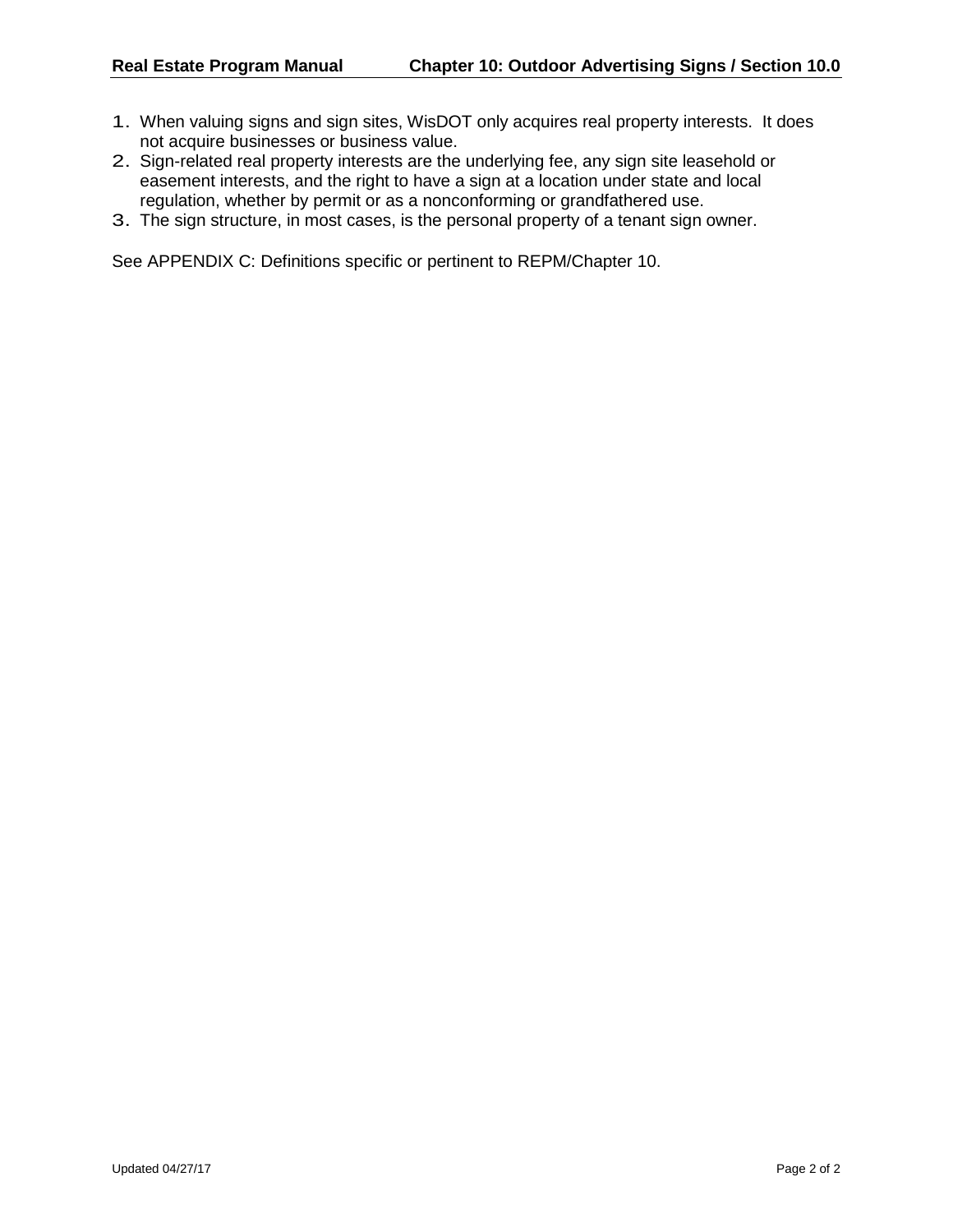- 1. When valuing signs and sign sites, WisDOT only acquires real property interests. It does not acquire businesses or business value.
- 2. Sign-related real property interests are the underlying fee, any sign site leasehold or easement interests, and the right to have a sign at a location under state and local regulation, whether by permit or as a nonconforming or grandfathered use.
- 3. The sign structure, in most cases, is the personal property of a tenant sign owner.

See APPENDIX C: Definitions specific or pertinent to REPM/Chapter 10.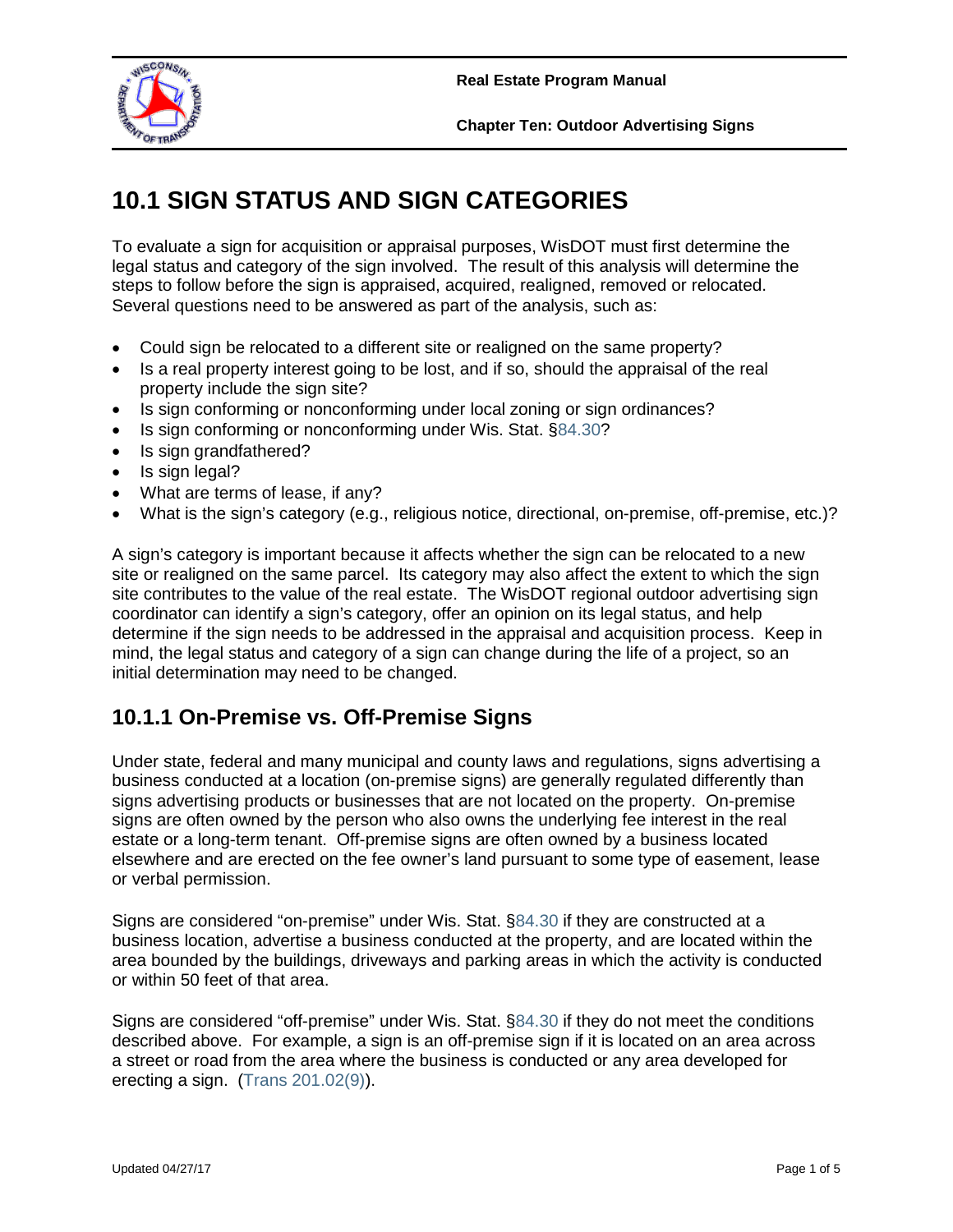

**Chapter Ten: Outdoor Advertising Signs**

# **10.1 SIGN STATUS AND SIGN CATEGORIES**

To evaluate a sign for acquisition or appraisal purposes, WisDOT must first determine the legal status and category of the sign involved. The result of this analysis will determine the steps to follow before the sign is appraised, acquired, realigned, removed or relocated. Several questions need to be answered as part of the analysis, such as:

- Could sign be relocated to a different site or realigned on the same property?
- Is a real property interest going to be lost, and if so, should the appraisal of the real property include the sign site?
- Is sign conforming or nonconforming under local zoning or sign ordinances?
- Is sign conforming or nonconforming under Wis. Stat. [§84.30?](https://docs.legis.wisconsin.gov/document/statutes/84.30)
- Is sign grandfathered?
- Is sign legal?
- What are terms of lease, if any?
- What is the sign's category (e.g., religious notice, directional, on-premise, off-premise, etc.)?

A sign's category is important because it affects whether the sign can be relocated to a new site or realigned on the same parcel. Its category may also affect the extent to which the sign site contributes to the value of the real estate. The WisDOT regional outdoor advertising sign coordinator can identify a sign's category, offer an opinion on its legal status, and help determine if the sign needs to be addressed in the appraisal and acquisition process. Keep in mind, the legal status and category of a sign can change during the life of a project, so an initial determination may need to be changed.

## **10.1.1 On-Premise vs. Off-Premise Signs**

Under state, federal and many municipal and county laws and regulations, signs advertising a business conducted at a location (on-premise signs) are generally regulated differently than signs advertising products or businesses that are not located on the property. On-premise signs are often owned by the person who also owns the underlying fee interest in the real estate or a long-term tenant. Off-premise signs are often owned by a business located elsewhere and are erected on the fee owner's land pursuant to some type of easement, lease or verbal permission.

Signs are considered "on-premise" under Wis. Stat. [§84.30](https://docs.legis.wisconsin.gov/document/statutes/84.30) if they are constructed at a business location, advertise a business conducted at the property, and are located within the area bounded by the buildings, driveways and parking areas in which the activity is conducted or within 50 feet of that area.

Signs are considered "off-premise" under Wis. Stat. [§84.30](https://docs.legis.wisconsin.gov/document/statutes/84.30) if they do not meet the conditions described above. For example, a sign is an off-premise sign if it is located on an area across a street or road from the area where the business is conducted or any area developed for erecting a sign. [\(Trans 201.02\(9\)\)](https://docs.legis.wisconsin.gov/document/administrativecode/Trans%20201.02(9)).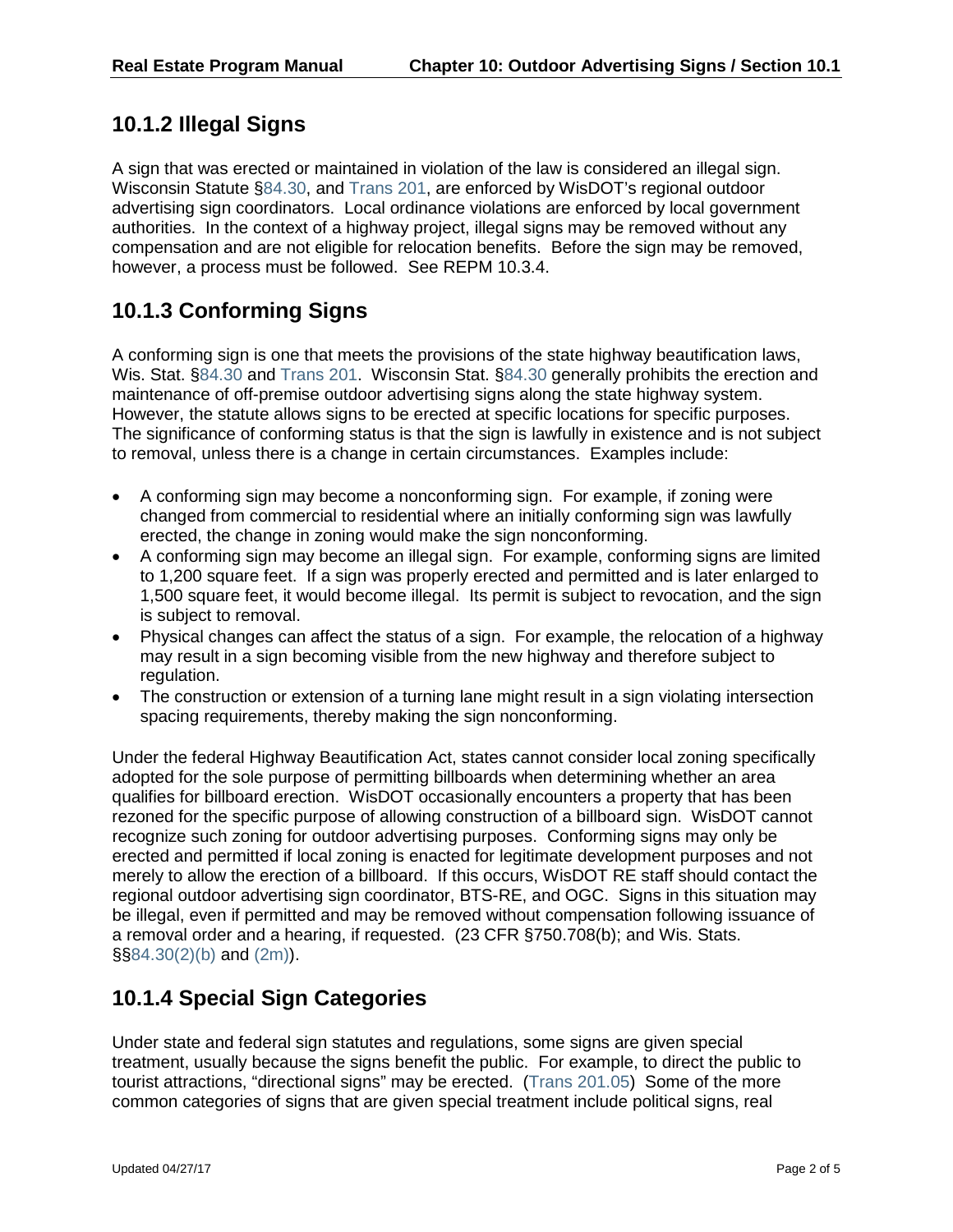### **10.1.2 Illegal Signs**

A sign that was erected or maintained in violation of the law is considered an illegal sign. Wisconsin Statute [§84.30,](https://docs.legis.wisconsin.gov/document/statutes/84.30) and [Trans 201,](https://docs.legis.wisconsin.gov/code/admin_code/trans/201) are enforced by WisDOT's regional outdoor advertising sign coordinators. Local ordinance violations are enforced by local government authorities. In the context of a highway project, illegal signs may be removed without any compensation and are not eligible for relocation benefits. Before the sign may be removed, however, a process must be followed. See REPM 10.3.4.

## **10.1.3 Conforming Signs**

A conforming sign is one that meets the provisions of the state highway beautification laws, Wis. Stat. [§84.30](https://docs.legis.wisconsin.gov/document/statutes/84.30) and [Trans 201.](https://docs.legis.wisconsin.gov/code/admin_code/trans/201) Wisconsin Stat. §84.30 generally prohibits the erection and maintenance of off-premise outdoor advertising signs along the state highway system. However, the statute allows signs to be erected at specific locations for specific purposes. The significance of conforming status is that the sign is lawfully in existence and is not subject to removal, unless there is a change in certain circumstances. Examples include:

- A conforming sign may become a nonconforming sign. For example, if zoning were changed from commercial to residential where an initially conforming sign was lawfully erected, the change in zoning would make the sign nonconforming.
- A conforming sign may become an illegal sign. For example, conforming signs are limited to 1,200 square feet. If a sign was properly erected and permitted and is later enlarged to 1,500 square feet, it would become illegal. Its permit is subject to revocation, and the sign is subject to removal.
- Physical changes can affect the status of a sign. For example, the relocation of a highway may result in a sign becoming visible from the new highway and therefore subject to regulation.
- The construction or extension of a turning lane might result in a sign violating intersection spacing requirements, thereby making the sign nonconforming.

Under the federal Highway Beautification Act, states cannot consider local zoning specifically adopted for the sole purpose of permitting billboards when determining whether an area qualifies for billboard erection. WisDOT occasionally encounters a property that has been rezoned for the specific purpose of allowing construction of a billboard sign. WisDOT cannot recognize such zoning for outdoor advertising purposes. Conforming signs may only be erected and permitted if local zoning is enacted for legitimate development purposes and not merely to allow the erection of a billboard. If this occurs, WisDOT RE staff should contact the regional outdoor advertising sign coordinator, BTS-RE, and OGC. Signs in this situation may be illegal, even if permitted and may be removed without compensation following issuance of a removal order and a hearing, if requested. (23 CFR §750.708(b); and Wis. Stats. §[§84.30\(2\)\(b\)](https://docs.legis.wisconsin.gov/document/statutes/84.30(2)(b)) and [\(2m\)\)](https://docs.legis.wisconsin.gov/document/statutes/84.30(2m)).

# **10.1.4 Special Sign Categories**

Under state and federal sign statutes and regulations, some signs are given special treatment, usually because the signs benefit the public. For example, to direct the public to tourist attractions, "directional signs" may be erected. [\(Trans 201.05\)](https://docs.legis.wisconsin.gov/document/administrativecode/Trans%20201.05) Some of the more common categories of signs that are given special treatment include political signs, real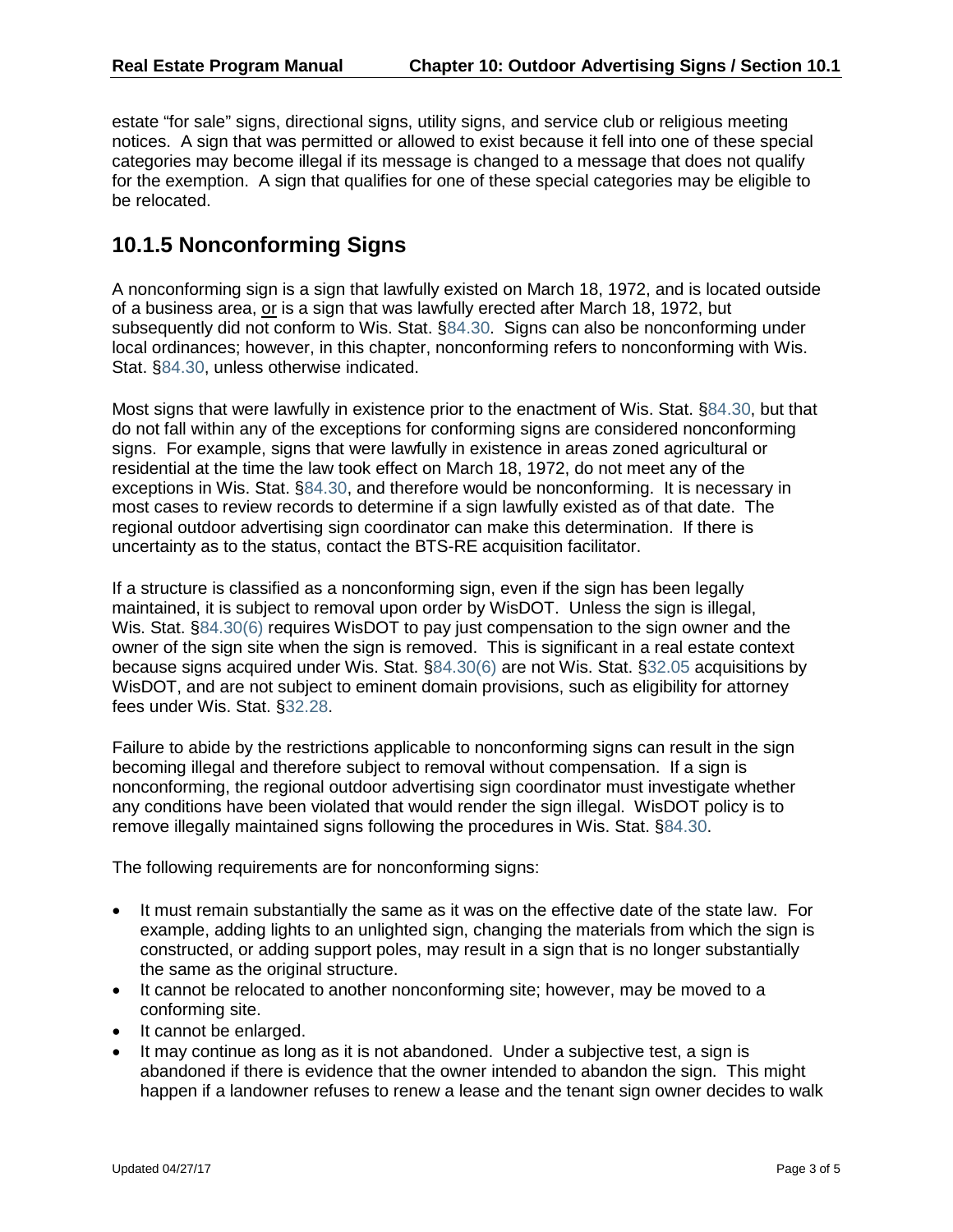estate "for sale" signs, directional signs, utility signs, and service club or religious meeting notices. A sign that was permitted or allowed to exist because it fell into one of these special categories may become illegal if its message is changed to a message that does not qualify for the exemption. A sign that qualifies for one of these special categories may be eligible to be relocated.

#### **10.1.5 Nonconforming Signs**

A nonconforming sign is a sign that lawfully existed on March 18, 1972, and is located outside of a business area, or is a sign that was lawfully erected after March 18, 1972, but subsequently did not conform to Wis. Stat. [§84.30.](https://docs.legis.wisconsin.gov/document/statutes/84.30) Signs can also be nonconforming under local ordinances; however, in this chapter, nonconforming refers to nonconforming with Wis. Stat. [§84.30,](https://docs.legis.wisconsin.gov/document/statutes/84.30) unless otherwise indicated.

Most signs that were lawfully in existence prior to the enactment of Wis. Stat. [§84.30,](https://docs.legis.wisconsin.gov/document/statutes/84.30) but that do not fall within any of the exceptions for conforming signs are considered nonconforming signs. For example, signs that were lawfully in existence in areas zoned agricultural or residential at the time the law took effect on March 18, 1972, do not meet any of the exceptions in Wis. Stat. [§84.30,](https://docs.legis.wisconsin.gov/document/statutes/84.30) and therefore would be nonconforming. It is necessary in most cases to review records to determine if a sign lawfully existed as of that date. The regional outdoor advertising sign coordinator can make this determination. If there is uncertainty as to the status, contact the BTS-RE acquisition facilitator.

If a structure is classified as a nonconforming sign, even if the sign has been legally maintained, it is subject to removal upon order by WisDOT. Unless the sign is illegal, Wis. Stat. [§84.30\(6\)](https://docs.legis.wisconsin.gov/document/statutes/84.30(6)) requires WisDOT to pay just compensation to the sign owner and the owner of the sign site when the sign is removed. This is significant in a real estate context because signs acquired under Wis. Stat. [§84.30\(6\)](https://docs.legis.wisconsin.gov/document/statutes/84.30(6)) are not Wis. Stat. [§32.05](https://docs.legis.wisconsin.gov/document/statutes/32.05) acquisitions by WisDOT, and are not subject to eminent domain provisions, such as eligibility for attorney fees under Wis. Stat. [§32.28.](https://docs.legis.wisconsin.gov/document/statutes/32.28)

Failure to abide by the restrictions applicable to nonconforming signs can result in the sign becoming illegal and therefore subject to removal without compensation. If a sign is nonconforming, the regional outdoor advertising sign coordinator must investigate whether any conditions have been violated that would render the sign illegal. WisDOT policy is to remove illegally maintained signs following the procedures in Wis. Stat. [§84.30.](https://docs.legis.wisconsin.gov/document/statutes/84.30)

The following requirements are for nonconforming signs:

- It must remain substantially the same as it was on the effective date of the state law. For example, adding lights to an unlighted sign, changing the materials from which the sign is constructed, or adding support poles, may result in a sign that is no longer substantially the same as the original structure.
- It cannot be relocated to another nonconforming site; however, may be moved to a conforming site.
- It cannot be enlarged.
- It may continue as long as it is not abandoned. Under a subjective test, a sign is abandoned if there is evidence that the owner intended to abandon the sign. This might happen if a landowner refuses to renew a lease and the tenant sign owner decides to walk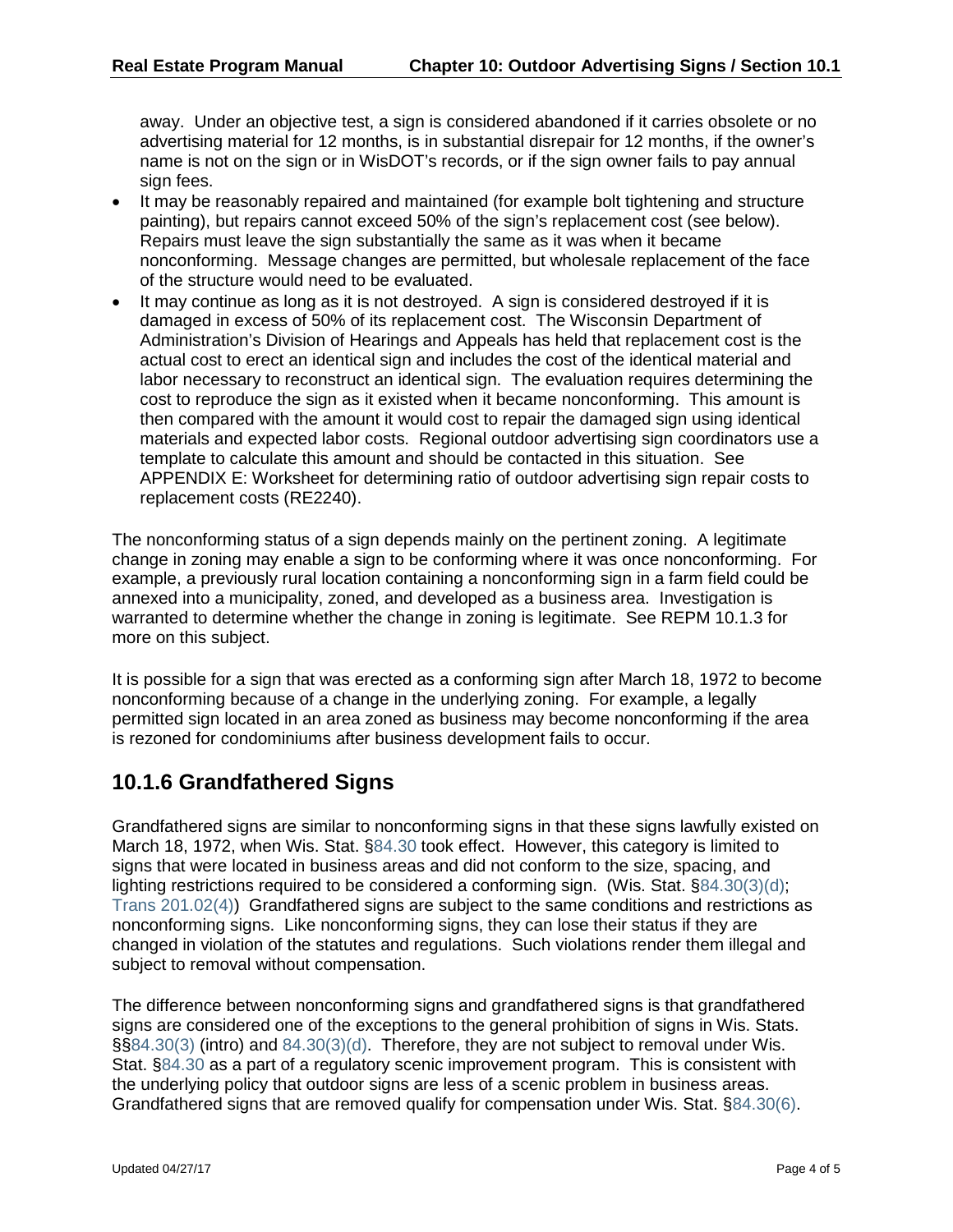away. Under an objective test, a sign is considered abandoned if it carries obsolete or no advertising material for 12 months, is in substantial disrepair for 12 months, if the owner's name is not on the sign or in WisDOT's records, or if the sign owner fails to pay annual sign fees.

- It may be reasonably repaired and maintained (for example bolt tightening and structure painting), but repairs cannot exceed 50% of the sign's replacement cost (see below). Repairs must leave the sign substantially the same as it was when it became nonconforming. Message changes are permitted, but wholesale replacement of the face of the structure would need to be evaluated.
- It may continue as long as it is not destroyed. A sign is considered destroyed if it is damaged in excess of 50% of its replacement cost. The Wisconsin Department of Administration's Division of Hearings and Appeals has held that replacement cost is the actual cost to erect an identical sign and includes the cost of the identical material and labor necessary to reconstruct an identical sign. The evaluation requires determining the cost to reproduce the sign as it existed when it became nonconforming. This amount is then compared with the amount it would cost to repair the damaged sign using identical materials and expected labor costs. Regional outdoor advertising sign coordinators use a template to calculate this amount and should be contacted in this situation. See APPENDIX E: Worksheet for determining ratio of outdoor advertising sign repair costs to replacement costs (RE2240).

The nonconforming status of a sign depends mainly on the pertinent zoning. A legitimate change in zoning may enable a sign to be conforming where it was once nonconforming. For example, a previously rural location containing a nonconforming sign in a farm field could be annexed into a municipality, zoned, and developed as a business area. Investigation is warranted to determine whether the change in zoning is legitimate. See REPM 10.1.3 for more on this subject.

It is possible for a sign that was erected as a conforming sign after March 18, 1972 to become nonconforming because of a change in the underlying zoning. For example, a legally permitted sign located in an area zoned as business may become nonconforming if the area is rezoned for condominiums after business development fails to occur.

### **10.1.6 Grandfathered Signs**

Grandfathered signs are similar to nonconforming signs in that these signs lawfully existed on March 18, 1972, when Wis. Stat. [§84.30](https://docs.legis.wisconsin.gov/document/statutes/84.30) took effect. However, this category is limited to signs that were located in business areas and did not conform to the size, spacing, and lighting restrictions required to be considered a conforming sign. (Wis. Stat. [§84.30\(3\)\(d\);](https://docs.legis.wisconsin.gov/document/statutes/84.30(3)(d)) [Trans 201.02\(4\)\)](https://docs.legis.wisconsin.gov/document/administrativecode/Trans%20201.02(4)) Grandfathered signs are subject to the same conditions and restrictions as nonconforming signs. Like nonconforming signs, they can lose their status if they are changed in violation of the statutes and regulations. Such violations render them illegal and subject to removal without compensation.

The difference between nonconforming signs and grandfathered signs is that grandfathered signs are considered one of the exceptions to the general prohibition of signs in Wis. Stats. §[§84.30\(3\)](https://docs.legis.wisconsin.gov/document/statutes/84.30(3)) (intro) and [84.30\(3\)\(d\).](https://docs.legis.wisconsin.gov/document/statutes/84.30(3)(d)) Therefore, they are not subject to removal under Wis. Stat. [§84.30](https://docs.legis.wisconsin.gov/document/statutes/84.30) as a part of a regulatory scenic improvement program. This is consistent with the underlying policy that outdoor signs are less of a scenic problem in business areas. Grandfathered signs that are removed qualify for compensation under Wis. Stat. [§84.30\(6\).](https://docs.legis.wisconsin.gov/document/statutes/84.30(6))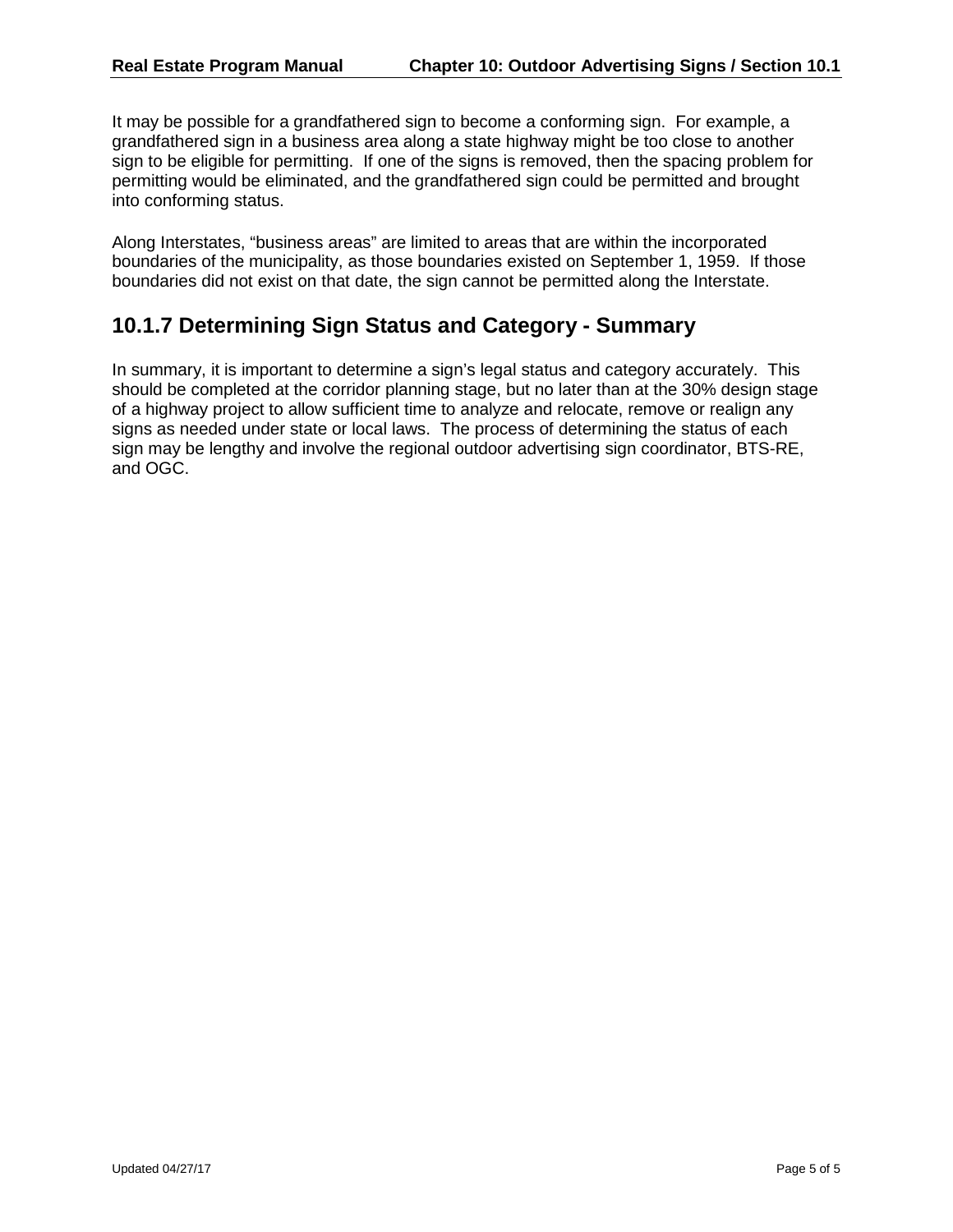It may be possible for a grandfathered sign to become a conforming sign. For example, a grandfathered sign in a business area along a state highway might be too close to another sign to be eligible for permitting. If one of the signs is removed, then the spacing problem for permitting would be eliminated, and the grandfathered sign could be permitted and brought into conforming status.

Along Interstates, "business areas" are limited to areas that are within the incorporated boundaries of the municipality, as those boundaries existed on September 1, 1959. If those boundaries did not exist on that date, the sign cannot be permitted along the Interstate.

### **10.1.7 Determining Sign Status and Category - Summary**

In summary, it is important to determine a sign's legal status and category accurately. This should be completed at the corridor planning stage, but no later than at the 30% design stage of a highway project to allow sufficient time to analyze and relocate, remove or realign any signs as needed under state or local laws. The process of determining the status of each sign may be lengthy and involve the regional outdoor advertising sign coordinator, BTS-RE, and OGC.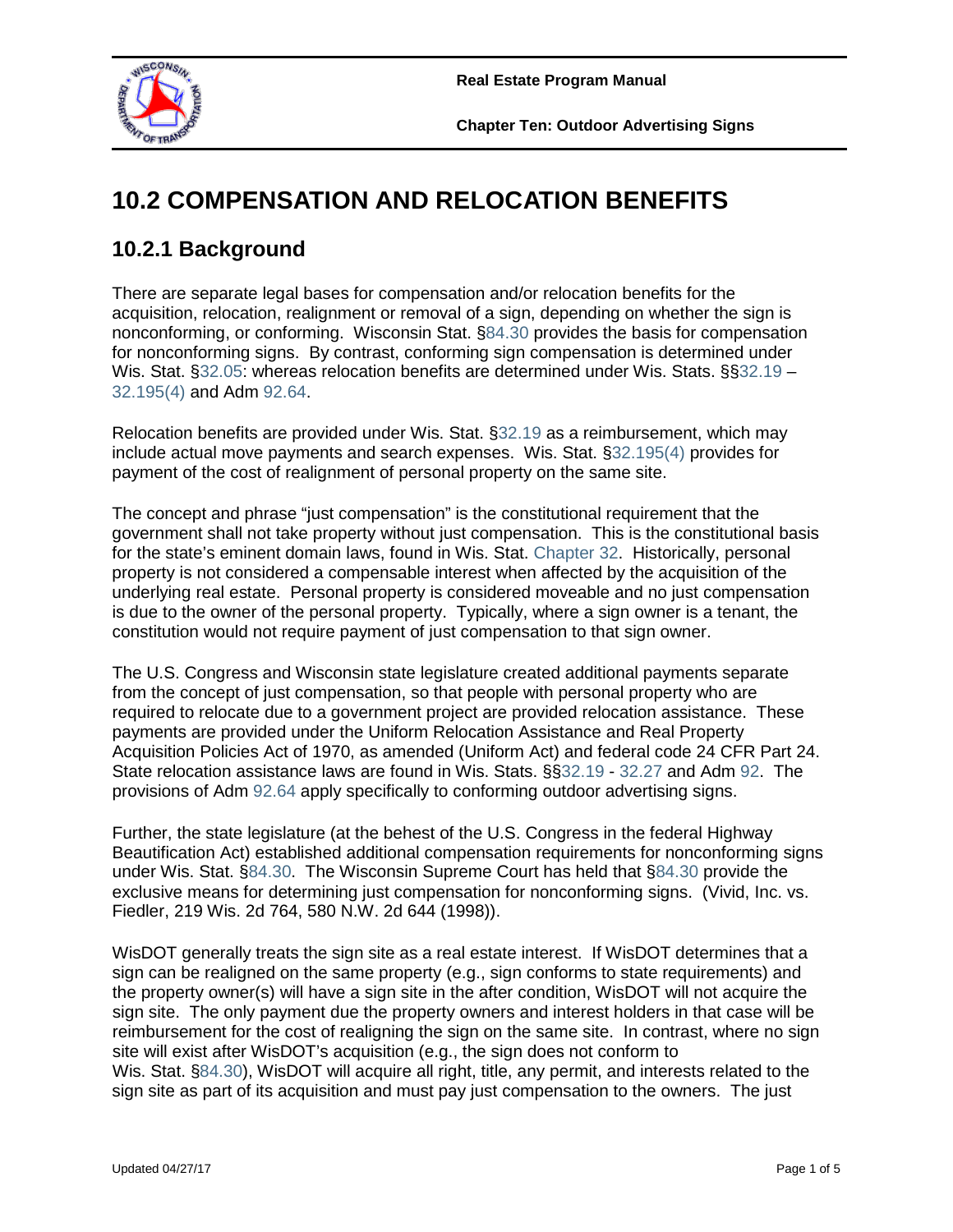

# **10.2 COMPENSATION AND RELOCATION BENEFITS**

# **10.2.1 Background**

There are separate legal bases for compensation and/or relocation benefits for the acquisition, relocation, realignment or removal of a sign, depending on whether the sign is nonconforming, or conforming. Wisconsin Stat. [§84.30](https://docs.legis.wisconsin.gov/document/statutes/84.30) provides the basis for compensation for nonconforming signs. By contrast, conforming sign compensation is determined under Wis. Stat. [§32.05:](https://docs.legis.wisconsin.gov/document/statutes/32.05) whereas relocation benefits are determined under Wis. Stats. §[§32.19](https://docs.legis.wisconsin.gov/document/statutes/32.19) – [32.195\(4\)](https://docs.legis.wisconsin.gov/document/statutes/32.195(4)) and Adm [92.64.](https://docs.legis.wisconsin.gov/document/administrativecode/Adm%2092.64)

Relocation benefits are provided under Wis. Stat. [§32.19](https://docs.legis.wisconsin.gov/document/statutes/32.19) as a reimbursement, which may include actual move payments and search expenses. Wis. Stat. [§32.195\(4\)](https://docs.legis.wisconsin.gov/document/statutes/32.195(4)) provides for payment of the cost of realignment of personal property on the same site.

The concept and phrase "just compensation" is the constitutional requirement that the government shall not take property without just compensation. This is the constitutional basis for the state's eminent domain laws, found in Wis. Stat. [Chapter 32.](https://docs.legis.wisconsin.gov/statutes/statutes/32/Title) Historically, personal property is not considered a compensable interest when affected by the acquisition of the underlying real estate. Personal property is considered moveable and no just compensation is due to the owner of the personal property. Typically, where a sign owner is a tenant, the constitution would not require payment of just compensation to that sign owner.

The U.S. Congress and Wisconsin state legislature created additional payments separate from the concept of just compensation, so that people with personal property who are required to relocate due to a government project are provided relocation assistance. These payments are provided under the Uniform Relocation Assistance and Real Property Acquisition Policies Act of 1970, as amended (Uniform Act) and federal code 24 CFR Part 24. State relocation assistance laws are found in Wis. Stats. §[§32.19](https://docs.legis.wisconsin.gov/document/statutes/32.19) - [32.27](https://docs.legis.wisconsin.gov/document/statutes/32.27) and Adm [92.](https://docs.legis.wisconsin.gov/code/admin_code/adm/92/Title) The provisions of Adm [92.64](https://docs.legis.wisconsin.gov/document/administrativecode/Adm%2092.64) apply specifically to conforming outdoor advertising signs.

Further, the state legislature (at the behest of the U.S. Congress in the federal Highway Beautification Act) established additional compensation requirements for nonconforming signs under Wis. Stat. [§84.30.](https://docs.legis.wisconsin.gov/document/statutes/84.30) The Wisconsin Supreme Court has held that [§84.30](https://docs.legis.wisconsin.gov/document/statutes/84.30) provide the exclusive means for determining just compensation for nonconforming signs. (Vivid, Inc. vs. Fiedler, 219 Wis. 2d 764, 580 N.W. 2d 644 (1998)).

WisDOT generally treats the sign site as a real estate interest. If WisDOT determines that a sign can be realigned on the same property (e.g., sign conforms to state requirements) and the property owner(s) will have a sign site in the after condition, WisDOT will not acquire the sign site. The only payment due the property owners and interest holders in that case will be reimbursement for the cost of realigning the sign on the same site. In contrast, where no sign site will exist after WisDOT's acquisition (e.g., the sign does not conform to Wis. Stat. [§84.30\)](https://docs.legis.wisconsin.gov/document/statutes/84.30), WisDOT will acquire all right, title, any permit, and interests related to the sign site as part of its acquisition and must pay just compensation to the owners. The just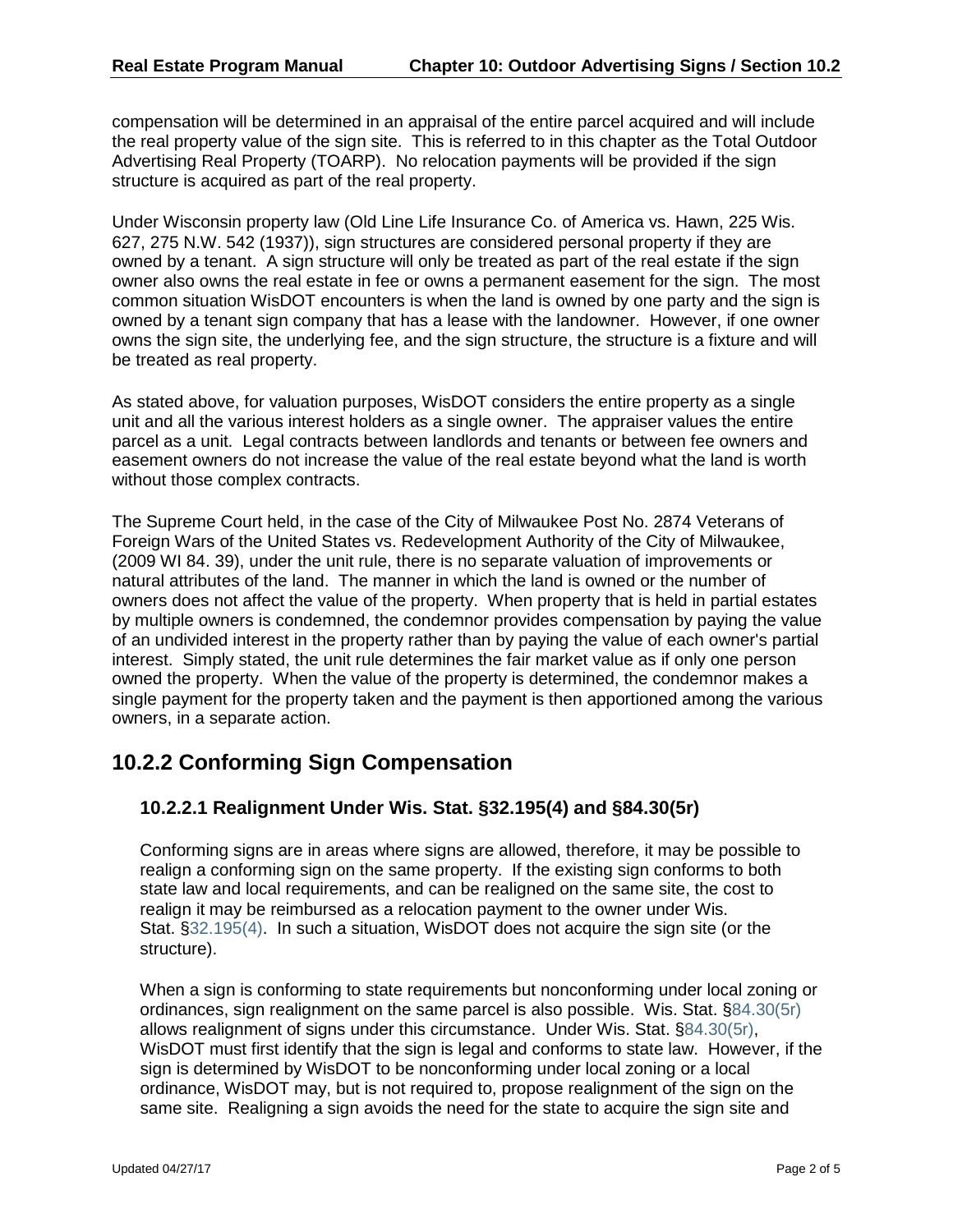compensation will be determined in an appraisal of the entire parcel acquired and will include the real property value of the sign site. This is referred to in this chapter as the Total Outdoor Advertising Real Property (TOARP). No relocation payments will be provided if the sign structure is acquired as part of the real property.

Under Wisconsin property law (Old Line Life Insurance Co. of America vs. Hawn, 225 Wis. 627, 275 N.W. 542 (1937)), sign structures are considered personal property if they are owned by a tenant. A sign structure will only be treated as part of the real estate if the sign owner also owns the real estate in fee or owns a permanent easement for the sign. The most common situation WisDOT encounters is when the land is owned by one party and the sign is owned by a tenant sign company that has a lease with the landowner. However, if one owner owns the sign site, the underlying fee, and the sign structure, the structure is a fixture and will be treated as real property.

As stated above, for valuation purposes, WisDOT considers the entire property as a single unit and all the various interest holders as a single owner. The appraiser values the entire parcel as a unit. Legal contracts between landlords and tenants or between fee owners and easement owners do not increase the value of the real estate beyond what the land is worth without those complex contracts.

The Supreme Court held, in the case of the City of Milwaukee Post No. 2874 Veterans of Foreign Wars of the United States vs. Redevelopment Authority of the City of Milwaukee, (2009 WI 84. 39), under the unit rule, there is no separate valuation of improvements or natural attributes of the land. The manner in which the land is owned or the number of owners does not affect the value of the property. When property that is held in partial estates by multiple owners is condemned, the condemnor provides compensation by paying the value of an undivided interest in the property rather than by paying the value of each owner's partial interest. Simply stated, the unit rule determines the fair market value as if only one person owned the property. When the value of the property is determined, the condemnor makes a single payment for the property taken and the payment is then apportioned among the various owners, in a separate action.

## **10.2.2 Conforming Sign Compensation**

#### **10.2.2.1 Realignment Under Wis. Stat. §32.195(4) and §84.30(5r)**

Conforming signs are in areas where signs are allowed, therefore, it may be possible to realign a conforming sign on the same property. If the existing sign conforms to both state law and local requirements, and can be realigned on the same site, the cost to realign it may be reimbursed as a relocation payment to the owner under Wis. Stat. [§32.195\(4\).](https://docs.legis.wisconsin.gov/document/statutes/32.195(4)) In such a situation, WisDOT does not acquire the sign site (or the structure).

When a sign is conforming to state requirements but nonconforming under local zoning or ordinances, sign realignment on the same parcel is also possible. Wis. Stat. [§84.30\(5r\)](https://docs.legis.wisconsin.gov/document/statutes/84.30(5r)) allows realignment of signs under this circumstance. Under Wis. Stat. [§84.30\(5r\),](https://docs.legis.wisconsin.gov/document/statutes/84.30(5r)) WisDOT must first identify that the sign is legal and conforms to state law. However, if the sign is determined by WisDOT to be nonconforming under local zoning or a local ordinance, WisDOT may, but is not required to, propose realignment of the sign on the same site. Realigning a sign avoids the need for the state to acquire the sign site and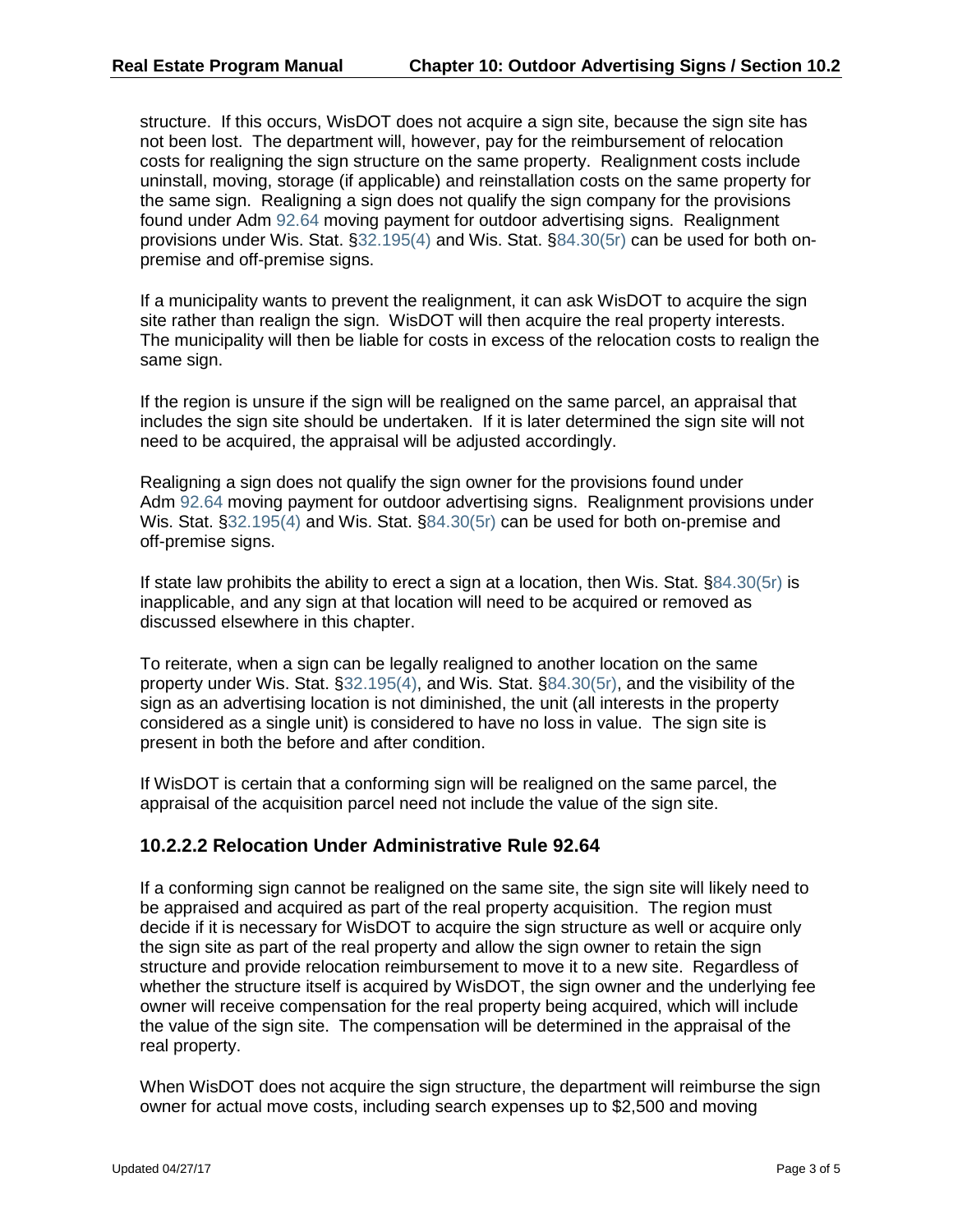structure. If this occurs, WisDOT does not acquire a sign site, because the sign site has not been lost. The department will, however, pay for the reimbursement of relocation costs for realigning the sign structure on the same property. Realignment costs include uninstall, moving, storage (if applicable) and reinstallation costs on the same property for the same sign. Realigning a sign does not qualify the sign company for the provisions found under Adm [92.64](https://docs.legis.wisconsin.gov/document/administrativecode/Adm%2092.64) moving payment for outdoor advertising signs. Realignment provisions under Wis. Stat. [§32.195\(4\)](https://docs.legis.wisconsin.gov/document/statutes/32.195(4)) and Wis. Stat. [§84.30\(5r\)](https://docs.legis.wisconsin.gov/document/statutes/84.30(5r)) can be used for both onpremise and off-premise signs.

If a municipality wants to prevent the realignment, it can ask WisDOT to acquire the sign site rather than realign the sign. WisDOT will then acquire the real property interests. The municipality will then be liable for costs in excess of the relocation costs to realign the same sign.

If the region is unsure if the sign will be realigned on the same parcel, an appraisal that includes the sign site should be undertaken. If it is later determined the sign site will not need to be acquired, the appraisal will be adjusted accordingly.

Realigning a sign does not qualify the sign owner for the provisions found under Adm [92.64](https://docs.legis.wisconsin.gov/document/administrativecode/Adm%2092.64) moving payment for outdoor advertising signs. Realignment provisions under Wis. Stat. [§32.195\(4\)](https://docs.legis.wisconsin.gov/document/statutes/32.195(4)) and Wis. Stat. [§84.30\(5r\)](https://docs.legis.wisconsin.gov/document/statutes/84.30(5r)) can be used for both on-premise and off-premise signs.

If state law prohibits the ability to erect a sign at a location, then Wis. Stat. [§84.30\(5r\)](https://docs.legis.wisconsin.gov/document/statutes/84.30(5r)) is inapplicable, and any sign at that location will need to be acquired or removed as discussed elsewhere in this chapter.

To reiterate, when a sign can be legally realigned to another location on the same property under Wis. Stat. [§32.195\(4\),](https://docs.legis.wisconsin.gov/document/statutes/32.195(4)) and Wis. Stat. [§84.30\(5r\),](https://docs.legis.wisconsin.gov/document/statutes/84.30(5r)) and the visibility of the sign as an advertising location is not diminished, the unit (all interests in the property considered as a single unit) is considered to have no loss in value. The sign site is present in both the before and after condition.

If WisDOT is certain that a conforming sign will be realigned on the same parcel, the appraisal of the acquisition parcel need not include the value of the sign site.

#### **10.2.2.2 Relocation Under Administrative Rule 92.64**

If a conforming sign cannot be realigned on the same site, the sign site will likely need to be appraised and acquired as part of the real property acquisition. The region must decide if it is necessary for WisDOT to acquire the sign structure as well or acquire only the sign site as part of the real property and allow the sign owner to retain the sign structure and provide relocation reimbursement to move it to a new site. Regardless of whether the structure itself is acquired by WisDOT, the sign owner and the underlying fee owner will receive compensation for the real property being acquired, which will include the value of the sign site. The compensation will be determined in the appraisal of the real property.

When WisDOT does not acquire the sign structure, the department will reimburse the sign owner for actual move costs, including search expenses up to \$2,500 and moving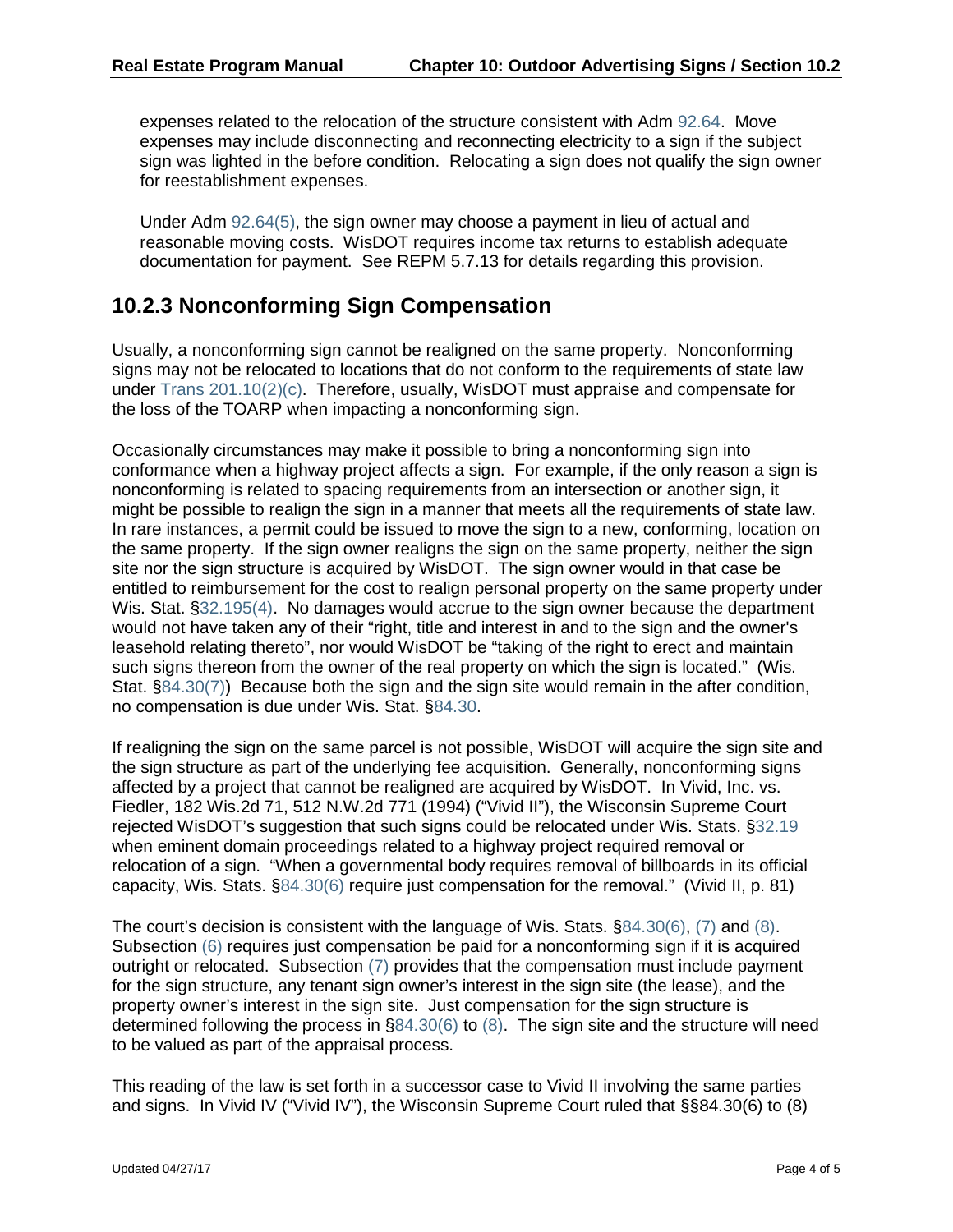expenses related to the relocation of the structure consistent with Adm [92.64.](https://docs.legis.wisconsin.gov/document/administrativecode/Adm%2092.64) Move expenses may include disconnecting and reconnecting electricity to a sign if the subject sign was lighted in the before condition. Relocating a sign does not qualify the sign owner for reestablishment expenses.

Under Adm [92.64\(5\),](https://docs.legis.wisconsin.gov/document/administrativecode/Adm%2092.64(5)) the sign owner may choose a payment in lieu of actual and reasonable moving costs. WisDOT requires income tax returns to establish adequate documentation for payment. See REPM 5.7.13 for details regarding this provision.

### **10.2.3 Nonconforming Sign Compensation**

Usually, a nonconforming sign cannot be realigned on the same property. Nonconforming signs may not be relocated to locations that do not conform to the requirements of state law under [Trans 201.10\(2](https://docs.legis.wisconsin.gov/document/administrativecode/Trans%20201.10(2)))(c). Therefore, usually, WisDOT must appraise and compensate for the loss of the TOARP when impacting a nonconforming sign.

Occasionally circumstances may make it possible to bring a nonconforming sign into conformance when a highway project affects a sign. For example, if the only reason a sign is nonconforming is related to spacing requirements from an intersection or another sign, it might be possible to realign the sign in a manner that meets all the requirements of state law. In rare instances, a permit could be issued to move the sign to a new, conforming, location on the same property. If the sign owner realigns the sign on the same property, neither the sign site nor the sign structure is acquired by WisDOT. The sign owner would in that case be entitled to reimbursement for the cost to realign personal property on the same property under Wis. Stat. [§32.195\(4\).](https://docs.legis.wisconsin.gov/document/statutes/32.195(4)) No damages would accrue to the sign owner because the department would not have taken any of their "right, title and interest in and to the sign and the owner's leasehold relating thereto", nor would WisDOT be "taking of the right to erect and maintain such signs thereon from the owner of the real property on which the sign is located." (Wis. Stat. [§84.30\(7\)\)](https://docs.legis.wisconsin.gov/document/statutes/84.30(7)) Because both the sign and the sign site would remain in the after condition, no compensation is due under Wis. Stat. [§84.30.](https://docs.legis.wisconsin.gov/document/statutes/84.30)

If realigning the sign on the same parcel is not possible, WisDOT will acquire the sign site and the sign structure as part of the underlying fee acquisition. Generally, nonconforming signs affected by a project that cannot be realigned are acquired by WisDOT. In Vivid, Inc. vs. Fiedler, 182 Wis.2d 71, 512 N.W.2d 771 (1994) ("Vivid II"), the Wisconsin Supreme Court rejected WisDOT's suggestion that such signs could be relocated under Wis. Stats. [§32.19](https://docs.legis.wisconsin.gov/document/statutes/32.19) when eminent domain proceedings related to a highway project required removal or relocation of a sign. "When a governmental body requires removal of billboards in its official capacity, Wis. Stats. [§84.30\(6\)](https://docs.legis.wisconsin.gov/document/statutes/84.30(6)) require just compensation for the removal." (Vivid II, p. 81)

The court's decision is consistent with the language of Wis. Stats. [§84.30\(6\),](https://docs.legis.wisconsin.gov/document/statutes/84.30(6)) [\(7\)](https://docs.legis.wisconsin.gov/document/statutes/84.30(7)) and [\(8\).](https://docs.legis.wisconsin.gov/document/statutes/84.30(8)) Subsection [\(6\)](https://docs.legis.wisconsin.gov/document/statutes/84.30(6)) requires just compensation be paid for a nonconforming sign if it is acquired outright or relocated. Subsection [\(7\)](https://docs.legis.wisconsin.gov/document/statutes/84.30(7)) provides that the compensation must include payment for the sign structure, any tenant sign owner's interest in the sign site (the lease), and the property owner's interest in the sign site. Just compensation for the sign structure is determined following the process in [§84.30\(6\)](https://docs.legis.wisconsin.gov/document/statutes/84.30(6)) t[o \(8\).](https://docs.legis.wisconsin.gov/document/statutes/84.30(8)) The sign site and the structure will need to be valued as part of the appraisal process.

This reading of the law is set forth in a successor case to Vivid II involving the same parties and signs. In Vivid IV ("Vivid IV"), the Wisconsin Supreme Court ruled that §§84.30(6) to (8)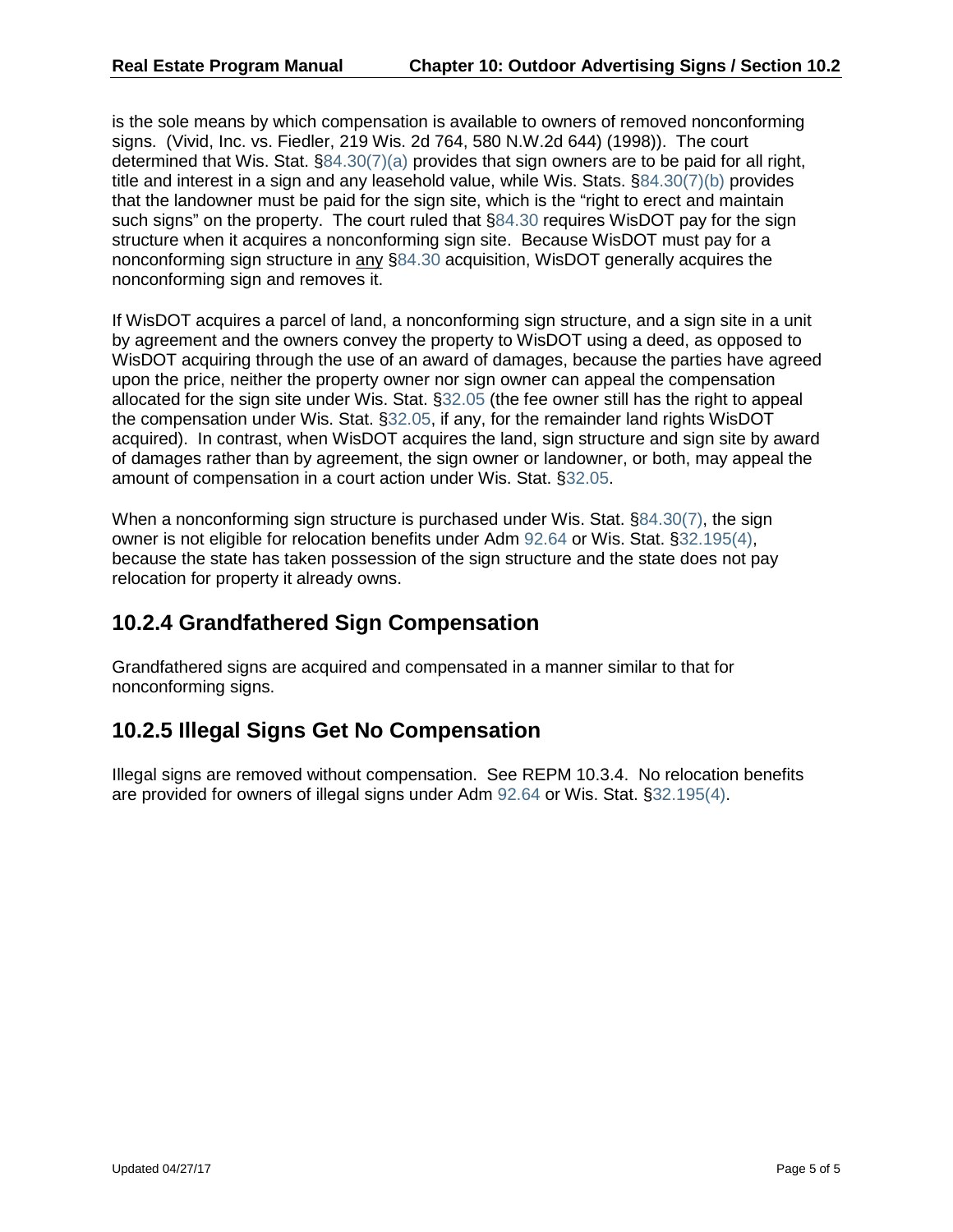is the sole means by which compensation is available to owners of removed nonconforming signs. (Vivid, Inc. vs. Fiedler, 219 Wis. 2d 764, 580 N.W.2d 644) (1998)). The court determined that Wis. Stat.  $\S 84.30(7)(a)$  provides that sign owners are to be paid for all right, title and interest in a sign and any leasehold value, while Wis. Stats. [§84.30\(7\)\(b\) p](https://docs.legis.wisconsin.gov/document/statutes/84.30(7)(b))rovides that the landowner must be paid for the sign site, which is the "right to erect and maintain such signs" on the property. The court ruled that [§84.30](https://docs.legis.wisconsin.gov/document/statutes/84.30) requires WisDOT pay for the sign structure when it acquires a nonconforming sign site. Because WisDOT must pay for a nonconforming sign structure in any [§84.30](https://docs.legis.wisconsin.gov/document/statutes/84.30) acquisition, WisDOT generally acquires the nonconforming sign and removes it.

If WisDOT acquires a parcel of land, a nonconforming sign structure, and a sign site in a unit by agreement and the owners convey the property to WisDOT using a deed, as opposed to WisDOT acquiring through the use of an award of damages, because the parties have agreed upon the price, neither the property owner nor sign owner can appeal the compensation allocated for the sign site under Wis. Stat. [§32.05](https://docs.legis.wisconsin.gov/document/statutes/32.05) (the fee owner still has the right to appeal the compensation under Wis. Stat. [§32.05,](https://docs.legis.wisconsin.gov/document/statutes/32.05) if any, for the remainder land rights WisDOT acquired). In contrast, when WisDOT acquires the land, sign structure and sign site by award of damages rather than by agreement, the sign owner or landowner, or both, may appeal the amount of compensation in a court action under Wis. Stat. [§32.05.](https://docs.legis.wisconsin.gov/document/statutes/32.05)

When a nonconforming sign structure is purchased under Wis. Stat. [§84.30\(7\),](https://docs.legis.wisconsin.gov/document/statutes/84.30(7)) the sign owner is not eligible for relocation benefits under Adm [92.64](https://docs.legis.wisconsin.gov/document/administrativecode/Adm%2092.64) or Wis. Stat. [§32.195\(4\),](https://docs.legis.wisconsin.gov/document/statutes/32.195(4)) because the state has taken possession of the sign structure and the state does not pay relocation for property it already owns.

### **10.2.4 Grandfathered Sign Compensation**

Grandfathered signs are acquired and compensated in a manner similar to that for nonconforming signs.

## **10.2.5 Illegal Signs Get No Compensation**

Illegal signs are removed without compensation. See REPM 10.3.4. No relocation benefits are provided for owners of illegal signs under Adm [92.64](https://docs.legis.wisconsin.gov/document/administrativecode/Adm%2092.64) or Wis. Stat. [§32.195\(4\).](https://docs.legis.wisconsin.gov/document/statutes/32.195(4))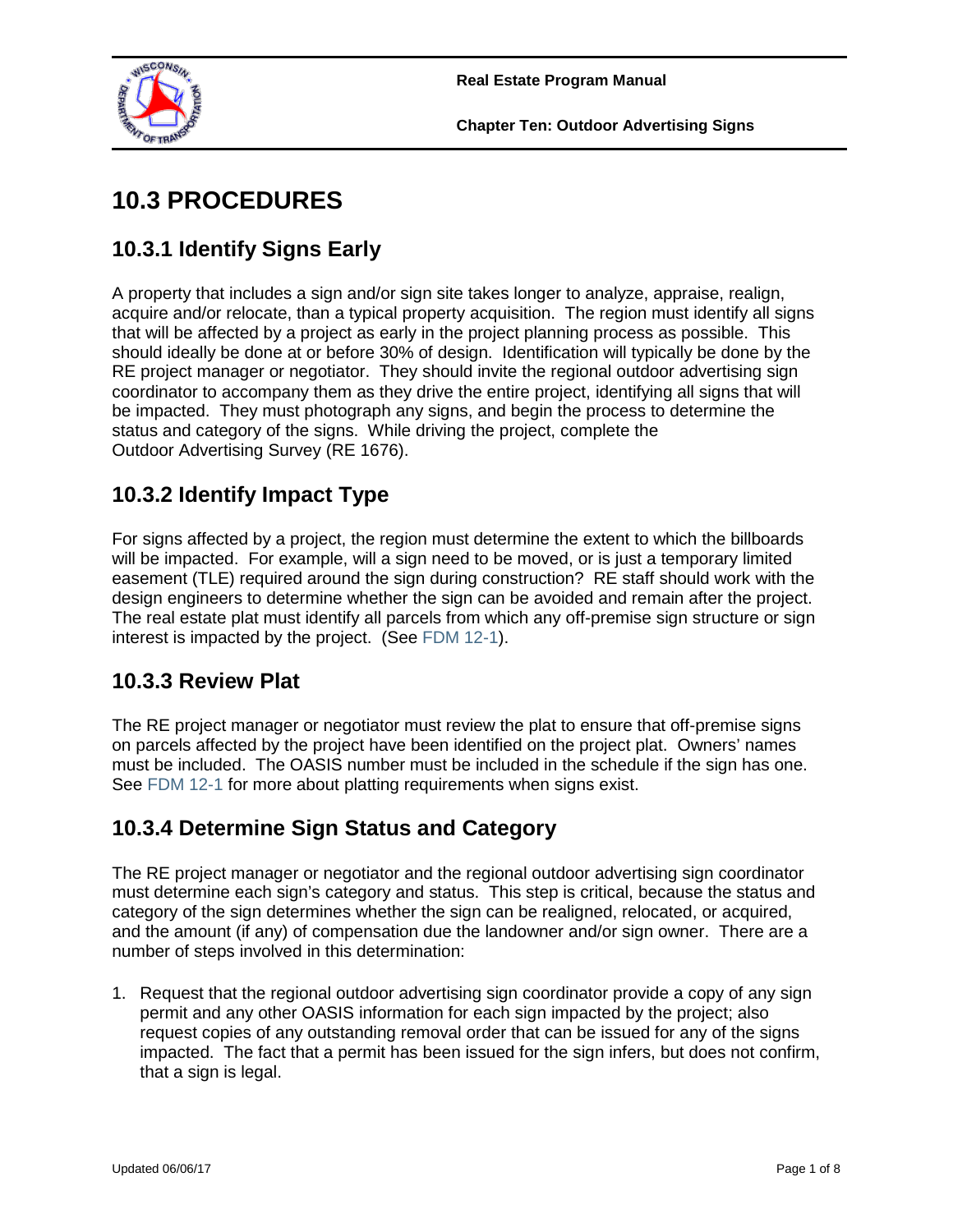

# **10.3 PROCEDURES**

# **10.3.1 Identify Signs Early**

A property that includes a sign and/or sign site takes longer to analyze, appraise, realign, acquire and/or relocate, than a typical property acquisition. The region must identify all signs that will be affected by a project as early in the project planning process as possible. This should ideally be done at or before 30% of design. Identification will typically be done by the RE project manager or negotiator. They should invite the regional outdoor advertising sign coordinator to accompany them as they drive the entire project, identifying all signs that will be impacted. They must photograph any signs, and begin the process to determine the status and category of the signs. While driving the project, complete the Outdoor Advertising Survey (RE 1676).

# **10.3.2 Identify Impact Type**

For signs affected by a project, the region must determine the extent to which the billboards will be impacted. For example, will a sign need to be moved, or is just a temporary limited easement (TLE) required around the sign during construction? RE staff should work with the design engineers to determine whether the sign can be avoided and remain after the project. The real estate plat must identify all parcels from which any off-premise sign structure or sign interest is impacted by the project. (See [FDM 12-1\)](http://wisconsindot.gov/rdwy/fdm/fd-12-00toc.pdf).

## **10.3.3 Review Plat**

The RE project manager or negotiator must review the plat to ensure that off-premise signs on parcels affected by the project have been identified on the project plat. Owners' names must be included. The OASIS number must be included in the schedule if the sign has one. See [FDM 12-1](http://wisconsindot.gov/rdwy/fdm/fd-12-00toc.pdf) for more about platting requirements when signs exist.

# **10.3.4 Determine Sign Status and Category**

The RE project manager or negotiator and the regional outdoor advertising sign coordinator must determine each sign's category and status. This step is critical, because the status and category of the sign determines whether the sign can be realigned, relocated, or acquired, and the amount (if any) of compensation due the landowner and/or sign owner. There are a number of steps involved in this determination:

1. Request that the regional outdoor advertising sign coordinator provide a copy of any sign permit and any other OASIS information for each sign impacted by the project; also request copies of any outstanding removal order that can be issued for any of the signs impacted. The fact that a permit has been issued for the sign infers, but does not confirm, that a sign is legal.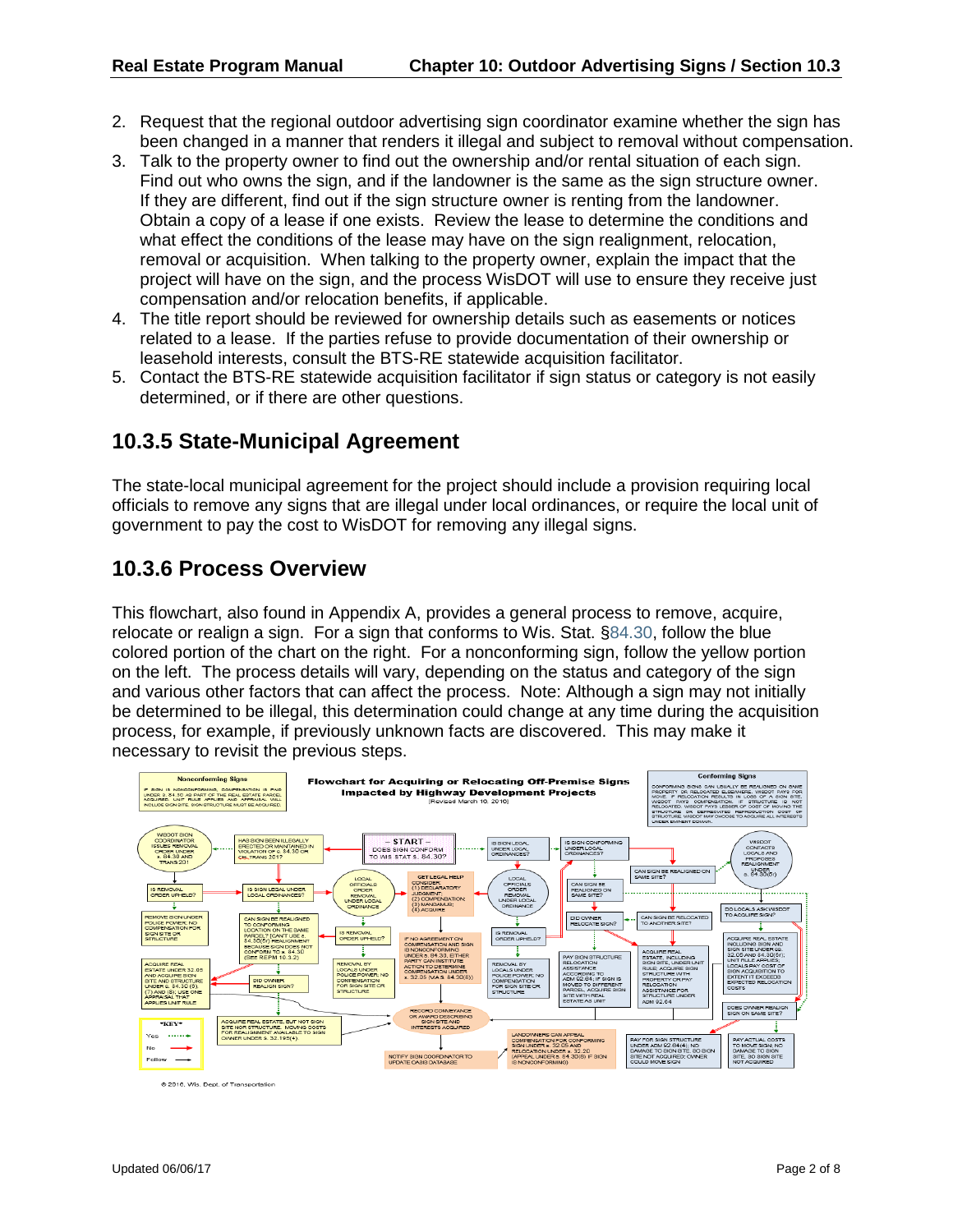- 2. Request that the regional outdoor advertising sign coordinator examine whether the sign has been changed in a manner that renders it illegal and subject to removal without compensation.
- 3. Talk to the property owner to find out the ownership and/or rental situation of each sign. Find out who owns the sign, and if the landowner is the same as the sign structure owner. If they are different, find out if the sign structure owner is renting from the landowner. Obtain a copy of a lease if one exists. Review the lease to determine the conditions and what effect the conditions of the lease may have on the sign realignment, relocation, removal or acquisition. When talking to the property owner, explain the impact that the project will have on the sign, and the process WisDOT will use to ensure they receive just compensation and/or relocation benefits, if applicable.
- 4. The title report should be reviewed for ownership details such as easements or notices related to a lease. If the parties refuse to provide documentation of their ownership or leasehold interests, consult the BTS-RE statewide acquisition facilitator.
- 5. Contact the BTS-RE statewide acquisition facilitator if sign status or category is not easily determined, or if there are other questions.

### **10.3.5 State-Municipal Agreement**

The state-local municipal agreement for the project should include a provision requiring local officials to remove any signs that are illegal under local ordinances, or require the local unit of government to pay the cost to WisDOT for removing any illegal signs.

#### **10.3.6 Process Overview**

This flowchart, also found in Appendix A, provides a general process to remove, acquire, relocate or realign a sign. For a sign that conforms to Wis. Stat. [§84.30,](https://docs.legis.wisconsin.gov/document/statutes/84.30) follow the blue colored portion of the chart on the right. For a nonconforming sign, follow the yellow portion on the left. The process details will vary, depending on the status and category of the sign and various other factors that can affect the process. Note: Although a sign may not initially be determined to be illegal, this determination could change at any time during the acquisition process, for example, if previously unknown facts are discovered. This may make it necessary to revisit the previous steps.



@ 2016, Wis. Dept. of Transpo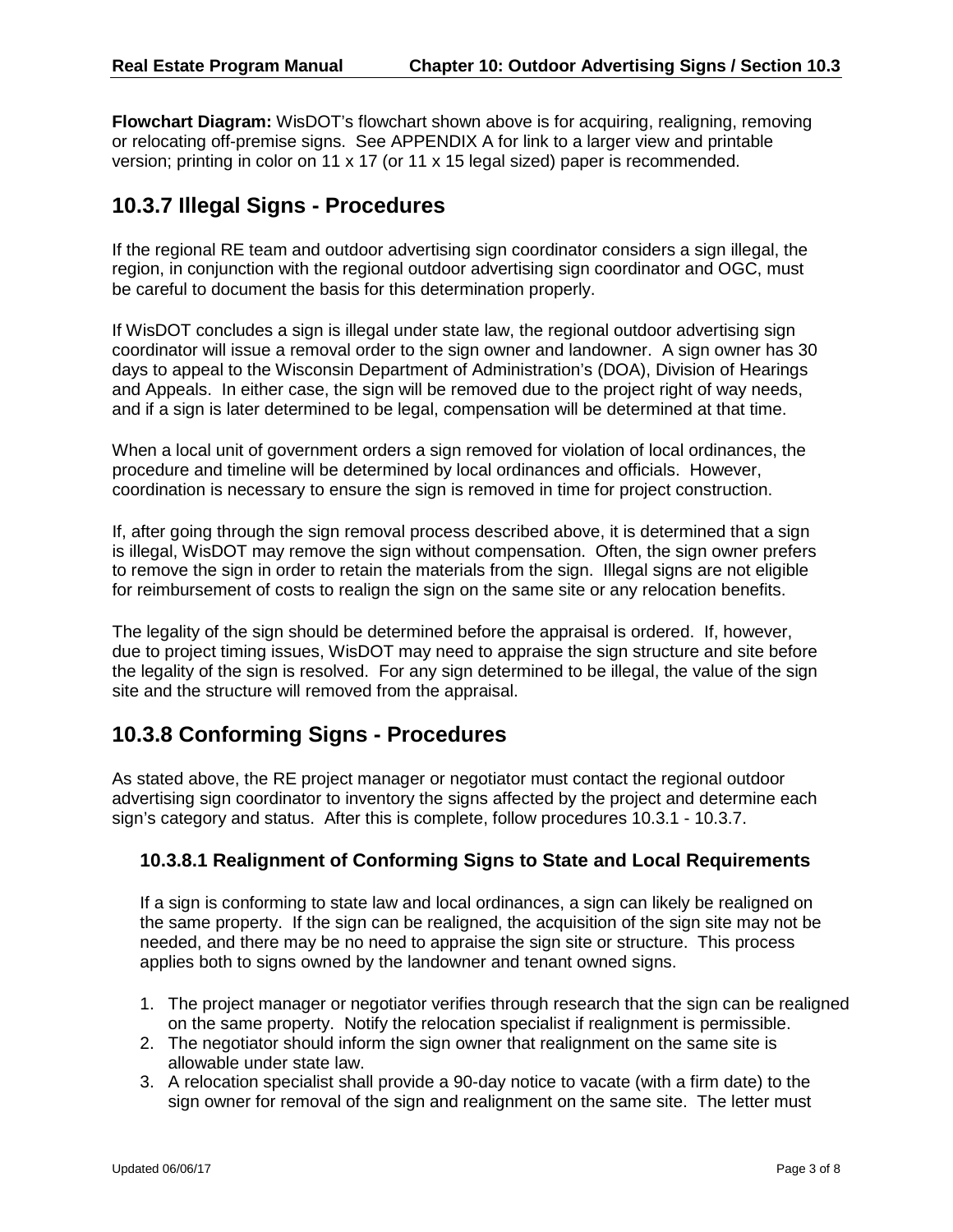**Flowchart Diagram:** WisDOT's flowchart shown above is for acquiring, realigning, removing or relocating off-premise signs. See APPENDIX A for link to a larger view and printable version; printing in color on 11 x 17 (or 11 x 15 legal sized) paper is recommended.

### **10.3.7 Illegal Signs - Procedures**

If the regional RE team and outdoor advertising sign coordinator considers a sign illegal, the region, in conjunction with the regional outdoor advertising sign coordinator and OGC, must be careful to document the basis for this determination properly.

If WisDOT concludes a sign is illegal under state law, the regional outdoor advertising sign coordinator will issue a removal order to the sign owner and landowner. A sign owner has 30 days to appeal to the Wisconsin Department of Administration's (DOA), Division of Hearings and Appeals. In either case, the sign will be removed due to the project right of way needs, and if a sign is later determined to be legal, compensation will be determined at that time.

When a local unit of government orders a sign removed for violation of local ordinances, the procedure and timeline will be determined by local ordinances and officials. However, coordination is necessary to ensure the sign is removed in time for project construction.

If, after going through the sign removal process described above, it is determined that a sign is illegal, WisDOT may remove the sign without compensation. Often, the sign owner prefers to remove the sign in order to retain the materials from the sign. Illegal signs are not eligible for reimbursement of costs to realign the sign on the same site or any relocation benefits.

The legality of the sign should be determined before the appraisal is ordered. If, however, due to project timing issues, WisDOT may need to appraise the sign structure and site before the legality of the sign is resolved. For any sign determined to be illegal, the value of the sign site and the structure will removed from the appraisal.

## **10.3.8 Conforming Signs - Procedures**

As stated above, the RE project manager or negotiator must contact the regional outdoor advertising sign coordinator to inventory the signs affected by the project and determine each sign's category and status. After this is complete, follow procedures 10.3.1 - 10.3.7.

#### **10.3.8.1 Realignment of Conforming Signs to State and Local Requirements**

If a sign is conforming to state law and local ordinances, a sign can likely be realigned on the same property. If the sign can be realigned, the acquisition of the sign site may not be needed, and there may be no need to appraise the sign site or structure. This process applies both to signs owned by the landowner and tenant owned signs.

- 1. The project manager or negotiator verifies through research that the sign can be realigned on the same property. Notify the relocation specialist if realignment is permissible.
- 2. The negotiator should inform the sign owner that realignment on the same site is allowable under state law.
- 3. A relocation specialist shall provide a 90-day notice to vacate (with a firm date) to the sign owner for removal of the sign and realignment on the same site. The letter must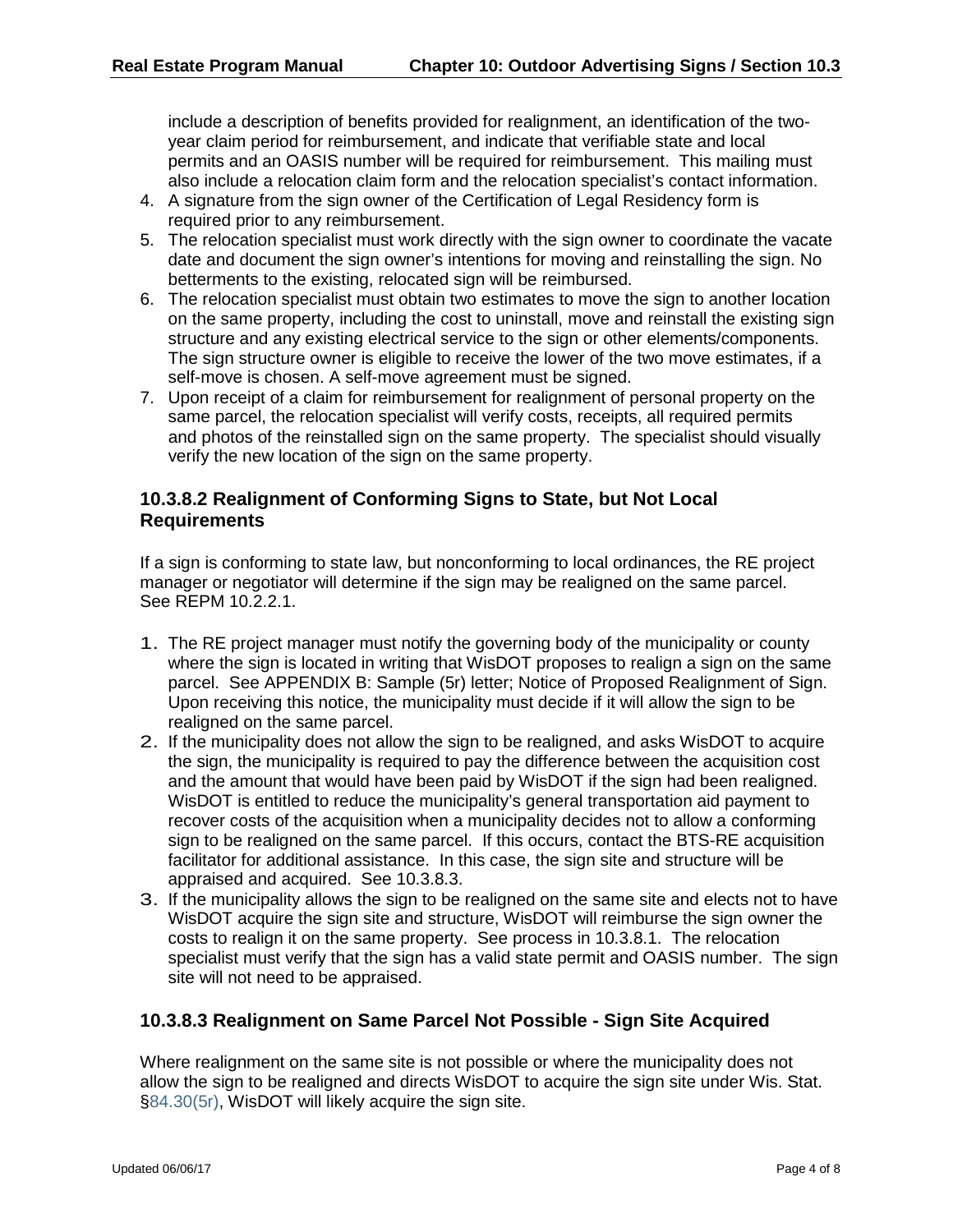include a description of benefits provided for realignment, an identification of the twoyear claim period for reimbursement, and indicate that verifiable state and local permits and an OASIS number will be required for reimbursement. This mailing must also include a relocation claim form and the relocation specialist's contact information.

- 4. A signature from the sign owner of the Certification of Legal Residency form is required prior to any reimbursement.
- 5. The relocation specialist must work directly with the sign owner to coordinate the vacate date and document the sign owner's intentions for moving and reinstalling the sign. No betterments to the existing, relocated sign will be reimbursed.
- 6. The relocation specialist must obtain two estimates to move the sign to another location on the same property, including the cost to uninstall, move and reinstall the existing sign structure and any existing electrical service to the sign or other elements/components. The sign structure owner is eligible to receive the lower of the two move estimates, if a self-move is chosen. A self-move agreement must be signed.
- 7. Upon receipt of a claim for reimbursement for realignment of personal property on the same parcel, the relocation specialist will verify costs, receipts, all required permits and photos of the reinstalled sign on the same property. The specialist should visually verify the new location of the sign on the same property.

#### **10.3.8.2 Realignment of Conforming Signs to State, but Not Local Requirements**

If a sign is conforming to state law, but nonconforming to local ordinances, the RE project manager or negotiator will determine if the sign may be realigned on the same parcel. See REPM 10.2.2.1.

- 1. The RE project manager must notify the governing body of the municipality or county where the sign is located in writing that WisDOT proposes to realign a sign on the same parcel. See APPENDIX B: Sample (5r) letter; Notice of Proposed Realignment of Sign. Upon receiving this notice, the municipality must decide if it will allow the sign to be realigned on the same parcel.
- 2. If the municipality does not allow the sign to be realigned, and asks WisDOT to acquire the sign, the municipality is required to pay the difference between the acquisition cost and the amount that would have been paid by WisDOT if the sign had been realigned. WisDOT is entitled to reduce the municipality's general transportation aid payment to recover costs of the acquisition when a municipality decides not to allow a conforming sign to be realigned on the same parcel. If this occurs, contact the BTS-RE acquisition facilitator for additional assistance. In this case, the sign site and structure will be appraised and acquired. See 10.3.8.3.
- 3. If the municipality allows the sign to be realigned on the same site and elects not to have WisDOT acquire the sign site and structure, WisDOT will reimburse the sign owner the costs to realign it on the same property. See process in 10.3.8.1. The relocation specialist must verify that the sign has a valid state permit and OASIS number. The sign site will not need to be appraised.

#### **10.3.8.3 Realignment on Same Parcel Not Possible - Sign Site Acquired**

Where realignment on the same site is not possible or where the municipality does not allow the sign to be realigned and directs WisDOT to acquire the sign site under Wis. Stat. [§84.30\(5r\),](https://docs.legis.wisconsin.gov/document/statutes/84.30(5r)) WisDOT will likely acquire the sign site.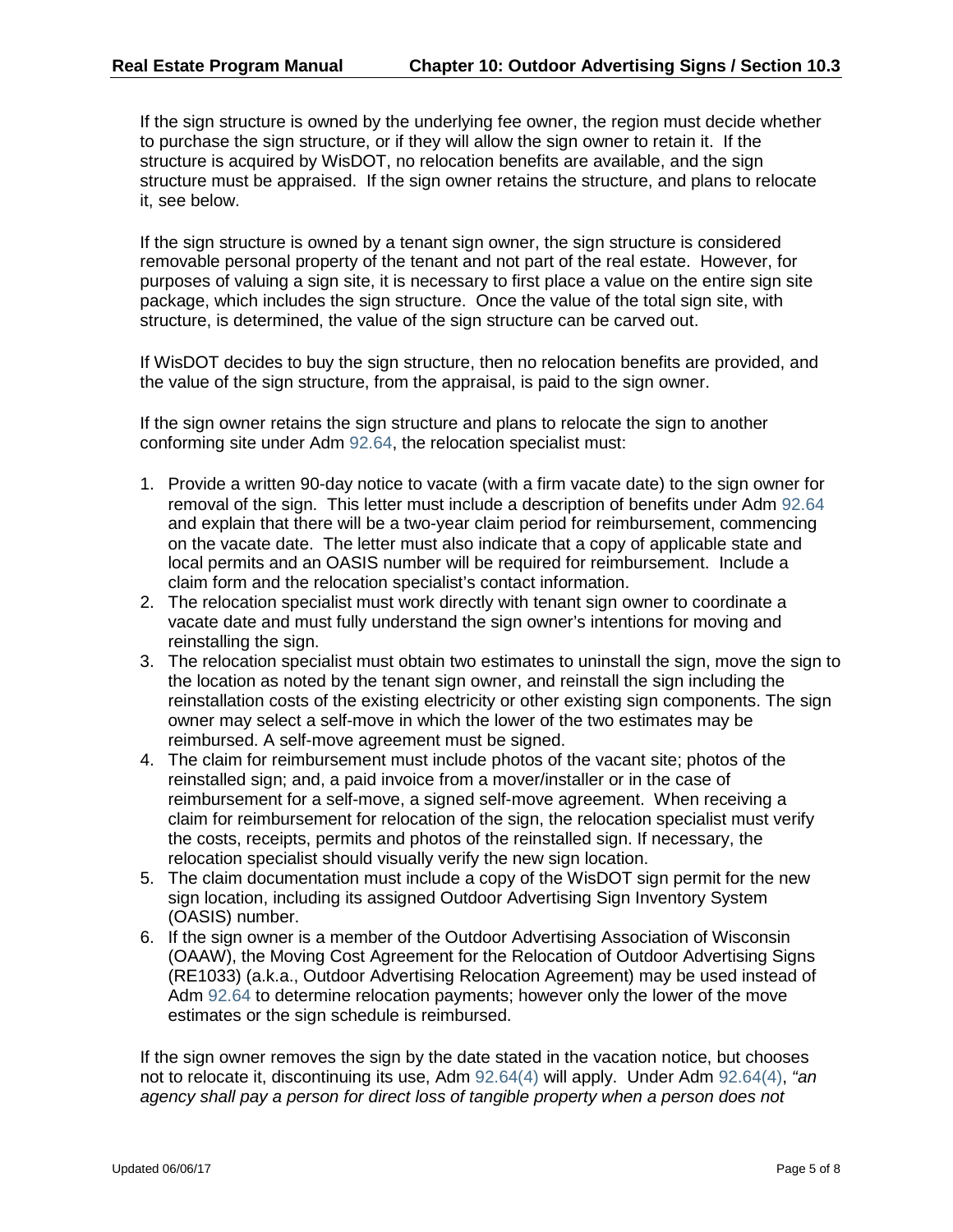If the sign structure is owned by the underlying fee owner, the region must decide whether to purchase the sign structure, or if they will allow the sign owner to retain it. If the structure is acquired by WisDOT, no relocation benefits are available, and the sign structure must be appraised. If the sign owner retains the structure, and plans to relocate it, see below.

If the sign structure is owned by a tenant sign owner, the sign structure is considered removable personal property of the tenant and not part of the real estate. However, for purposes of valuing a sign site, it is necessary to first place a value on the entire sign site package, which includes the sign structure. Once the value of the total sign site, with structure, is determined, the value of the sign structure can be carved out.

If WisDOT decides to buy the sign structure, then no relocation benefits are provided, and the value of the sign structure, from the appraisal, is paid to the sign owner.

If the sign owner retains the sign structure and plans to relocate the sign to another conforming site under Adm [92.64,](https://docs.legis.wisconsin.gov/document/administrativecode/Adm%2092.64) the relocation specialist must:

- 1. Provide a written 90-day notice to vacate (with a firm vacate date) to the sign owner for removal of the sign. This letter must include a description of benefits under Adm [92.64](https://docs.legis.wisconsin.gov/document/administrativecode/Adm%2092.64) and explain that there will be a two-year claim period for reimbursement, commencing on the vacate date. The letter must also indicate that a copy of applicable state and local permits and an OASIS number will be required for reimbursement. Include a claim form and the relocation specialist's contact information.
- 2. The relocation specialist must work directly with tenant sign owner to coordinate a vacate date and must fully understand the sign owner's intentions for moving and reinstalling the sign.
- 3. The relocation specialist must obtain two estimates to uninstall the sign, move the sign to the location as noted by the tenant sign owner, and reinstall the sign including the reinstallation costs of the existing electricity or other existing sign components. The sign owner may select a self-move in which the lower of the two estimates may be reimbursed. A self-move agreement must be signed.
- 4. The claim for reimbursement must include photos of the vacant site; photos of the reinstalled sign; and, a paid invoice from a mover/installer or in the case of reimbursement for a self-move, a signed self-move agreement. When receiving a claim for reimbursement for relocation of the sign, the relocation specialist must verify the costs, receipts, permits and photos of the reinstalled sign. If necessary, the relocation specialist should visually verify the new sign location.
- 5. The claim documentation must include a copy of the WisDOT sign permit for the new sign location, including its assigned Outdoor Advertising Sign Inventory System (OASIS) number.
- 6. If the sign owner is a member of the Outdoor Advertising Association of Wisconsin (OAAW), the Moving Cost Agreement for the Relocation of Outdoor Advertising Signs (RE1033) (a.k.a., Outdoor Advertising Relocation Agreement) may be used instead of Adm [92.64](https://docs.legis.wisconsin.gov/document/administrativecode/Adm%2092.64) to determine relocation payments; however only the lower of the move estimates or the sign schedule is reimbursed.

If the sign owner removes the sign by the date stated in the vacation notice, but chooses not to relocate it, discontinuing its use, Adm [92.64\(4\)](https://docs.legis.wisconsin.gov/document/administrativecode/Adm%2092.64(4)) will apply. Under Adm [92.64\(4\),](https://docs.legis.wisconsin.gov/document/administrativecode/Adm%2092.64(4)) *"an agency shall pay a person for direct loss of tangible property when a person does not*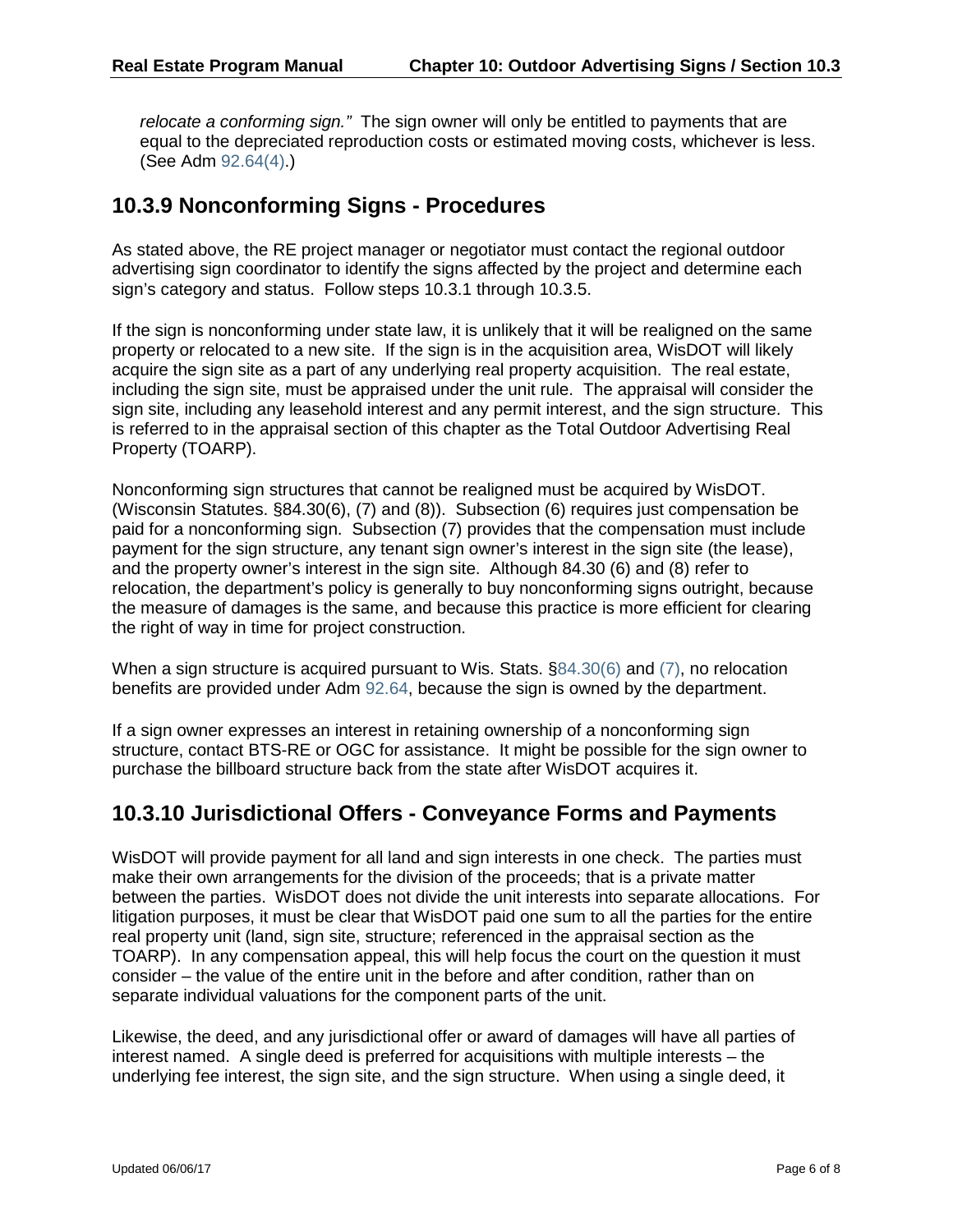*relocate a conforming sign."* The sign owner will only be entitled to payments that are equal to the depreciated reproduction costs or estimated moving costs, whichever is less. (See Adm [92.64\(4\).](https://docs.legis.wisconsin.gov/document/administrativecode/Adm%2092.64(4)))

#### **10.3.9 Nonconforming Signs - Procedures**

As stated above, the RE project manager or negotiator must contact the regional outdoor advertising sign coordinator to identify the signs affected by the project and determine each sign's category and status. Follow steps 10.3.1 through 10.3.5.

If the sign is nonconforming under state law, it is unlikely that it will be realigned on the same property or relocated to a new site. If the sign is in the acquisition area, WisDOT will likely acquire the sign site as a part of any underlying real property acquisition. The real estate, including the sign site, must be appraised under the unit rule. The appraisal will consider the sign site, including any leasehold interest and any permit interest, and the sign structure. This is referred to in the appraisal section of this chapter as the Total Outdoor Advertising Real Property (TOARP).

Nonconforming sign structures that cannot be realigned must be acquired by WisDOT. (Wisconsin Statutes. §84.30(6), (7) and (8)). Subsection (6) requires just compensation be paid for a nonconforming sign. Subsection (7) provides that the compensation must include payment for the sign structure, any tenant sign owner's interest in the sign site (the lease), and the property owner's interest in the sign site. Although 84.30 (6) and (8) refer to relocation, the department's policy is generally to buy nonconforming signs outright, because the measure of damages is the same, and because this practice is more efficient for clearing the right of way in time for project construction.

When a sign structure is acquired pursuant to Wis. Stats. [§84.30\(6\)](https://docs.legis.wisconsin.gov/document/statutes/84.30(6)) and [\(7\),](https://docs.legis.wisconsin.gov/document/statutes/84.30(7)) no relocation benefits are provided under Adm [92.64,](https://docs.legis.wisconsin.gov/document/administrativecode/Adm%2092.64(4)) because the sign is owned by the department.

If a sign owner expresses an interest in retaining ownership of a nonconforming sign structure, contact BTS-RE or OGC for assistance. It might be possible for the sign owner to purchase the billboard structure back from the state after WisDOT acquires it.

### **10.3.10 Jurisdictional Offers - Conveyance Forms and Payments**

WisDOT will provide payment for all land and sign interests in one check. The parties must make their own arrangements for the division of the proceeds; that is a private matter between the parties. WisDOT does not divide the unit interests into separate allocations. For litigation purposes, it must be clear that WisDOT paid one sum to all the parties for the entire real property unit (land, sign site, structure; referenced in the appraisal section as the TOARP). In any compensation appeal, this will help focus the court on the question it must consider – the value of the entire unit in the before and after condition, rather than on separate individual valuations for the component parts of the unit.

Likewise, the deed, and any jurisdictional offer or award of damages will have all parties of interest named. A single deed is preferred for acquisitions with multiple interests – the underlying fee interest, the sign site, and the sign structure. When using a single deed, it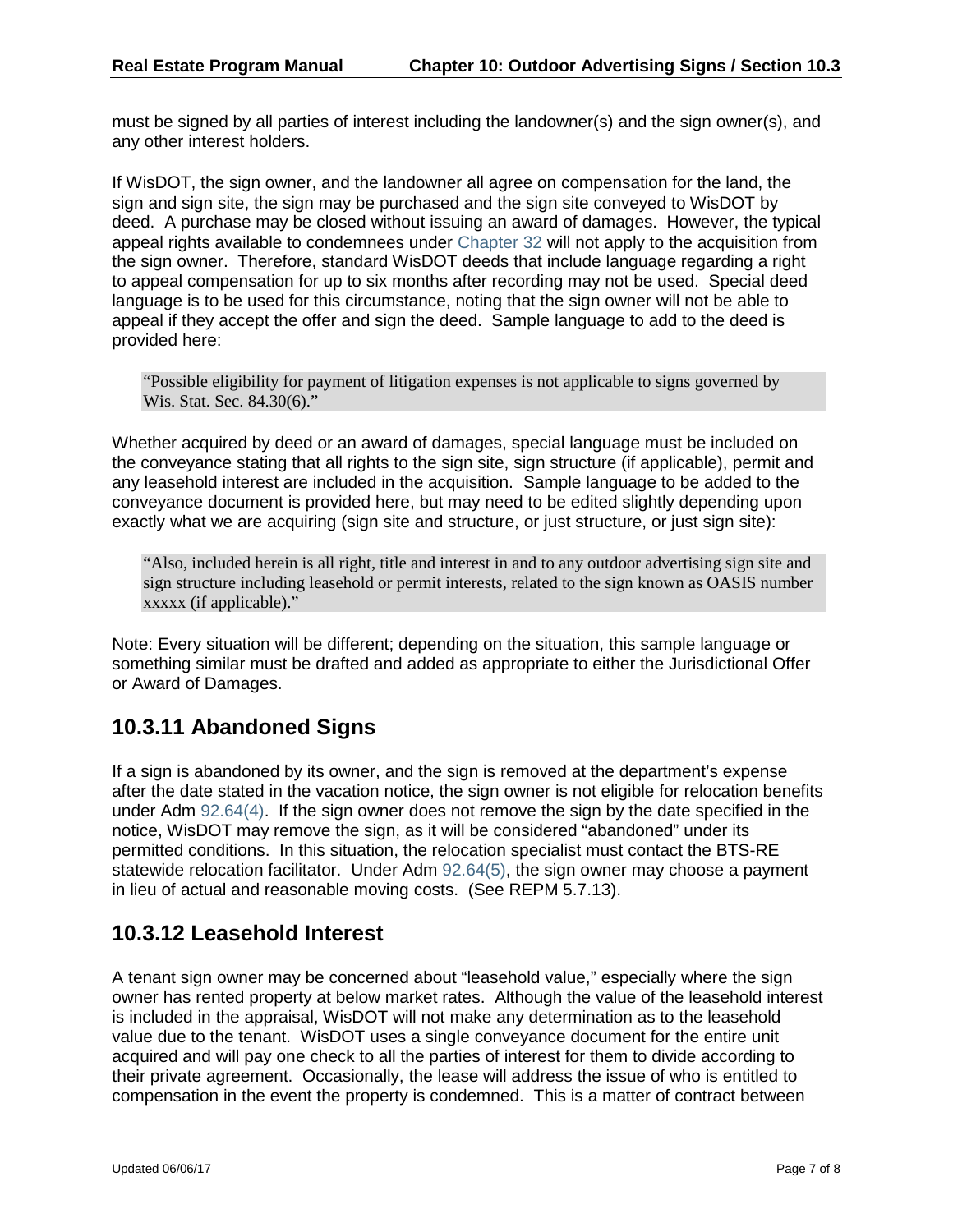must be signed by all parties of interest including the landowner(s) and the sign owner(s), and any other interest holders.

If WisDOT, the sign owner, and the landowner all agree on compensation for the land, the sign and sign site, the sign may be purchased and the sign site conveyed to WisDOT by deed. A purchase may be closed without issuing an award of damages. However, the typical appeal rights available to condemnees under [Chapter 32](https://docs.legis.wisconsin.gov/statutes/statutes/32) will not apply to the acquisition from the sign owner. Therefore, standard WisDOT deeds that include language regarding a right to appeal compensation for up to six months after recording may not be used. Special deed language is to be used for this circumstance, noting that the sign owner will not be able to appeal if they accept the offer and sign the deed. Sample language to add to the deed is provided here:

"Possible eligibility for payment of litigation expenses is not applicable to signs governed by Wis. Stat. Sec. 84.30(6)."

Whether acquired by deed or an award of damages, special language must be included on the conveyance stating that all rights to the sign site, sign structure (if applicable), permit and any leasehold interest are included in the acquisition. Sample language to be added to the conveyance document is provided here, but may need to be edited slightly depending upon exactly what we are acquiring (sign site and structure, or just structure, or just sign site):

"Also, included herein is all right, title and interest in and to any outdoor advertising sign site and sign structure including leasehold or permit interests, related to the sign known as OASIS number xxxxx (if applicable)."

Note: Every situation will be different; depending on the situation, this sample language or something similar must be drafted and added as appropriate to either the Jurisdictional Offer or Award of Damages.

### **10.3.11 Abandoned Signs**

If a sign is abandoned by its owner, and the sign is removed at the department's expense after the date stated in the vacation notice, the sign owner is not eligible for relocation benefits under Adm [92.64\(4\).](https://docs.legis.wisconsin.gov/document/administrativecode/Adm%2092.64(4)) If the sign owner does not remove the sign by the date specified in the notice, WisDOT may remove the sign, as it will be considered "abandoned" under its permitted conditions. In this situation, the relocation specialist must contact the BTS-RE statewide relocation facilitator. Under Adm [92.64\(5\),](https://docs.legis.wisconsin.gov/document/administrativecode/Adm%2092.64(5)) the sign owner may choose a payment in lieu of actual and reasonable moving costs. (See REPM 5.7.13).

### **10.3.12 Leasehold Interest**

A tenant sign owner may be concerned about "leasehold value," especially where the sign owner has rented property at below market rates. Although the value of the leasehold interest is included in the appraisal, WisDOT will not make any determination as to the leasehold value due to the tenant. WisDOT uses a single conveyance document for the entire unit acquired and will pay one check to all the parties of interest for them to divide according to their private agreement. Occasionally, the lease will address the issue of who is entitled to compensation in the event the property is condemned. This is a matter of contract between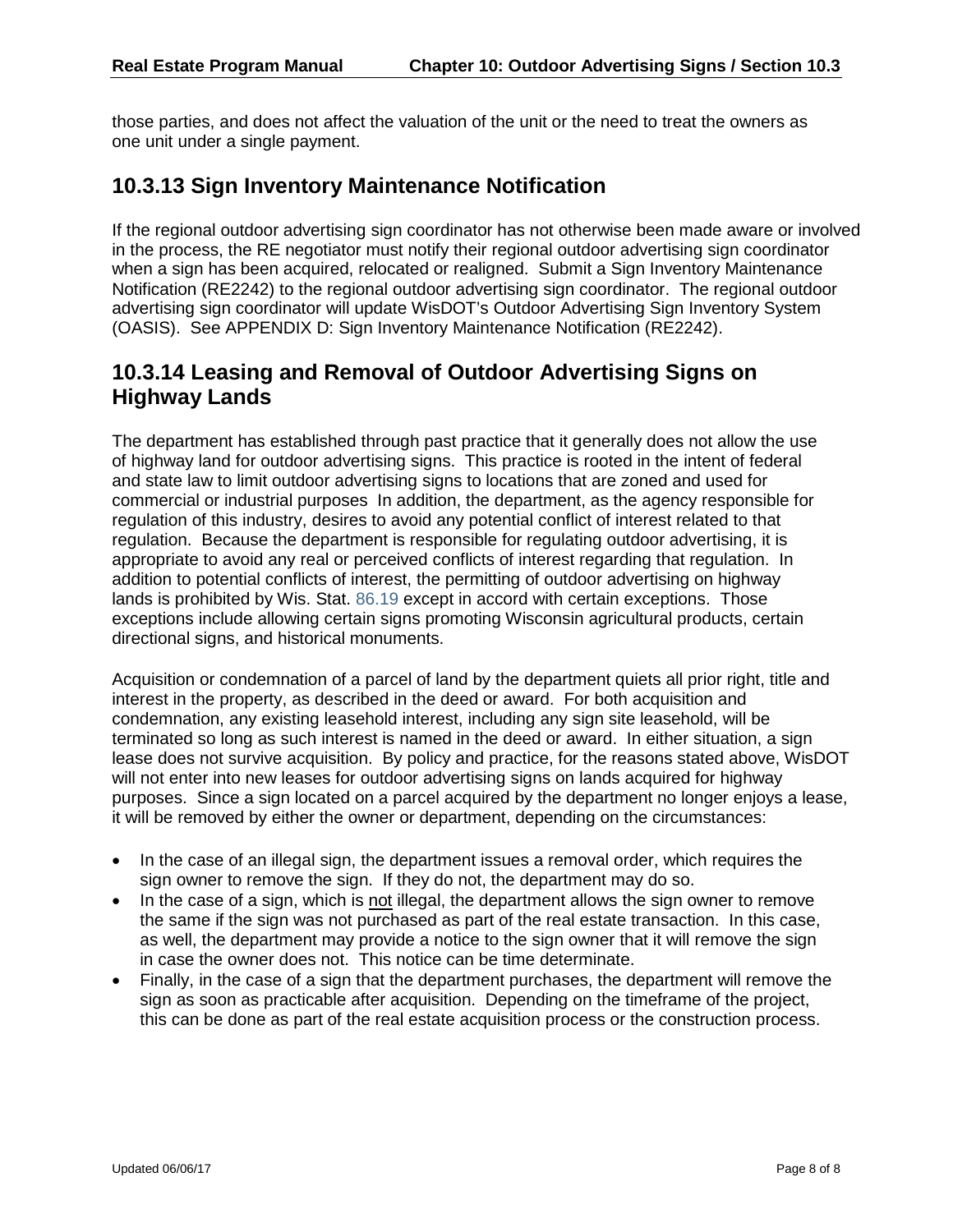those parties, and does not affect the valuation of the unit or the need to treat the owners as one unit under a single payment.

#### **10.3.13 Sign Inventory Maintenance Notification**

If the regional outdoor advertising sign coordinator has not otherwise been made aware or involved in the process, the RE negotiator must notify their regional outdoor advertising sign coordinator when a sign has been acquired, relocated or realigned. Submit a Sign Inventory Maintenance Notification (RE2242) to the regional outdoor advertising sign coordinator. The regional outdoor advertising sign coordinator will update WisDOT's Outdoor Advertising Sign Inventory System (OASIS). See APPENDIX D: Sign Inventory Maintenance Notification (RE2242).

#### **10.3.14 Leasing and Removal of Outdoor Advertising Signs on Highway Lands**

The department has established through past practice that it generally does not allow the use of highway land for outdoor advertising signs. This practice is rooted in the intent of federal and state law to limit outdoor advertising signs to locations that are zoned and used for commercial or industrial purposes In addition, the department, as the agency responsible for regulation of this industry, desires to avoid any potential conflict of interest related to that regulation. Because the department is responsible for regulating outdoor advertising, it is appropriate to avoid any real or perceived conflicts of interest regarding that regulation. In addition to potential conflicts of interest, the permitting of outdoor advertising on highway lands is prohibited by Wis. Stat. [86.19](https://docs.legis.wisconsin.gov/document/statutes/86.19) except in accord with certain exceptions. Those exceptions include allowing certain signs promoting Wisconsin agricultural products, certain directional signs, and historical monuments.

Acquisition or condemnation of a parcel of land by the department quiets all prior right, title and interest in the property, as described in the deed or award. For both acquisition and condemnation, any existing leasehold interest, including any sign site leasehold, will be terminated so long as such interest is named in the deed or award. In either situation, a sign lease does not survive acquisition. By policy and practice, for the reasons stated above, WisDOT will not enter into new leases for outdoor advertising signs on lands acquired for highway purposes. Since a sign located on a parcel acquired by the department no longer enjoys a lease, it will be removed by either the owner or department, depending on the circumstances:

- In the case of an illegal sign, the department issues a removal order, which requires the sign owner to remove the sign. If they do not, the department may do so.
- In the case of a sign, which is not illegal, the department allows the sign owner to remove the same if the sign was not purchased as part of the real estate transaction. In this case, as well, the department may provide a notice to the sign owner that it will remove the sign in case the owner does not. This notice can be time determinate.
- Finally, in the case of a sign that the department purchases, the department will remove the sign as soon as practicable after acquisition. Depending on the timeframe of the project, this can be done as part of the real estate acquisition process or the construction process.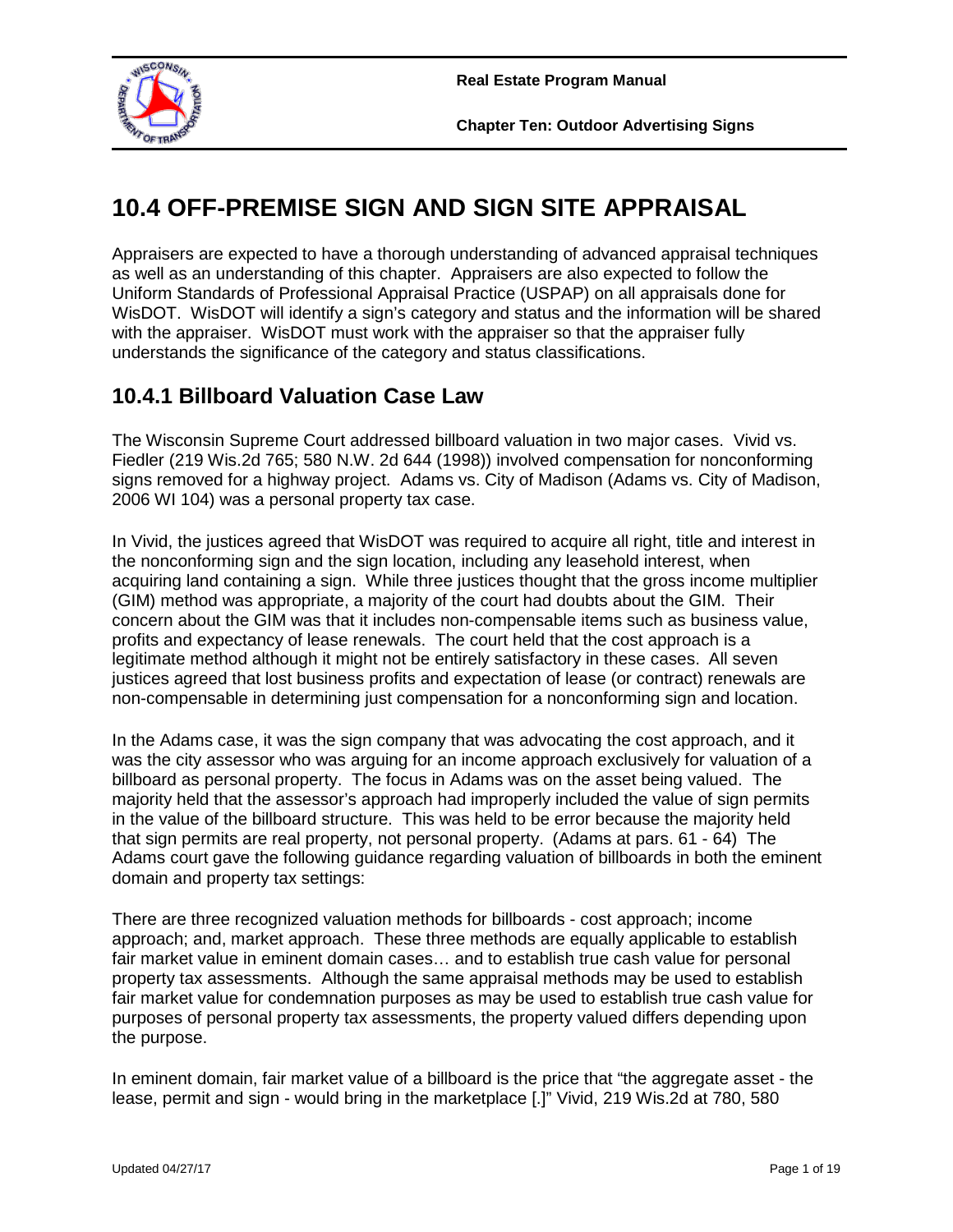

**Chapter Ten: Outdoor Advertising Signs**

# **10.4 OFF-PREMISE SIGN AND SIGN SITE APPRAISAL**

Appraisers are expected to have a thorough understanding of advanced appraisal techniques as well as an understanding of this chapter. Appraisers are also expected to follow the Uniform Standards of Professional Appraisal Practice (USPAP) on all appraisals done for WisDOT. WisDOT will identify a sign's category and status and the information will be shared with the appraiser. WisDOT must work with the appraiser so that the appraiser fully understands the significance of the category and status classifications.

### **10.4.1 Billboard Valuation Case Law**

The Wisconsin Supreme Court addressed billboard valuation in two major cases. Vivid vs. Fiedler (219 Wis.2d 765; 580 N.W. 2d 644 (1998)) involved compensation for nonconforming signs removed for a highway project. Adams vs. City of Madison (Adams vs. City of Madison, 2006 WI 104) was a personal property tax case.

In Vivid, the justices agreed that WisDOT was required to acquire all right, title and interest in the nonconforming sign and the sign location, including any leasehold interest, when acquiring land containing a sign. While three justices thought that the gross income multiplier (GIM) method was appropriate, a majority of the court had doubts about the GIM. Their concern about the GIM was that it includes non-compensable items such as business value, profits and expectancy of lease renewals. The court held that the cost approach is a legitimate method although it might not be entirely satisfactory in these cases. All seven justices agreed that lost business profits and expectation of lease (or contract) renewals are non-compensable in determining just compensation for a nonconforming sign and location.

In the Adams case, it was the sign company that was advocating the cost approach, and it was the city assessor who was arguing for an income approach exclusively for valuation of a billboard as personal property. The focus in Adams was on the asset being valued. The majority held that the assessor's approach had improperly included the value of sign permits in the value of the billboard structure. This was held to be error because the majority held that sign permits are real property, not personal property. (Adams at pars. 61 - 64) The Adams court gave the following guidance regarding valuation of billboards in both the eminent domain and property tax settings:

There are three recognized valuation methods for billboards - cost approach; income approach; and, market approach. These three methods are equally applicable to establish fair market value in eminent domain cases… and to establish true cash value for personal property tax assessments. Although the same appraisal methods may be used to establish fair market value for condemnation purposes as may be used to establish true cash value for purposes of personal property tax assessments, the property valued differs depending upon the purpose.

In eminent domain, fair market value of a billboard is the price that "the aggregate asset - the lease, permit and sign - would bring in the marketplace [.]" Vivid, 219 Wis.2d at 780, 580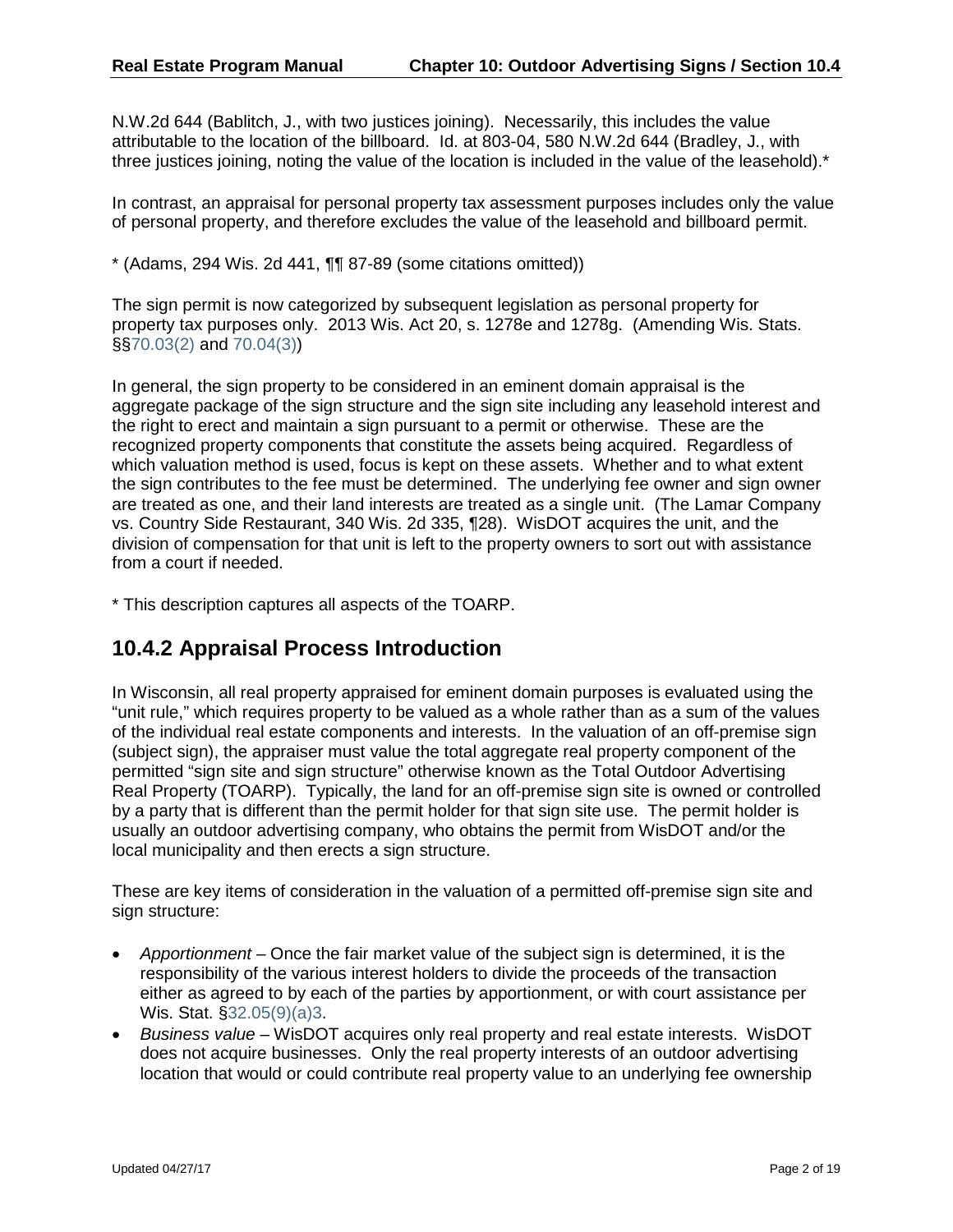N.W.2d 644 (Bablitch, J., with two justices joining). Necessarily, this includes the value attributable to the location of the billboard. Id. at 803-04, 580 N.W.2d 644 (Bradley, J., with three justices joining, noting the value of the location is included in the value of the leasehold).\*

In contrast, an appraisal for personal property tax assessment purposes includes only the value of personal property, and therefore excludes the value of the leasehold and billboard permit.

 $*$  (Adams, 294 Wis. 2d 441,  $\P\P$  87-89 (some citations omitted))

The sign permit is now categorized by subsequent legislation as personal property for property tax purposes only. 2013 Wis. Act 20, s. 1278e and 1278g. (Amending Wis. Stats. §[§70.03\(2\)](https://docs.legis.wisconsin.gov/document/statutes/70.03(2)) and [70.04\(3\)\)](https://docs.legis.wisconsin.gov/document/statutes/70.04(3))

In general, the sign property to be considered in an eminent domain appraisal is the aggregate package of the sign structure and the sign site including any leasehold interest and the right to erect and maintain a sign pursuant to a permit or otherwise. These are the recognized property components that constitute the assets being acquired. Regardless of which valuation method is used, focus is kept on these assets. Whether and to what extent the sign contributes to the fee must be determined. The underlying fee owner and sign owner are treated as one, and their land interests are treated as a single unit. (The Lamar Company vs. Country Side Restaurant, 340 Wis. 2d 335, ¶28). WisDOT acquires the unit, and the division of compensation for that unit is left to the property owners to sort out with assistance from a court if needed.

\* This description captures all aspects of the TOARP.

### **10.4.2 Appraisal Process Introduction**

In Wisconsin, all real property appraised for eminent domain purposes is evaluated using the "unit rule," which requires property to be valued as a whole rather than as a sum of the values of the individual real estate components and interests. In the valuation of an off-premise sign (subject sign), the appraiser must value the total aggregate real property component of the permitted "sign site and sign structure" otherwise known as the Total Outdoor Advertising Real Property (TOARP). Typically, the land for an off-premise sign site is owned or controlled by a party that is different than the permit holder for that sign site use. The permit holder is usually an outdoor advertising company, who obtains the permit from WisDOT and/or the local municipality and then erects a sign structure.

These are key items of consideration in the valuation of a permitted off-premise sign site and sign structure:

- *Apportionment –* Once the fair market value of the subject sign is determined, it is the responsibility of the various interest holders to divide the proceeds of the transaction either as agreed to by each of the parties by apportionment, or with court assistance per Wis. Stat. [§32.05\(9\)\(a\)3.](https://docs.legis.wisconsin.gov/document/statutes/32.05(9)(a)3.)
- *Business value –* WisDOT acquires only real property and real estate interests. WisDOT does not acquire businesses. Only the real property interests of an outdoor advertising location that would or could contribute real property value to an underlying fee ownership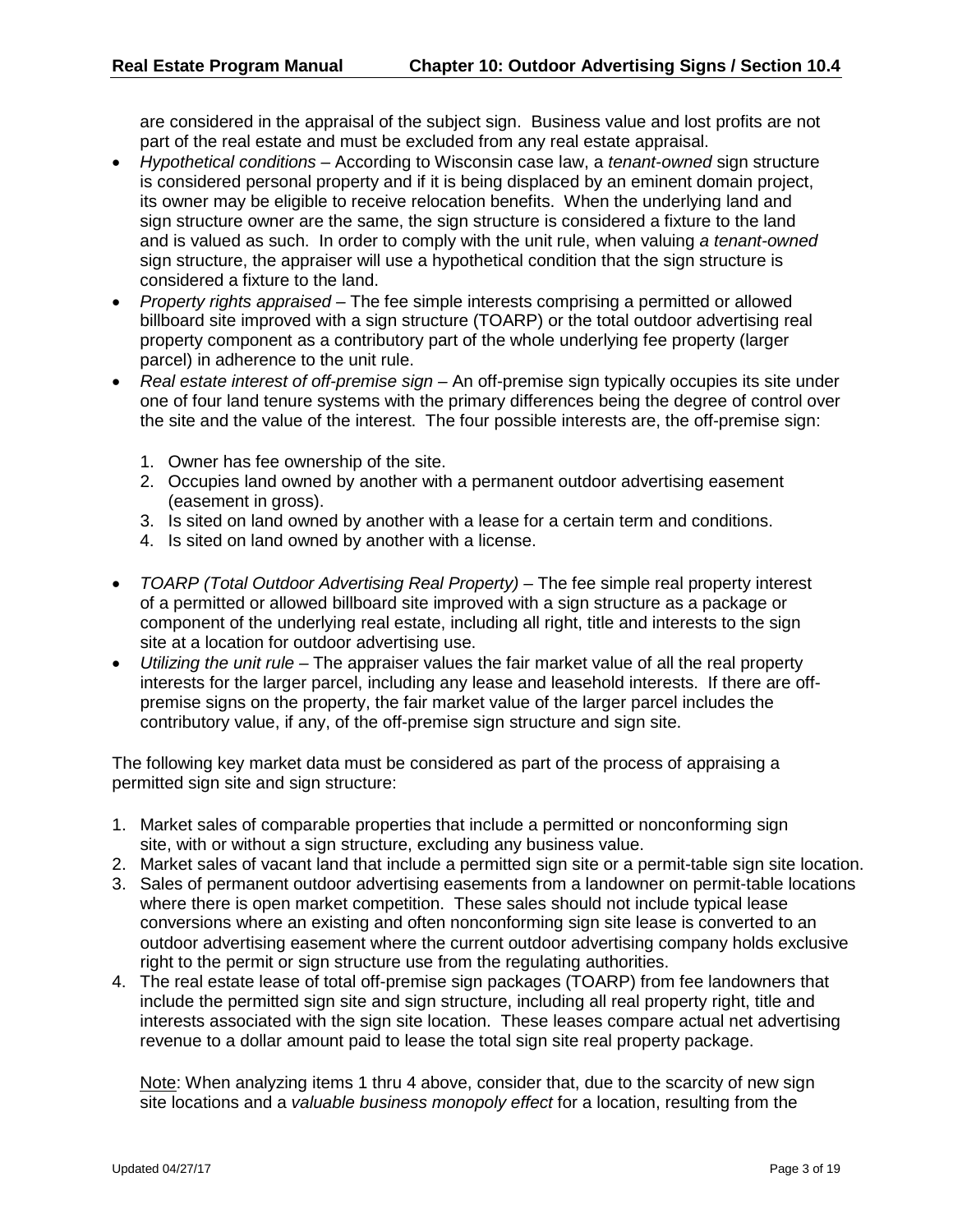are considered in the appraisal of the subject sign. Business value and lost profits are not part of the real estate and must be excluded from any real estate appraisal.

- *Hypothetical conditions* According to Wisconsin case law, a *tenant-owned* sign structure is considered personal property and if it is being displaced by an eminent domain project, its owner may be eligible to receive relocation benefits. When the underlying land and sign structure owner are the same, the sign structure is considered a fixture to the land and is valued as such. In order to comply with the unit rule, when valuing *a tenant-owned* sign structure, the appraiser will use a hypothetical condition that the sign structure is considered a fixture to the land.
- *Property rights appraised* The fee simple interests comprising a permitted or allowed billboard site improved with a sign structure (TOARP) or the total outdoor advertising real property component as a contributory part of the whole underlying fee property (larger parcel) in adherence to the unit rule.
- *Real estate interest of off-premise sign* An off-premise sign typically occupies its site under one of four land tenure systems with the primary differences being the degree of control over the site and the value of the interest. The four possible interests are, the off-premise sign:
	- 1. Owner has fee ownership of the site.
	- 2. Occupies land owned by another with a permanent outdoor advertising easement (easement in gross).
	- 3. Is sited on land owned by another with a lease for a certain term and conditions.
	- 4. Is sited on land owned by another with a license.
- *TOARP (Total Outdoor Advertising Real Property)* The fee simple real property interest of a permitted or allowed billboard site improved with a sign structure as a package or component of the underlying real estate, including all right, title and interests to the sign site at a location for outdoor advertising use.
- *Utilizing the unit rule –* The appraiser values the fair market value of all the real property interests for the larger parcel, including any lease and leasehold interests. If there are offpremise signs on the property, the fair market value of the larger parcel includes the contributory value, if any, of the off-premise sign structure and sign site.

The following key market data must be considered as part of the process of appraising a permitted sign site and sign structure:

- 1. Market sales of comparable properties that include a permitted or nonconforming sign site, with or without a sign structure, excluding any business value.
- 2. Market sales of vacant land that include a permitted sign site or a permit-table sign site location.
- 3. Sales of permanent outdoor advertising easements from a landowner on permit-table locations where there is open market competition. These sales should not include typical lease conversions where an existing and often nonconforming sign site lease is converted to an outdoor advertising easement where the current outdoor advertising company holds exclusive right to the permit or sign structure use from the regulating authorities.
- 4. The real estate lease of total off-premise sign packages (TOARP) from fee landowners that include the permitted sign site and sign structure, including all real property right, title and interests associated with the sign site location. These leases compare actual net advertising revenue to a dollar amount paid to lease the total sign site real property package.

Note: When analyzing items 1 thru 4 above, consider that, due to the scarcity of new sign site locations and a *valuable business monopoly effect* for a location, resulting from the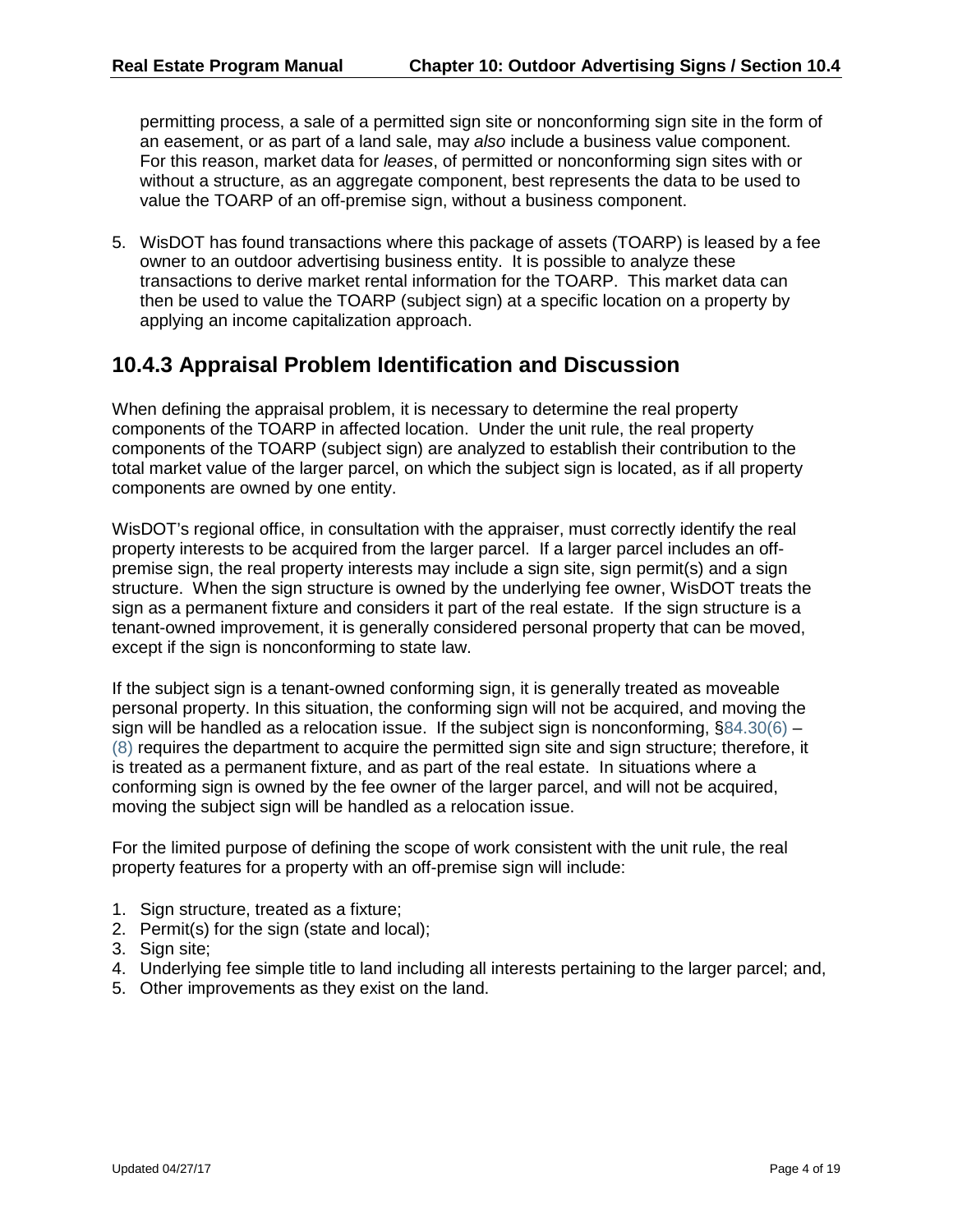permitting process, a sale of a permitted sign site or nonconforming sign site in the form of an easement, or as part of a land sale, may *also* include a business value component. For this reason, market data for *leases*, of permitted or nonconforming sign sites with or without a structure, as an aggregate component, best represents the data to be used to value the TOARP of an off-premise sign, without a business component.

5. WisDOT has found transactions where this package of assets (TOARP) is leased by a fee owner to an outdoor advertising business entity. It is possible to analyze these transactions to derive market rental information for the TOARP. This market data can then be used to value the TOARP (subject sign) at a specific location on a property by applying an income capitalization approach.

#### **10.4.3 Appraisal Problem Identification and Discussion**

When defining the appraisal problem, it is necessary to determine the real property components of the TOARP in affected location. Under the unit rule, the real property components of the TOARP (subject sign) are analyzed to establish their contribution to the total market value of the larger parcel, on which the subject sign is located, as if all property components are owned by one entity.

WisDOT's regional office, in consultation with the appraiser, must correctly identify the real property interests to be acquired from the larger parcel. If a larger parcel includes an offpremise sign, the real property interests may include a sign site, sign permit(s) and a sign structure. When the sign structure is owned by the underlying fee owner, WisDOT treats the sign as a permanent fixture and considers it part of the real estate. If the sign structure is a tenant-owned improvement, it is generally considered personal property that can be moved, except if the sign is nonconforming to state law.

If the subject sign is a tenant-owned conforming sign, it is generally treated as moveable personal property. In this situation, the conforming sign will not be acquired, and moving the sign will be handled as a relocation issue. If the subject sign is nonconforming,  $\S 84.30(6)$  – [\(8\)](https://docs.legis.wisconsin.gov/document/statutes/84.30(8)) requires the department to acquire the permitted sign site and sign structure; therefore, it is treated as a permanent fixture, and as part of the real estate. In situations where a conforming sign is owned by the fee owner of the larger parcel, and will not be acquired, moving the subject sign will be handled as a relocation issue.

For the limited purpose of defining the scope of work consistent with the unit rule, the real property features for a property with an off-premise sign will include:

- 1. Sign structure, treated as a fixture;
- 2. Permit(s) for the sign (state and local);
- 3. Sign site;
- 4. Underlying fee simple title to land including all interests pertaining to the larger parcel; and,
- 5. Other improvements as they exist on the land.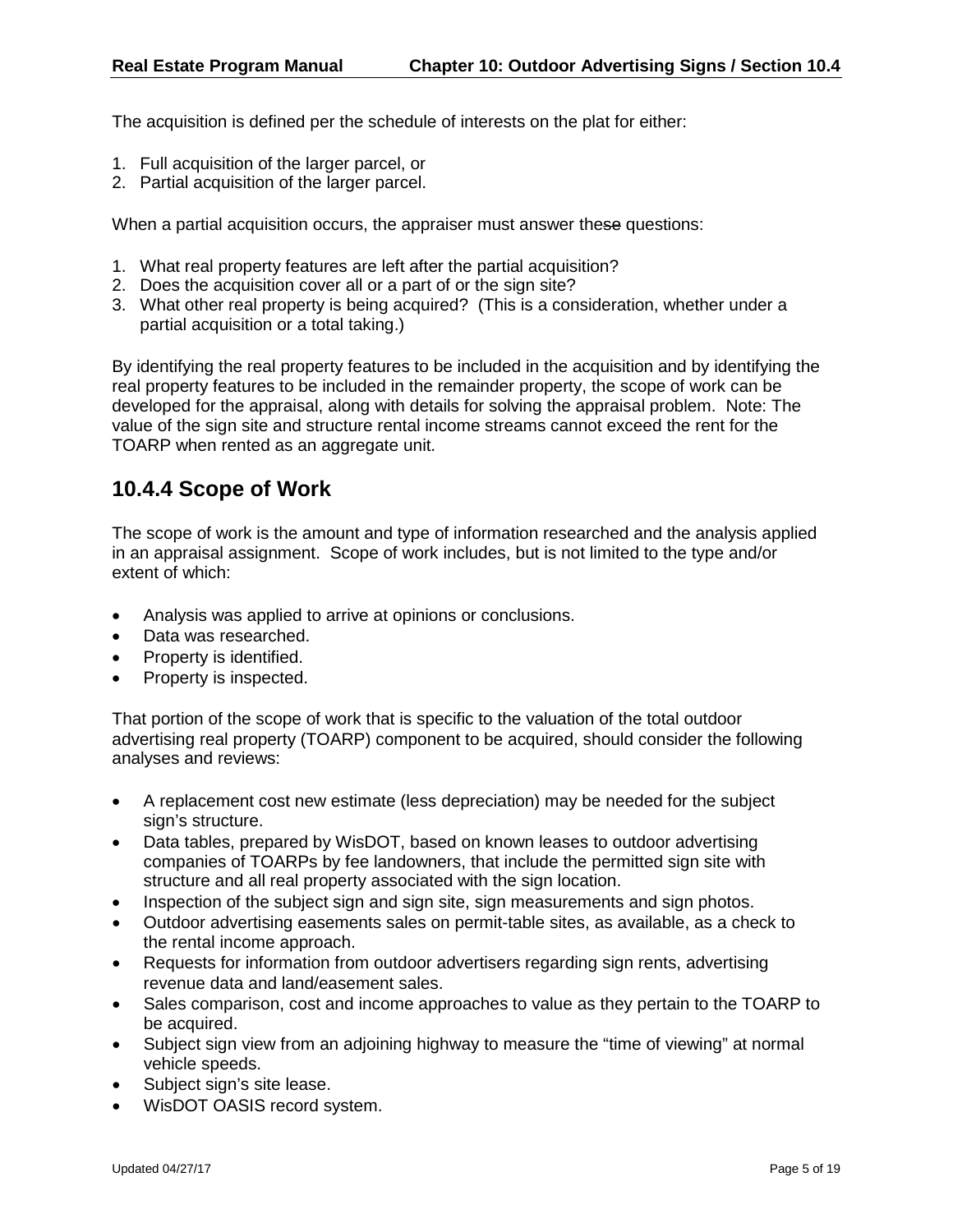The acquisition is defined per the schedule of interests on the plat for either:

- 1. Full acquisition of the larger parcel, or
- 2. Partial acquisition of the larger parcel.

When a partial acquisition occurs, the appraiser must answer these questions:

- 1. What real property features are left after the partial acquisition?
- 2. Does the acquisition cover all or a part of or the sign site?
- 3. What other real property is being acquired? (This is a consideration, whether under a partial acquisition or a total taking.)

By identifying the real property features to be included in the acquisition and by identifying the real property features to be included in the remainder property, the scope of work can be developed for the appraisal, along with details for solving the appraisal problem. Note: The value of the sign site and structure rental income streams cannot exceed the rent for the TOARP when rented as an aggregate unit.

#### **10.4.4 Scope of Work**

The scope of work is the amount and type of information researched and the analysis applied in an appraisal assignment. Scope of work includes, but is not limited to the type and/or extent of which:

- Analysis was applied to arrive at opinions or conclusions.
- Data was researched.
- Property is identified.
- Property is inspected.

That portion of the scope of work that is specific to the valuation of the total outdoor advertising real property (TOARP) component to be acquired, should consider the following analyses and reviews:

- A replacement cost new estimate (less depreciation) may be needed for the subject sign's structure.
- Data tables, prepared by WisDOT, based on known leases to outdoor advertising companies of TOARPs by fee landowners, that include the permitted sign site with structure and all real property associated with the sign location.
- Inspection of the subject sign and sign site, sign measurements and sign photos.
- Outdoor advertising easements sales on permit-table sites, as available, as a check to the rental income approach.
- Requests for information from outdoor advertisers regarding sign rents, advertising revenue data and land/easement sales.
- Sales comparison, cost and income approaches to value as they pertain to the TOARP to be acquired.
- Subject sign view from an adjoining highway to measure the "time of viewing" at normal vehicle speeds.
- Subject sign's site lease.
- WisDOT OASIS record system.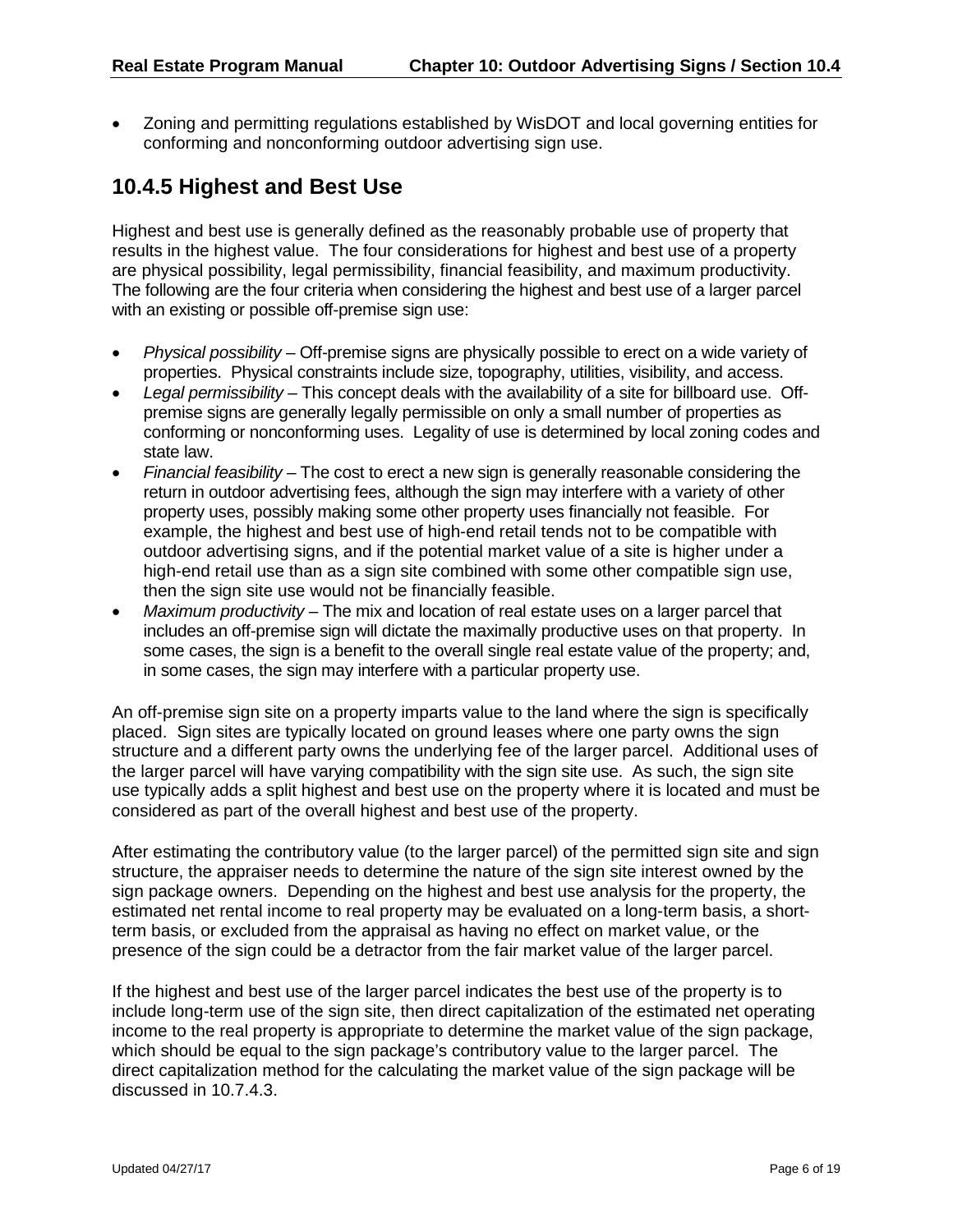• Zoning and permitting regulations established by WisDOT and local governing entities for conforming and nonconforming outdoor advertising sign use.

### **10.4.5 Highest and Best Use**

Highest and best use is generally defined as the reasonably probable use of property that results in the highest value. The four considerations for highest and best use of a property are physical possibility, legal permissibility, financial feasibility, and maximum productivity. The following are the four criteria when considering the highest and best use of a larger parcel with an existing or possible off-premise sign use:

- *Physical possibility* Off-premise signs are physically possible to erect on a wide variety of properties. Physical constraints include size, topography, utilities, visibility, and access.
- *Legal permissibility* This concept deals with the availability of a site for billboard use. Offpremise signs are generally legally permissible on only a small number of properties as conforming or nonconforming uses. Legality of use is determined by local zoning codes and state law.
- *Financial feasibility* The cost to erect a new sign is generally reasonable considering the return in outdoor advertising fees, although the sign may interfere with a variety of other property uses, possibly making some other property uses financially not feasible. For example, the highest and best use of high-end retail tends not to be compatible with outdoor advertising signs, and if the potential market value of a site is higher under a high-end retail use than as a sign site combined with some other compatible sign use, then the sign site use would not be financially feasible.
- *Maximum productivity*  The mix and location of real estate uses on a larger parcel that includes an off-premise sign will dictate the maximally productive uses on that property. In some cases, the sign is a benefit to the overall single real estate value of the property; and, in some cases, the sign may interfere with a particular property use.

An off-premise sign site on a property imparts value to the land where the sign is specifically placed. Sign sites are typically located on ground leases where one party owns the sign structure and a different party owns the underlying fee of the larger parcel. Additional uses of the larger parcel will have varying compatibility with the sign site use. As such, the sign site use typically adds a split highest and best use on the property where it is located and must be considered as part of the overall highest and best use of the property.

After estimating the contributory value (to the larger parcel) of the permitted sign site and sign structure, the appraiser needs to determine the nature of the sign site interest owned by the sign package owners. Depending on the highest and best use analysis for the property, the estimated net rental income to real property may be evaluated on a long-term basis, a shortterm basis, or excluded from the appraisal as having no effect on market value, or the presence of the sign could be a detractor from the fair market value of the larger parcel.

If the highest and best use of the larger parcel indicates the best use of the property is to include long-term use of the sign site, then direct capitalization of the estimated net operating income to the real property is appropriate to determine the market value of the sign package, which should be equal to the sign package's contributory value to the larger parcel. The direct capitalization method for the calculating the market value of the sign package will be discussed in 10.7.4.3.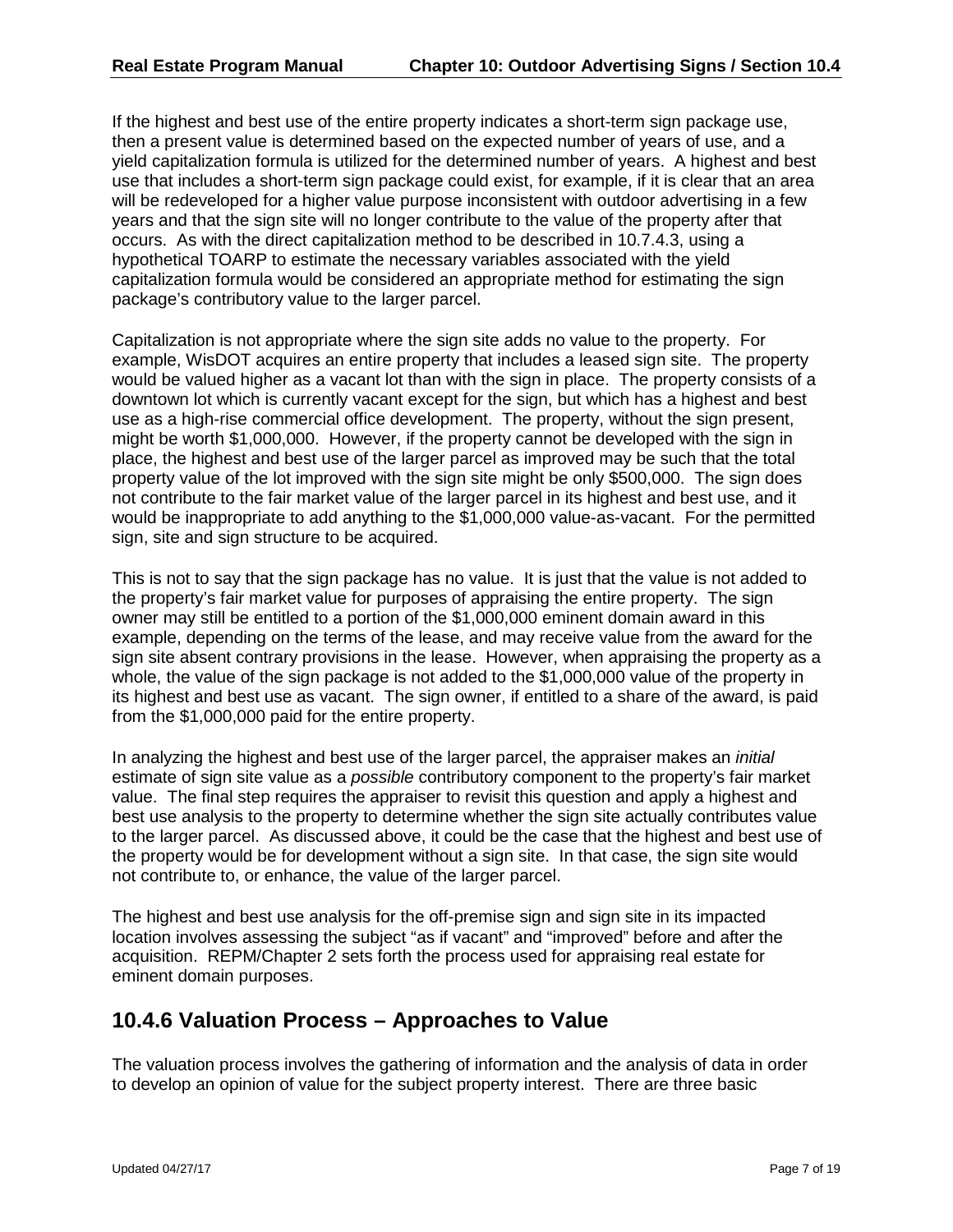If the highest and best use of the entire property indicates a short-term sign package use, then a present value is determined based on the expected number of years of use, and a yield capitalization formula is utilized for the determined number of years. A highest and best use that includes a short-term sign package could exist, for example, if it is clear that an area will be redeveloped for a higher value purpose inconsistent with outdoor advertising in a few years and that the sign site will no longer contribute to the value of the property after that occurs. As with the direct capitalization method to be described in 10.7.4.3, using a hypothetical TOARP to estimate the necessary variables associated with the yield capitalization formula would be considered an appropriate method for estimating the sign package's contributory value to the larger parcel.

Capitalization is not appropriate where the sign site adds no value to the property. For example, WisDOT acquires an entire property that includes a leased sign site. The property would be valued higher as a vacant lot than with the sign in place. The property consists of a downtown lot which is currently vacant except for the sign, but which has a highest and best use as a high-rise commercial office development. The property, without the sign present, might be worth \$1,000,000. However, if the property cannot be developed with the sign in place, the highest and best use of the larger parcel as improved may be such that the total property value of the lot improved with the sign site might be only \$500,000. The sign does not contribute to the fair market value of the larger parcel in its highest and best use, and it would be inappropriate to add anything to the \$1,000,000 value-as-vacant. For the permitted sign, site and sign structure to be acquired.

This is not to say that the sign package has no value. It is just that the value is not added to the property's fair market value for purposes of appraising the entire property. The sign owner may still be entitled to a portion of the \$1,000,000 eminent domain award in this example, depending on the terms of the lease, and may receive value from the award for the sign site absent contrary provisions in the lease. However, when appraising the property as a whole, the value of the sign package is not added to the \$1,000,000 value of the property in its highest and best use as vacant. The sign owner, if entitled to a share of the award, is paid from the \$1,000,000 paid for the entire property.

In analyzing the highest and best use of the larger parcel, the appraiser makes an *initial* estimate of sign site value as a *possible* contributory component to the property's fair market value. The final step requires the appraiser to revisit this question and apply a highest and best use analysis to the property to determine whether the sign site actually contributes value to the larger parcel. As discussed above, it could be the case that the highest and best use of the property would be for development without a sign site. In that case, the sign site would not contribute to, or enhance, the value of the larger parcel.

The highest and best use analysis for the off-premise sign and sign site in its impacted location involves assessing the subject "as if vacant" and "improved" before and after the acquisition. REPM/Chapter 2 sets forth the process used for appraising real estate for eminent domain purposes.

### **10.4.6 Valuation Process – Approaches to Value**

The valuation process involves the gathering of information and the analysis of data in order to develop an opinion of value for the subject property interest. There are three basic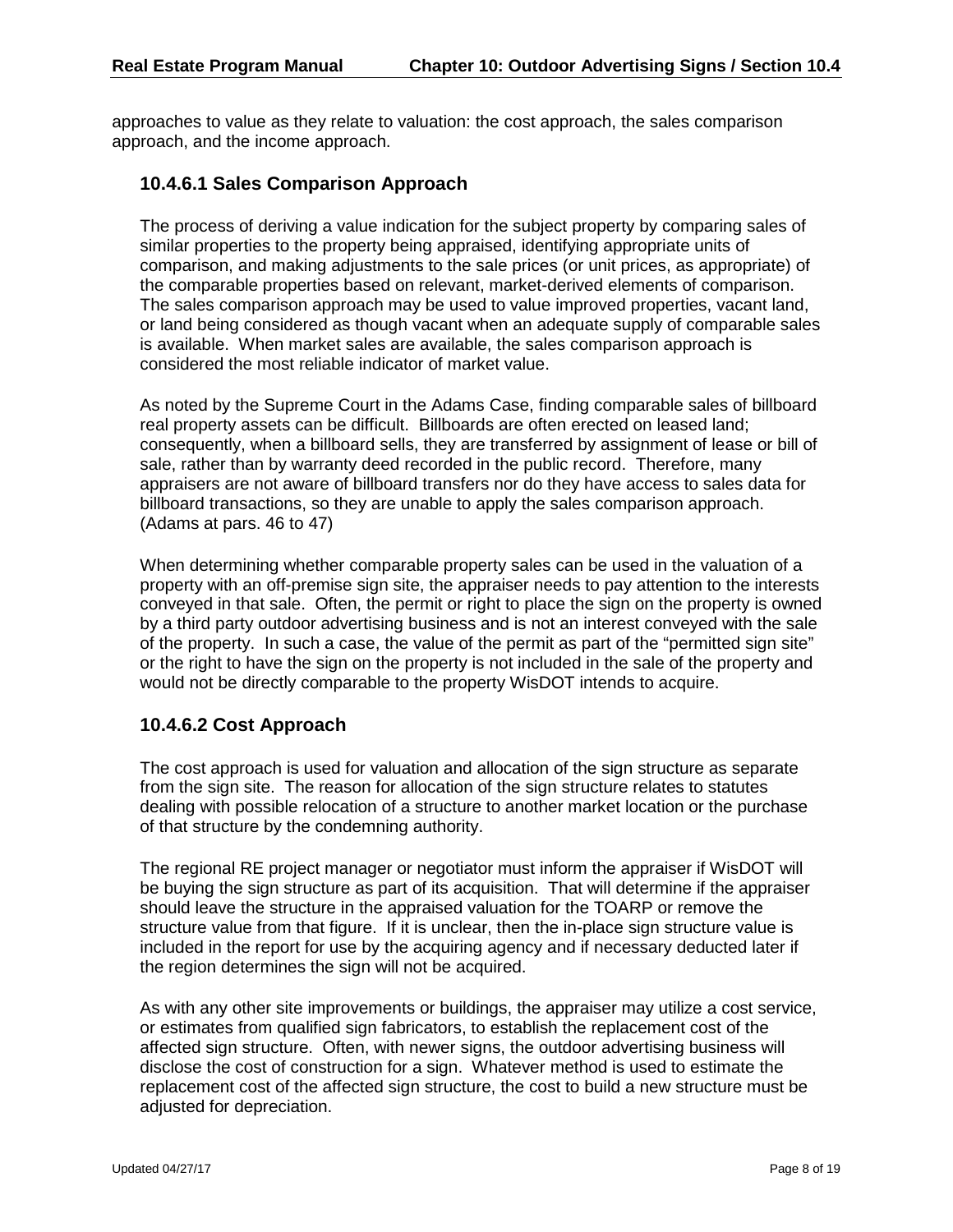approaches to value as they relate to valuation: the cost approach, the sales comparison approach, and the income approach.

#### **10.4.6.1 Sales Comparison Approach**

The process of deriving a value indication for the subject property by comparing sales of similar properties to the property being appraised, identifying appropriate units of comparison, and making adjustments to the sale prices (or unit prices, as appropriate) of the comparable properties based on relevant, market-derived elements of comparison. The sales comparison approach may be used to value improved properties, vacant land, or land being considered as though vacant when an adequate supply of comparable sales is available. When market sales are available, the sales comparison approach is considered the most reliable indicator of market value.

As noted by the Supreme Court in the Adams Case, finding comparable sales of billboard real property assets can be difficult. Billboards are often erected on leased land; consequently, when a billboard sells, they are transferred by assignment of lease or bill of sale, rather than by warranty deed recorded in the public record. Therefore, many appraisers are not aware of billboard transfers nor do they have access to sales data for billboard transactions, so they are unable to apply the sales comparison approach. (Adams at pars. 46 to 47)

When determining whether comparable property sales can be used in the valuation of a property with an off-premise sign site, the appraiser needs to pay attention to the interests conveyed in that sale. Often, the permit or right to place the sign on the property is owned by a third party outdoor advertising business and is not an interest conveyed with the sale of the property. In such a case, the value of the permit as part of the "permitted sign site" or the right to have the sign on the property is not included in the sale of the property and would not be directly comparable to the property WisDOT intends to acquire.

#### **10.4.6.2 Cost Approach**

The cost approach is used for valuation and allocation of the sign structure as separate from the sign site. The reason for allocation of the sign structure relates to statutes dealing with possible relocation of a structure to another market location or the purchase of that structure by the condemning authority.

The regional RE project manager or negotiator must inform the appraiser if WisDOT will be buying the sign structure as part of its acquisition. That will determine if the appraiser should leave the structure in the appraised valuation for the TOARP or remove the structure value from that figure. If it is unclear, then the in-place sign structure value is included in the report for use by the acquiring agency and if necessary deducted later if the region determines the sign will not be acquired.

As with any other site improvements or buildings, the appraiser may utilize a cost service, or estimates from qualified sign fabricators, to establish the replacement cost of the affected sign structure. Often, with newer signs, the outdoor advertising business will disclose the cost of construction for a sign. Whatever method is used to estimate the replacement cost of the affected sign structure, the cost to build a new structure must be adjusted for depreciation.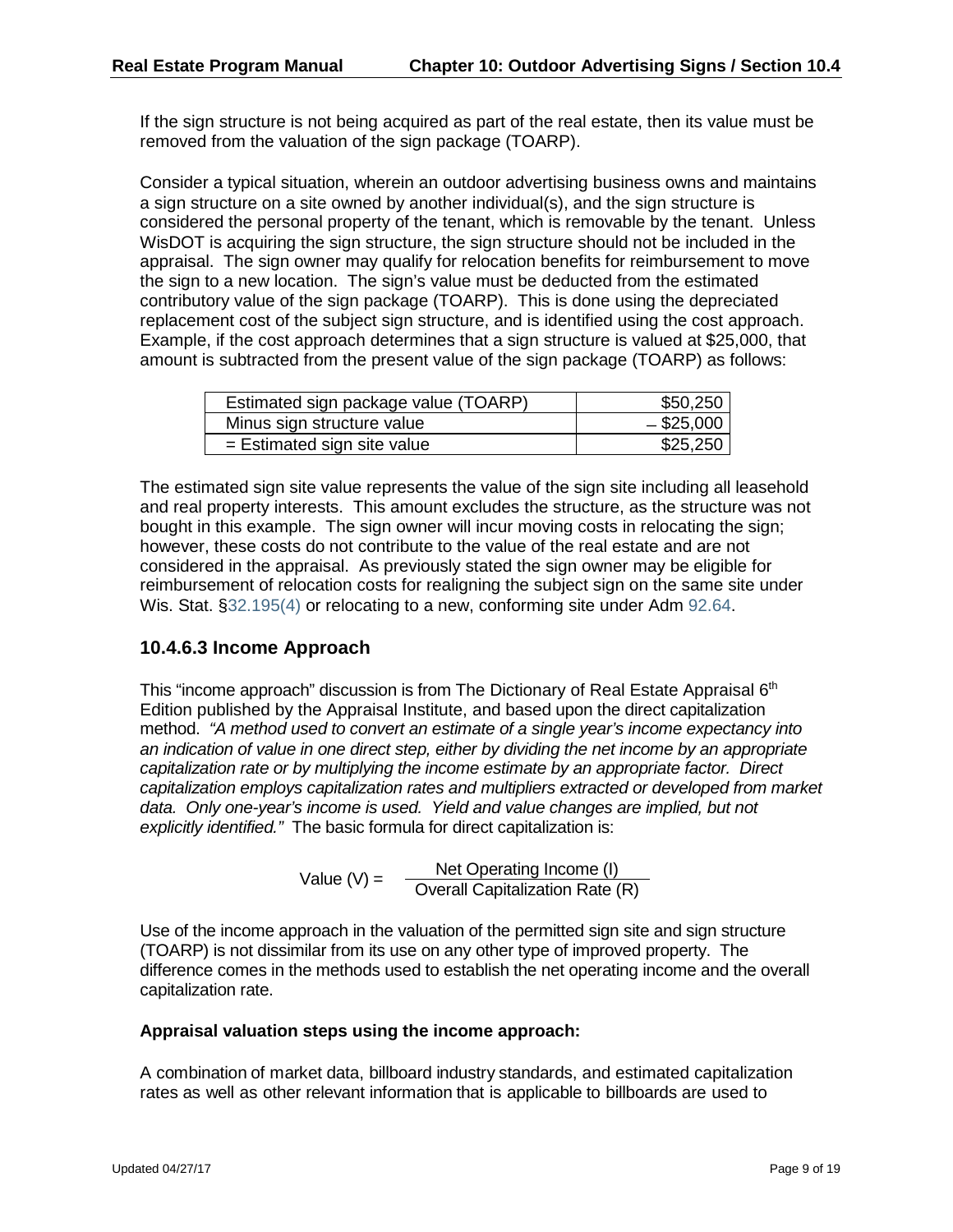If the sign structure is not being acquired as part of the real estate, then its value must be removed from the valuation of the sign package (TOARP).

Consider a typical situation, wherein an outdoor advertising business owns and maintains a sign structure on a site owned by another individual(s), and the sign structure is considered the personal property of the tenant, which is removable by the tenant. Unless WisDOT is acquiring the sign structure, the sign structure should not be included in the appraisal. The sign owner may qualify for relocation benefits for reimbursement to move the sign to a new location. The sign's value must be deducted from the estimated contributory value of the sign package (TOARP). This is done using the depreciated replacement cost of the subject sign structure, and is identified using the cost approach. Example, if the cost approach determines that a sign structure is valued at \$25,000, that amount is subtracted from the present value of the sign package (TOARP) as follows:

| Estimated sign package value (TOARP) | \$50,250     |
|--------------------------------------|--------------|
| Minus sign structure value           | $-$ \$25,000 |
| $=$ Estimated sign site value        | \$25,250     |

The estimated sign site value represents the value of the sign site including all leasehold and real property interests. This amount excludes the structure, as the structure was not bought in this example. The sign owner will incur moving costs in relocating the sign; however, these costs do not contribute to the value of the real estate and are not considered in the appraisal. As previously stated the sign owner may be eligible for reimbursement of relocation costs for realigning the subject sign on the same site under Wis. Stat. [§32.195\(4\)](https://docs.legis.wisconsin.gov/document/statutes/32.195(4)) or relocating to a new, conforming site under Adm [92.64.](https://docs.legis.wisconsin.gov/document/administrativecode/Adm%2092.64)

#### **10.4.6.3 Income Approach**

This "income approach" discussion is from The Dictionary of Real Estate Appraisal 6<sup>th</sup> Edition published by the Appraisal Institute, and based upon the direct capitalization method. *"A method used to convert an estimate of a single year's income expectancy into an indication of value in one direct step, either by dividing the net income by an appropriate capitalization rate or by multiplying the income estimate by an appropriate factor. Direct capitalization employs capitalization rates and multipliers extracted or developed from market data. Only one-year's income is used. Yield and value changes are implied, but not explicitly identified."* The basic formula for direct capitalization is:

Value (V) = Net Operating Income (I) Overall Capitalization Rate (R)

Use of the income approach in the valuation of the permitted sign site and sign structure (TOARP) is not dissimilar from its use on any other type of improved property. The difference comes in the methods used to establish the net operating income and the overall capitalization rate.

#### **Appraisal valuation steps using the income approach:**

A combination of market data, billboard industry standards, and estimated capitalization rates as well as other relevant information that is applicable to billboards are used to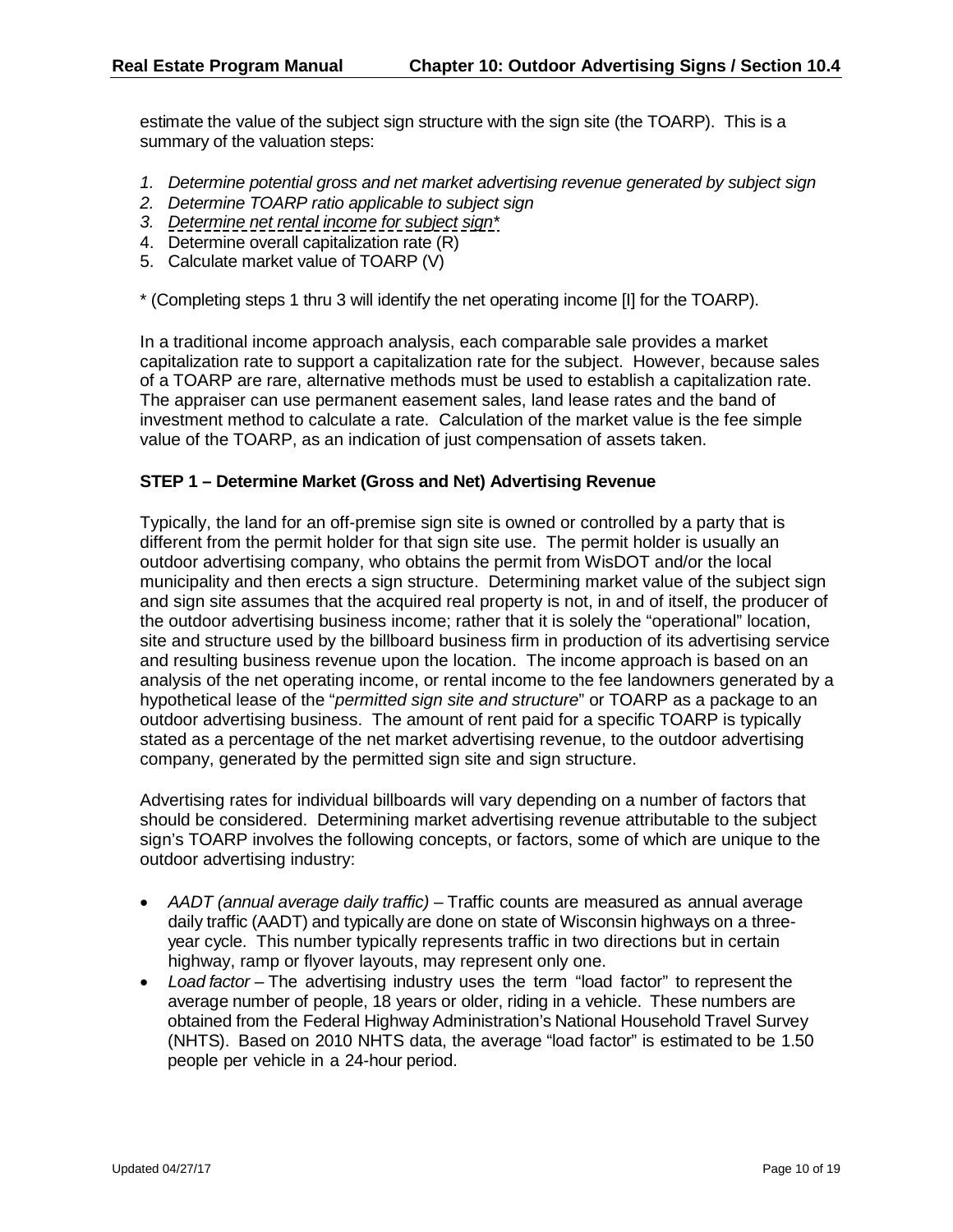estimate the value of the subject sign structure with the sign site (the TOARP). This is a summary of the valuation steps:

- *1. Determine potential gross and net market advertising revenue generated by subject sign*
- *2. Determine TOARP ratio applicable to subject sign*
- *3. Determine net rental income for subject sign\**
- 4. Determine overall capitalization rate (R)
- 5. Calculate market value of TOARP (V)

\* (Completing steps 1 thru 3 will identify the net operating income [I] for the TOARP).

In a traditional income approach analysis, each comparable sale provides a market capitalization rate to support a capitalization rate for the subject. However, because sales of a TOARP are rare, alternative methods must be used to establish a capitalization rate. The appraiser can use permanent easement sales, land lease rates and the band of investment method to calculate a rate. Calculation of the market value is the fee simple value of the TOARP, as an indication of just compensation of assets taken.

#### **STEP 1 – Determine Market (Gross and Net) Advertising Revenue**

Typically, the land for an off-premise sign site is owned or controlled by a party that is different from the permit holder for that sign site use. The permit holder is usually an outdoor advertising company, who obtains the permit from WisDOT and/or the local municipality and then erects a sign structure. Determining market value of the subject sign and sign site assumes that the acquired real property is not, in and of itself, the producer of the outdoor advertising business income; rather that it is solely the "operational" location, site and structure used by the billboard business firm in production of its advertising service and resulting business revenue upon the location. The income approach is based on an analysis of the net operating income, or rental income to the fee landowners generated by a hypothetical lease of the "*permitted sign site and structure*" or TOARP as a package to an outdoor advertising business. The amount of rent paid for a specific TOARP is typically stated as a percentage of the net market advertising revenue, to the outdoor advertising company, generated by the permitted sign site and sign structure.

Advertising rates for individual billboards will vary depending on a number of factors that should be considered. Determining market advertising revenue attributable to the subject sign's TOARP involves the following concepts, or factors, some of which are unique to the outdoor advertising industry:

- *AADT (annual average daily traffic)*  Traffic counts are measured as annual average daily traffic (AADT) and typically are done on state of Wisconsin highways on a threeyear cycle. This number typically represents traffic in two directions but in certain highway, ramp or flyover layouts, may represent only one.
- *Load factor*  The advertising industry uses the term "load factor" to represent the average number of people, 18 years or older, riding in a vehicle. These numbers are obtained from the Federal Highway Administration's National Household Travel Survey (NHTS). Based on 2010 NHTS data, the average "load factor" is estimated to be 1.50 people per vehicle in a 24-hour period.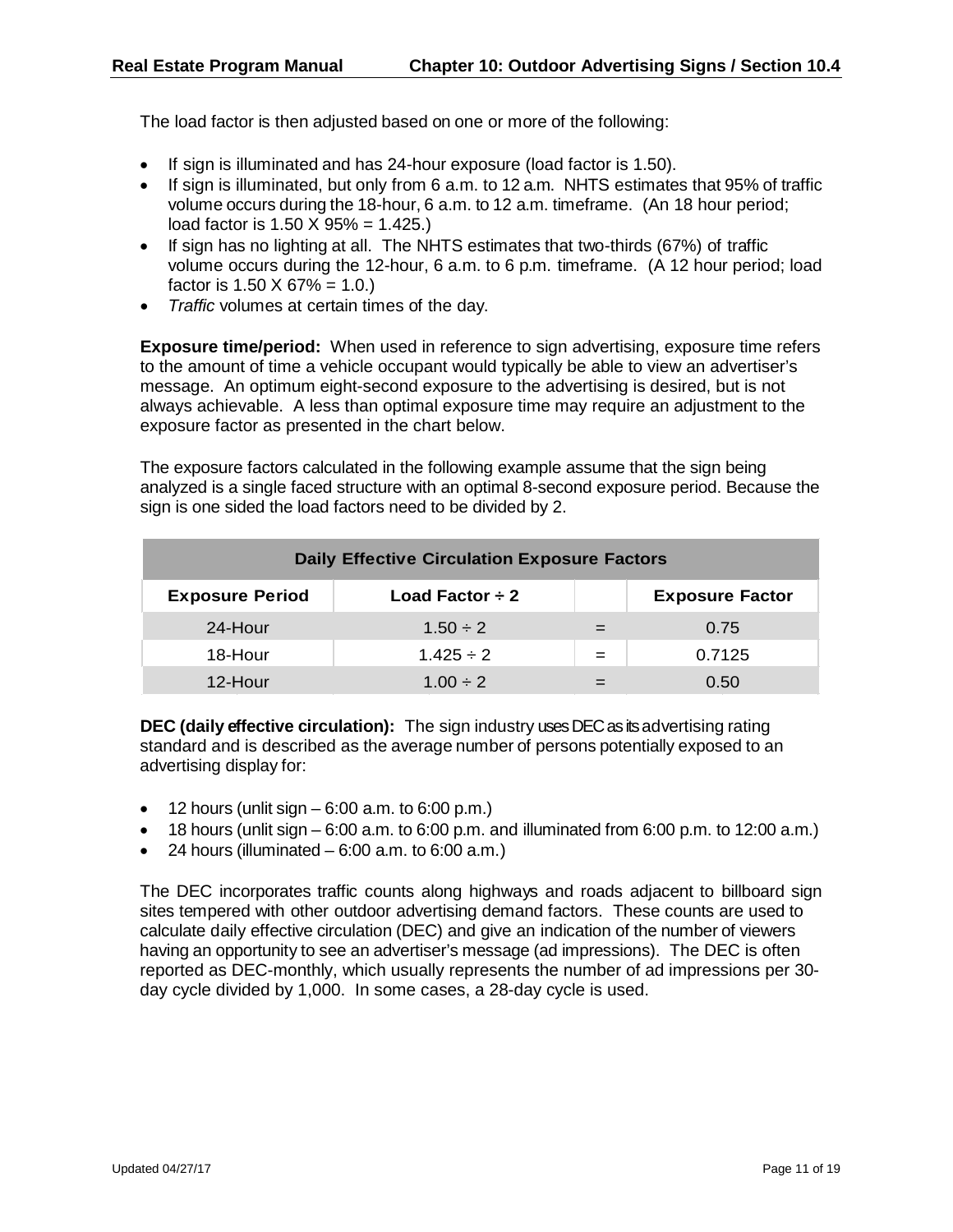The load factor is then adjusted based on one or more of the following:

- If sign is illuminated and has 24-hour exposure (load factor is 1.50).
- If sign is illuminated, but only from 6 a.m. to 12 a.m. NHTS estimates that 95% of traffic volume occurs during the 18-hour, 6 a.m. to 12 a.m. timeframe. (An 18 hour period; load factor is  $1.50 \times 95\% = 1.425$ .
- If sign has no lighting at all. The NHTS estimates that two-thirds (67%) of traffic volume occurs during the 12-hour, 6 a.m. to 6 p.m. timeframe. (A 12 hour period; load factor is  $1.50 \times 67\% = 1.0$ .
- *Traffic* volumes at certain times of the day.

**Exposure time/period:** When used in reference to sign advertising, exposure time refers to the amount of time a vehicle occupant would typically be able to view an advertiser's message. An optimum eight-second exposure to the advertising is desired, but is not always achievable. A less than optimal exposure time may require an adjustment to the exposure factor as presented in the chart below.

The exposure factors calculated in the following example assume that the sign being analyzed is a single faced structure with an optimal 8-second exposure period. Because the sign is one sided the load factors need to be divided by 2.

|                        | <b>Daily Effective Circulation Exposure Factors</b> |     |                        |
|------------------------|-----------------------------------------------------|-----|------------------------|
| <b>Exposure Period</b> | Load Factor $\div 2$                                |     | <b>Exposure Factor</b> |
| 24-Hour                | $1.50 \div 2$                                       |     | 0.75                   |
| 18-Hour                | $1.425 \div 2$                                      | $=$ | 0.7125                 |
| 12-Hour                | $1.00 \div 2$                                       |     | 0.50                   |

**DEC (daily effective circulation):** The sign industry uses DEC as its advertising rating standard and is described as the average number of persons potentially exposed to an advertising display for:

- $\bullet$  12 hours (unlit sign  $-6:00$  a.m. to 6:00 p.m.)
- $\bullet$  18 hours (unlit sign 6:00 a.m. to 6:00 p.m. and illuminated from 6:00 p.m. to 12:00 a.m.)
- 24 hours (illuminated  $-6:00$  a.m. to  $6:00$  a.m.)

The DEC incorporates traffic counts along highways and roads adjacent to billboard sign sites tempered with other outdoor advertising demand factors. These counts are used to calculate daily effective circulation (DEC) and give an indication of the number of viewers having an opportunity to see an advertiser's message (ad impressions). The DEC is often reported as DEC-monthly, which usually represents the number of ad impressions per 30 day cycle divided by 1,000. In some cases, a 28-day cycle is used.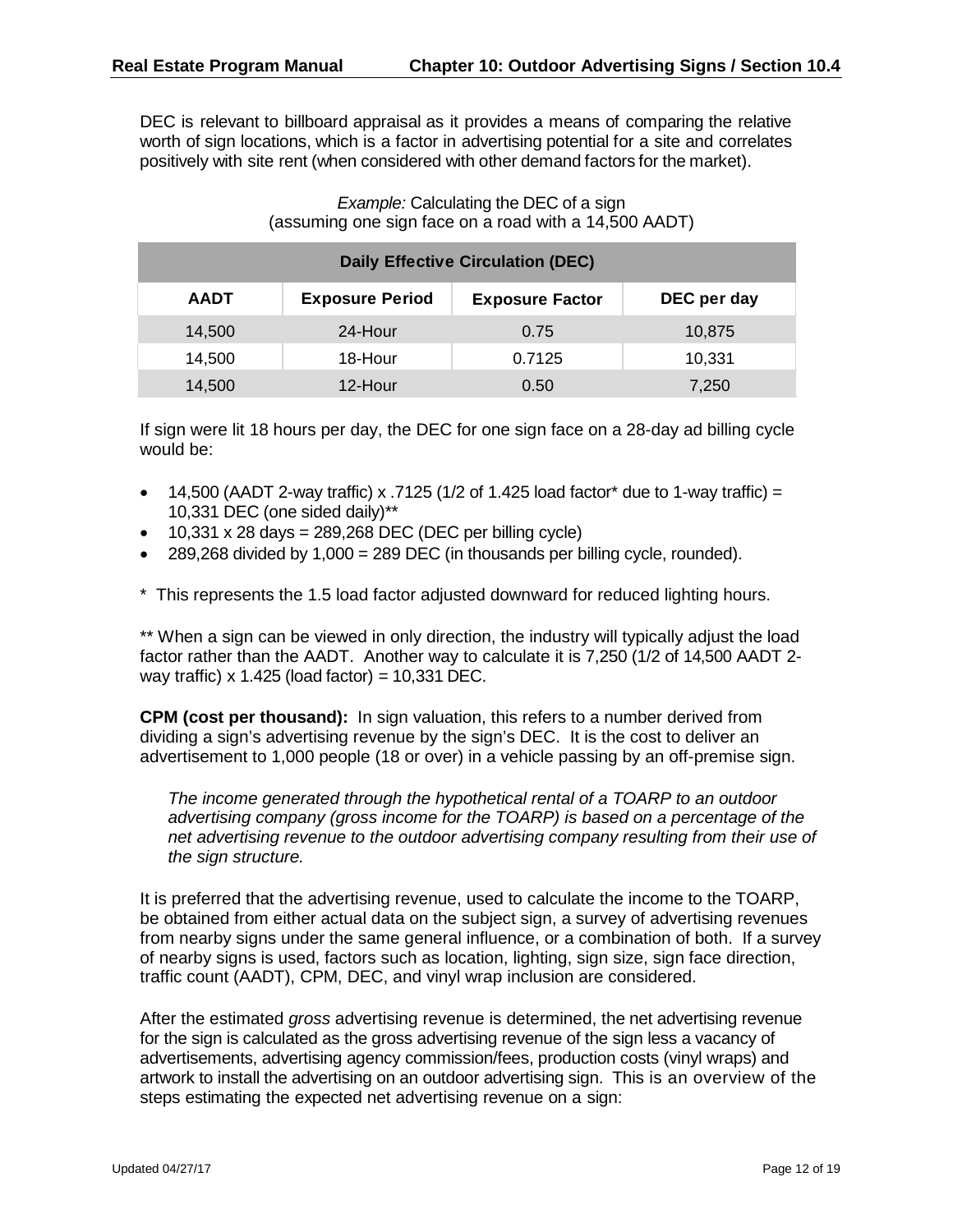DEC is relevant to billboard appraisal as it provides a means of comparing the relative worth of sign locations, which is a factor in advertising potential for a site and correlates positively with site rent (when considered with other demand factors for the market).

#### *Example:* Calculating the DEC of a sign (assuming one sign face on a road with a 14,500 AADT)

|             |                        | <b>Daily Effective Circulation (DEC)</b> |             |
|-------------|------------------------|------------------------------------------|-------------|
| <b>AADT</b> | <b>Exposure Period</b> | <b>Exposure Factor</b>                   | DEC per day |
| 14,500      | 24-Hour                | 0.75                                     | 10,875      |
| 14,500      | 18-Hour                | 0.7125                                   | 10,331      |
| 14,500      | 12-Hour                | 0.50                                     | 7,250       |

If sign were lit 18 hours per day, the DEC for one sign face on a 28-day ad billing cycle would be:

- 14,500 (AADT 2-way traffic) x .7125 (1/2 of 1.425 load factor\* due to 1-way traffic) = 10,331 DEC (one sided daily)\*\*
- $\bullet$  10,331 x 28 days = 289,268 DEC (DEC per billing cycle)
- 289,268 divided by  $1,000 = 289$  DEC (in thousands per billing cycle, rounded).

\* This represents the 1.5 load factor adjusted downward for reduced lighting hours.

\*\* When a sign can be viewed in only direction, the industry will typically adjust the load factor rather than the AADT. Another way to calculate it is 7,250 (1/2 of 14,500 AADT 2 way traffic)  $x$  1.425 (load factor) = 10,331 DEC.

**CPM (cost per thousand):** In sign valuation, this refers to a number derived from dividing a sign's advertising revenue by the sign's DEC. It is the cost to deliver an advertisement to 1,000 people (18 or over) in a vehicle passing by an off-premise sign.

*The income generated through the hypothetical rental of a TOARP to an outdoor advertising company (gross income for the TOARP) is based on a percentage of the net advertising revenue to the outdoor advertising company resulting from their use of the sign structure.*

It is preferred that the advertising revenue, used to calculate the income to the TOARP, be obtained from either actual data on the subject sign, a survey of advertising revenues from nearby signs under the same general influence, or a combination of both. If a survey of nearby signs is used, factors such as location, lighting, sign size, sign face direction, traffic count (AADT), CPM, DEC, and vinyl wrap inclusion are considered.

After the estimated *gross* advertising revenue is determined, the net advertising revenue for the sign is calculated as the gross advertising revenue of the sign less a vacancy of advertisements, advertising agency commission/fees, production costs (vinyl wraps) and artwork to install the advertising on an outdoor advertising sign. This is an overview of the steps estimating the expected net advertising revenue on a sign: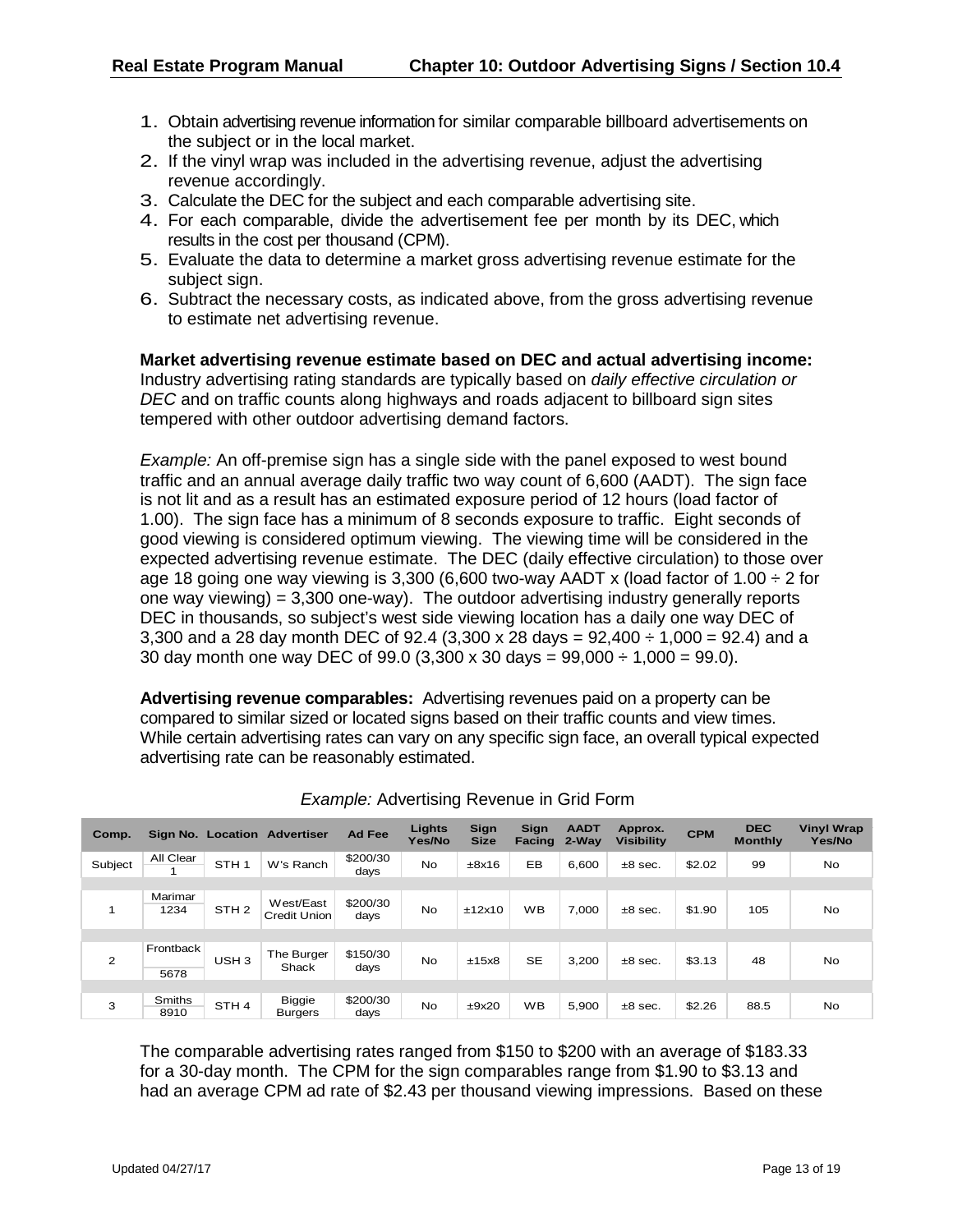- 1. Obtain advertising revenue information for similar comparable billboard advertisements on the subject or in the local market.
- 2. If the vinyl wrap was included in the advertising revenue, adjust the advertising revenue accordingly.
- 3. Calculate the DEC for the subject and each comparable advertising site.
- 4. For each comparable, divide the advertisement fee per month by its DEC, which results in the cost per thousand (CPM).
- 5. Evaluate the data to determine a market gross advertising revenue estimate for the subject sign.
- 6. Subtract the necessary costs, as indicated above, from the gross advertising revenue to estimate net advertising revenue.

**Market advertising revenue estimate based on DEC and actual advertising income:**  Industry advertising rating standards are typically based on *daily effective circulation or DEC* and on traffic counts along highways and roads adjacent to billboard sign sites tempered with other outdoor advertising demand factors.

*Example:* An off-premise sign has a single side with the panel exposed to west bound traffic and an annual average daily traffic two way count of 6,600 (AADT). The sign face is not lit and as a result has an estimated exposure period of 12 hours (load factor of 1.00). The sign face has a minimum of 8 seconds exposure to traffic. Eight seconds of good viewing is considered optimum viewing. The viewing time will be considered in the expected advertising revenue estimate. The DEC (daily effective circulation) to those over age 18 going one way viewing is 3,300 (6,600 two-way AADT x (load factor of  $1.00 \div 2$  for one way viewing) =  $3,300$  one-way). The outdoor advertising industry generally reports DEC in thousands, so subject's west side viewing location has a daily one way DEC of 3,300 and a 28 day month DEC of 92.4  $(3,300 \times 28 \text{ days} = 92,400 \div 1,000 = 92.4)$  and a 30 day month one way DEC of  $99.0$  (3,300 x 30 days =  $99.000 \div 1,000 = 99.0$ ).

**Advertising revenue comparables:** Advertising revenues paid on a property can be compared to similar sized or located signs based on their traffic counts and view times. While certain advertising rates can vary on any specific sign face, an overall typical expected advertising rate can be reasonably estimated.

| Comp.   |                 | Sign No. Location | <b>Advertiser</b>               | <b>Ad Fee</b>    | Lights<br>Yes/No | Sign<br><b>Size</b> | Sign<br><b>Facing</b> | <b>AADT</b><br>$2-Wav$ | Approx.<br><b>Visibility</b> | <b>CPM</b> | <b>DEC</b><br><b>Monthly</b> | <b>Vinyl Wrap</b><br>Yes/No |
|---------|-----------------|-------------------|---------------------------------|------------------|------------------|---------------------|-----------------------|------------------------|------------------------------|------------|------------------------------|-----------------------------|
| Subject | All Clear       | STH <sub>1</sub>  | W's Ranch                       | \$200/30<br>days | <b>No</b>        | ±8x16               | EB                    | 6,600                  | $±8$ sec.                    | \$2.02     | 99                           | <b>No</b>                   |
|         |                 |                   |                                 |                  |                  |                     |                       |                        |                              |            |                              |                             |
|         | Marimar<br>1234 | STH <sub>2</sub>  | West/East<br>Credit Union       | \$200/30<br>days | <b>No</b>        | ±12x10              | <b>WB</b>             | 7.000                  | $±8$ sec.                    | \$1.90     | 105                          | No                          |
|         |                 |                   |                                 |                  |                  |                     |                       |                        |                              |            |                              |                             |
| 2       | Frontback       | USH <sub>3</sub>  | The Burger<br>Shack             | \$150/30<br>days | <b>No</b>        | ±15x8               | <b>SE</b>             | 3.200                  | $±8$ sec.                    | \$3.13     | 48                           | <b>No</b>                   |
|         | 5678            |                   |                                 |                  |                  |                     |                       |                        |                              |            |                              |                             |
|         |                 |                   |                                 |                  |                  |                     |                       |                        |                              |            |                              |                             |
| 3       | Smiths<br>8910  | STH <sub>4</sub>  | <b>Biggie</b><br><b>Burgers</b> | \$200/30<br>days | <b>No</b>        | ±9x20               | <b>WB</b>             | 5,900                  | $±8$ sec.                    | \$2.26     | 88.5                         | <b>No</b>                   |

|  | <b>Example: Advertising Revenue in Grid Form</b> |  |  |  |  |
|--|--------------------------------------------------|--|--|--|--|
|--|--------------------------------------------------|--|--|--|--|

The comparable advertising rates ranged from \$150 to \$200 with an average of \$183.33 for a 30-day month. The CPM for the sign comparables range from \$1.90 to \$3.13 and had an average CPM ad rate of \$2.43 per thousand viewing impressions. Based on these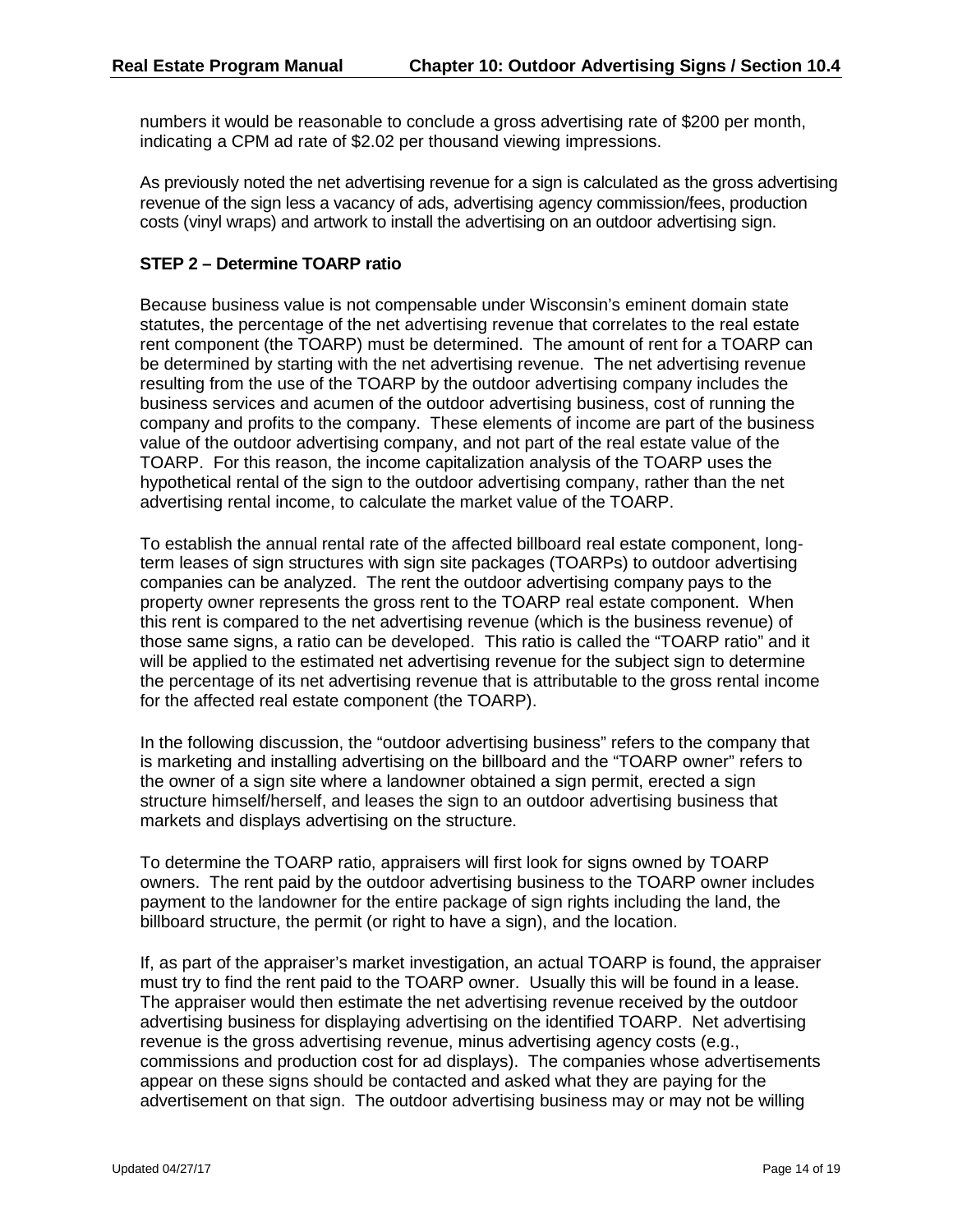numbers it would be reasonable to conclude a gross advertising rate of \$200 per month, indicating a CPM ad rate of \$2.02 per thousand viewing impressions.

As previously noted the net advertising revenue for a sign is calculated as the gross advertising revenue of the sign less a vacancy of ads, advertising agency commission/fees, production costs (vinyl wraps) and artwork to install the advertising on an outdoor advertising sign.

#### **STEP 2 – Determine TOARP ratio**

Because business value is not compensable under Wisconsin's eminent domain state statutes, the percentage of the net advertising revenue that correlates to the real estate rent component (the TOARP) must be determined. The amount of rent for a TOARP can be determined by starting with the net advertising revenue. The net advertising revenue resulting from the use of the TOARP by the outdoor advertising company includes the business services and acumen of the outdoor advertising business, cost of running the company and profits to the company. These elements of income are part of the business value of the outdoor advertising company, and not part of the real estate value of the TOARP. For this reason, the income capitalization analysis of the TOARP uses the hypothetical rental of the sign to the outdoor advertising company, rather than the net advertising rental income, to calculate the market value of the TOARP.

To establish the annual rental rate of the affected billboard real estate component, longterm leases of sign structures with sign site packages (TOARPs) to outdoor advertising companies can be analyzed. The rent the outdoor advertising company pays to the property owner represents the gross rent to the TOARP real estate component. When this rent is compared to the net advertising revenue (which is the business revenue) of those same signs, a ratio can be developed. This ratio is called the "TOARP ratio" and it will be applied to the estimated net advertising revenue for the subject sign to determine the percentage of its net advertising revenue that is attributable to the gross rental income for the affected real estate component (the TOARP).

In the following discussion, the "outdoor advertising business" refers to the company that is marketing and installing advertising on the billboard and the "TOARP owner" refers to the owner of a sign site where a landowner obtained a sign permit, erected a sign structure himself/herself, and leases the sign to an outdoor advertising business that markets and displays advertising on the structure.

To determine the TOARP ratio, appraisers will first look for signs owned by TOARP owners. The rent paid by the outdoor advertising business to the TOARP owner includes payment to the landowner for the entire package of sign rights including the land, the billboard structure, the permit (or right to have a sign), and the location.

If, as part of the appraiser's market investigation, an actual TOARP is found, the appraiser must try to find the rent paid to the TOARP owner. Usually this will be found in a lease. The appraiser would then estimate the net advertising revenue received by the outdoor advertising business for displaying advertising on the identified TOARP. Net advertising revenue is the gross advertising revenue, minus advertising agency costs (e.g., commissions and production cost for ad displays). The companies whose advertisements appear on these signs should be contacted and asked what they are paying for the advertisement on that sign. The outdoor advertising business may or may not be willing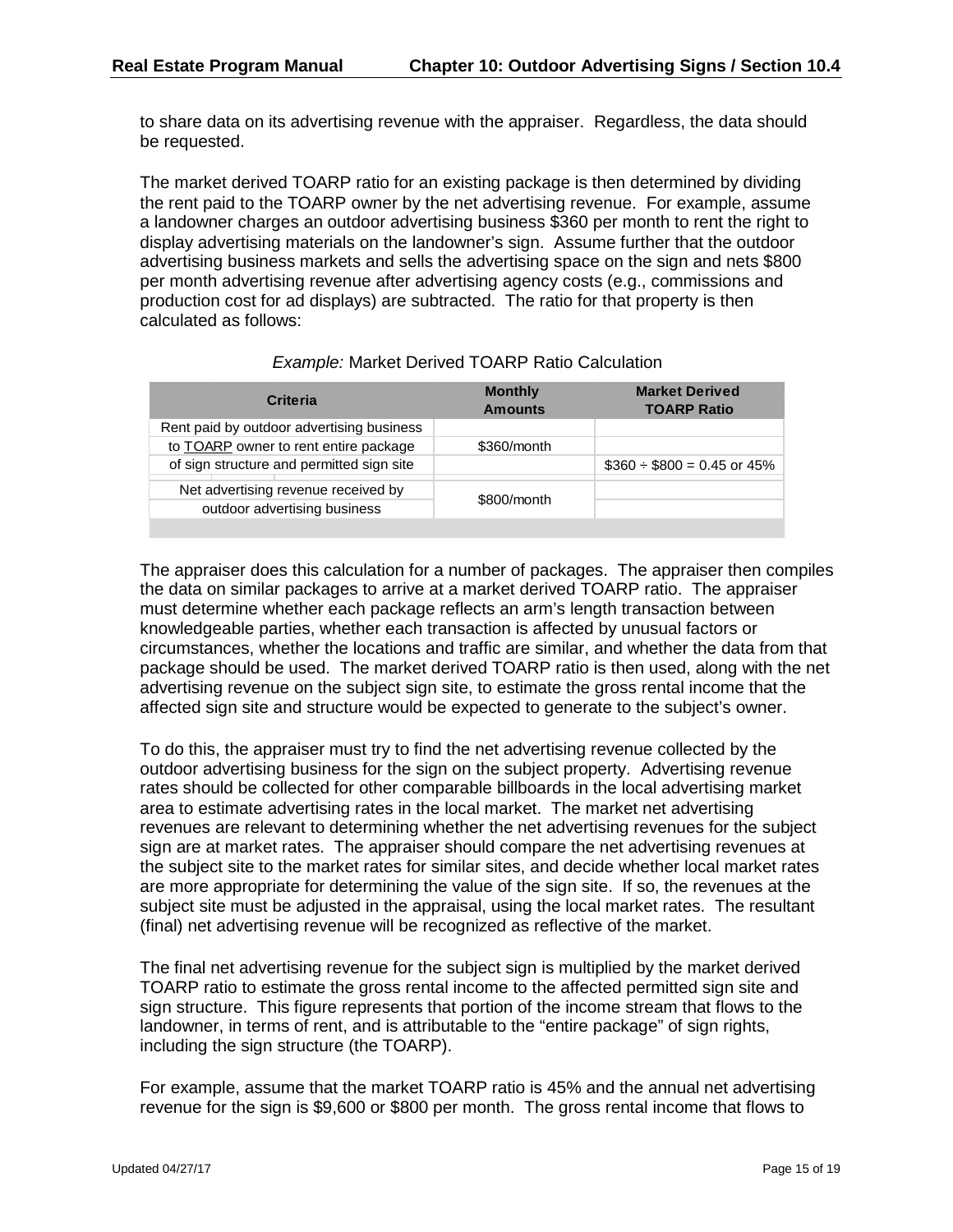to share data on its advertising revenue with the appraiser. Regardless, the data should be requested.

The market derived TOARP ratio for an existing package is then determined by dividing the rent paid to the TOARP owner by the net advertising revenue. For example, assume a landowner charges an outdoor advertising business \$360 per month to rent the right to display advertising materials on the landowner's sign. Assume further that the outdoor advertising business markets and sells the advertising space on the sign and nets \$800 per month advertising revenue after advertising agency costs (e.g., commissions and production cost for ad displays) are subtracted. The ratio for that property is then calculated as follows:

| <b>Criteria</b>                           | <b>Monthly</b><br><b>Amounts</b> | <b>Market Derived</b><br><b>TOARP Ratio</b> |
|-------------------------------------------|----------------------------------|---------------------------------------------|
| Rent paid by outdoor advertising business |                                  |                                             |
| to TOARP owner to rent entire package     | \$360/month                      |                                             |
| of sign structure and permitted sign site |                                  | $$360 \div $800 = 0.45$ or 45%              |
| Net advertising revenue received by       |                                  |                                             |
| outdoor advertising business              | \$800/month                      |                                             |
|                                           |                                  |                                             |

#### *Example:* Market Derived TOARP Ratio Calculation

The appraiser does this calculation for a number of packages. The appraiser then compiles the data on similar packages to arrive at a market derived TOARP ratio. The appraiser must determine whether each package reflects an arm's length transaction between knowledgeable parties, whether each transaction is affected by unusual factors or circumstances, whether the locations and traffic are similar, and whether the data from that package should be used. The market derived TOARP ratio is then used, along with the net advertising revenue on the subject sign site, to estimate the gross rental income that the affected sign site and structure would be expected to generate to the subject's owner.

To do this, the appraiser must try to find the net advertising revenue collected by the outdoor advertising business for the sign on the subject property. Advertising revenue rates should be collected for other comparable billboards in the local advertising market area to estimate advertising rates in the local market. The market net advertising revenues are relevant to determining whether the net advertising revenues for the subject sign are at market rates. The appraiser should compare the net advertising revenues at the subject site to the market rates for similar sites, and decide whether local market rates are more appropriate for determining the value of the sign site. If so, the revenues at the subject site must be adjusted in the appraisal, using the local market rates. The resultant (final) net advertising revenue will be recognized as reflective of the market.

The final net advertising revenue for the subject sign is multiplied by the market derived TOARP ratio to estimate the gross rental income to the affected permitted sign site and sign structure. This figure represents that portion of the income stream that flows to the landowner, in terms of rent, and is attributable to the "entire package" of sign rights, including the sign structure (the TOARP).

For example, assume that the market TOARP ratio is 45% and the annual net advertising revenue for the sign is \$9,600 or \$800 per month. The gross rental income that flows to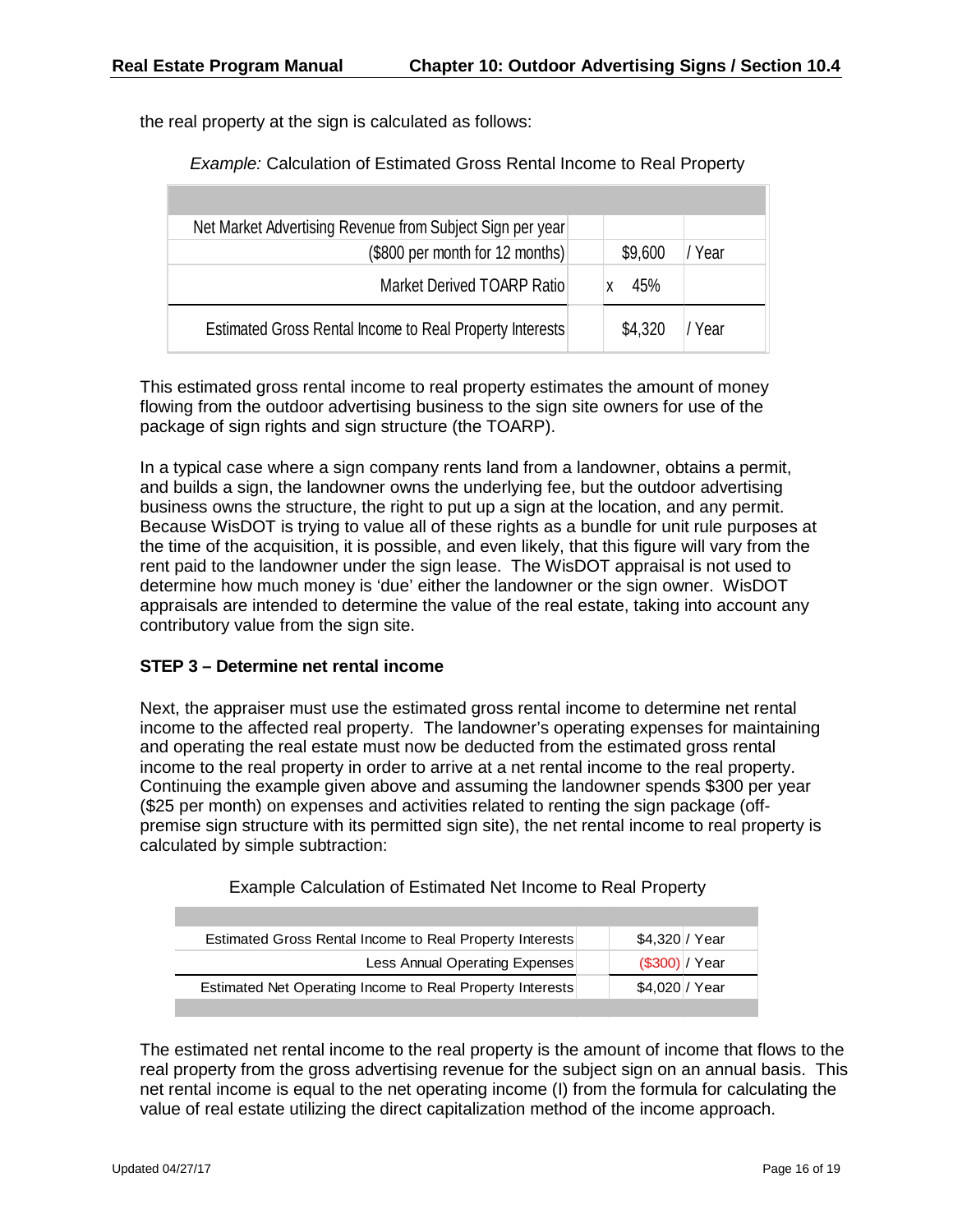the real property at the sign is calculated as follows:

*Example:* Calculation of Estimated Gross Rental Income to Real Property

| Net Market Advertising Revenue from Subject Sign per year |         |        |
|-----------------------------------------------------------|---------|--------|
| (\$800 per month for 12 months)                           | \$9,600 | / Year |
| Market Derived TOARP Ratio                                | 45%     |        |
| Estimated Gross Rental Income to Real Property Interests  | \$4,320 | / Year |

This estimated gross rental income to real property estimates the amount of money flowing from the outdoor advertising business to the sign site owners for use of the package of sign rights and sign structure (the TOARP).

In a typical case where a sign company rents land from a landowner, obtains a permit, and builds a sign, the landowner owns the underlying fee, but the outdoor advertising business owns the structure, the right to put up a sign at the location, and any permit. Because WisDOT is trying to value all of these rights as a bundle for unit rule purposes at the time of the acquisition, it is possible, and even likely, that this figure will vary from the rent paid to the landowner under the sign lease. The WisDOT appraisal is not used to determine how much money is 'due' either the landowner or the sign owner. WisDOT appraisals are intended to determine the value of the real estate, taking into account any contributory value from the sign site.

#### **STEP 3 – Determine net rental income**

Next, the appraiser must use the estimated gross rental income to determine net rental income to the affected real property. The landowner's operating expenses for maintaining and operating the real estate must now be deducted from the estimated gross rental income to the real property in order to arrive at a net rental income to the real property. Continuing the example given above and assuming the landowner spends \$300 per year (\$25 per month) on expenses and activities related to renting the sign package (offpremise sign structure with its permitted sign site), the net rental income to real property is calculated by simple subtraction:

| Example Calculation of Estimated Net Income to Real Property |  |
|--------------------------------------------------------------|--|
|--------------------------------------------------------------|--|

| Estimated Gross Rental Income to Real Property Interests  | \$4,320 / Year |  |
|-----------------------------------------------------------|----------------|--|
| Less Annual Operating Expenses                            | (S300)/Year    |  |
| Estimated Net Operating Income to Real Property Interests | \$4,020 / Year |  |

The estimated net rental income to the real property is the amount of income that flows to the real property from the gross advertising revenue for the subject sign on an annual basis. This net rental income is equal to the net operating income (I) from the formula for calculating the value of real estate utilizing the direct capitalization method of the income approach.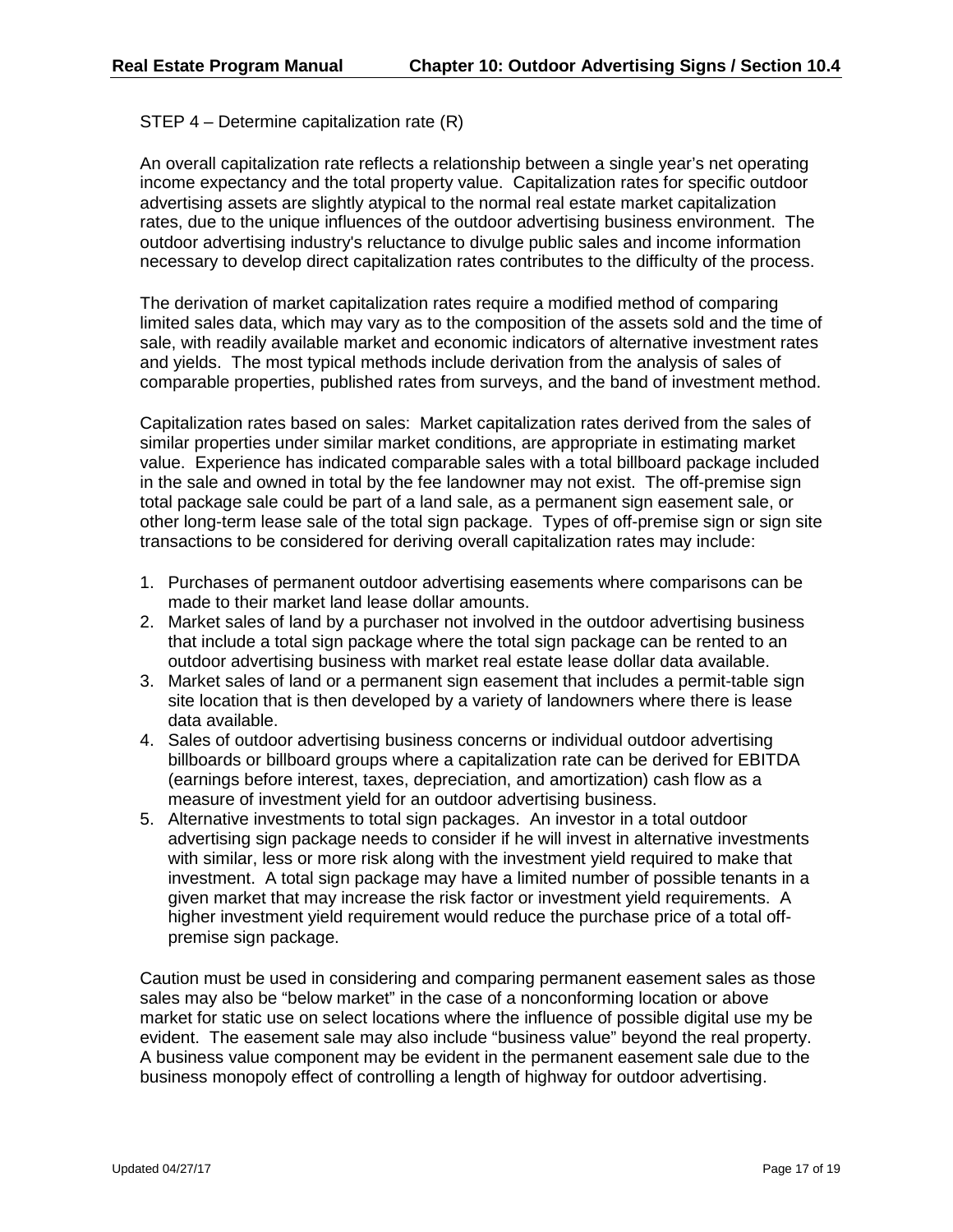STEP 4 – Determine capitalization rate (R)

An overall capitalization rate reflects a relationship between a single year's net operating income expectancy and the total property value. Capitalization rates for specific outdoor advertising assets are slightly atypical to the normal real estate market capitalization rates, due to the unique influences of the outdoor advertising business environment. The outdoor advertising industry's reluctance to divulge public sales and income information necessary to develop direct capitalization rates contributes to the difficulty of the process.

The derivation of market capitalization rates require a modified method of comparing limited sales data, which may vary as to the composition of the assets sold and the time of sale, with readily available market and economic indicators of alternative investment rates and yields. The most typical methods include derivation from the analysis of sales of comparable properties, published rates from surveys, and the band of investment method.

Capitalization rates based on sales: Market capitalization rates derived from the sales of similar properties under similar market conditions, are appropriate in estimating market value. Experience has indicated comparable sales with a total billboard package included in the sale and owned in total by the fee landowner may not exist. The off-premise sign total package sale could be part of a land sale, as a permanent sign easement sale, or other long-term lease sale of the total sign package. Types of off-premise sign or sign site transactions to be considered for deriving overall capitalization rates may include:

- 1. Purchases of permanent outdoor advertising easements where comparisons can be made to their market land lease dollar amounts.
- 2. Market sales of land by a purchaser not involved in the outdoor advertising business that include a total sign package where the total sign package can be rented to an outdoor advertising business with market real estate lease dollar data available.
- 3. Market sales of land or a permanent sign easement that includes a permit-table sign site location that is then developed by a variety of landowners where there is lease data available.
- 4. Sales of outdoor advertising business concerns or individual outdoor advertising billboards or billboard groups where a capitalization rate can be derived for EBITDA (earnings before interest, taxes, depreciation, and amortization) cash flow as a measure of investment yield for an outdoor advertising business.
- 5. Alternative investments to total sign packages. An investor in a total outdoor advertising sign package needs to consider if he will invest in alternative investments with similar, less or more risk along with the investment yield required to make that investment. A total sign package may have a limited number of possible tenants in a given market that may increase the risk factor or investment yield requirements. A higher investment yield requirement would reduce the purchase price of a total offpremise sign package.

Caution must be used in considering and comparing permanent easement sales as those sales may also be "below market" in the case of a nonconforming location or above market for static use on select locations where the influence of possible digital use my be evident. The easement sale may also include "business value" beyond the real property. A business value component may be evident in the permanent easement sale due to the business monopoly effect of controlling a length of highway for outdoor advertising.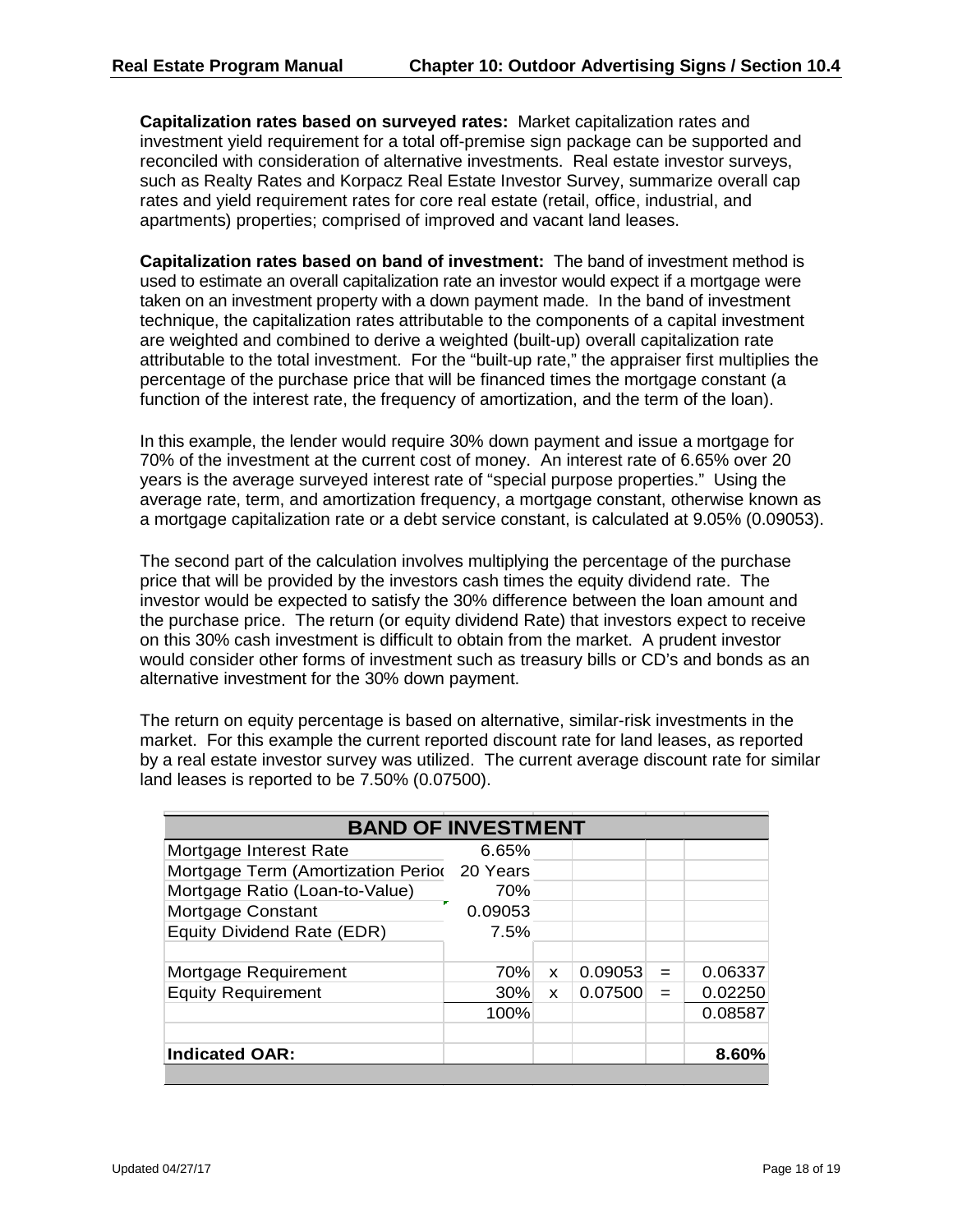**Capitalization rates based on surveyed rates:** Market capitalization rates and investment yield requirement for a total off-premise sign package can be supported and reconciled with consideration of alternative investments. Real estate investor surveys, such as Realty Rates and Korpacz Real Estate Investor Survey, summarize overall cap rates and yield requirement rates for core real estate (retail, office, industrial, and apartments) properties; comprised of improved and vacant land leases.

**Capitalization rates based on band of investment:** The band of investment method is used to estimate an overall capitalization rate an investor would expect if a mortgage were taken on an investment property with a down payment made. In the band of investment technique, the capitalization rates attributable to the components of a capital investment are weighted and combined to derive a weighted (built-up) overall capitalization rate attributable to the total investment. For the "built-up rate," the appraiser first multiplies the percentage of the purchase price that will be financed times the mortgage constant (a function of the interest rate, the frequency of amortization, and the term of the loan).

In this example, the lender would require 30% down payment and issue a mortgage for 70% of the investment at the current cost of money. An interest rate of 6.65% over 20 years is the average surveyed interest rate of "special purpose properties." Using the average rate, term, and amortization frequency, a mortgage constant, otherwise known as a mortgage capitalization rate or a debt service constant, is calculated at 9.05% (0.09053).

The second part of the calculation involves multiplying the percentage of the purchase price that will be provided by the investors cash times the equity dividend rate. The investor would be expected to satisfy the 30% difference between the loan amount and the purchase price. The return (or equity dividend Rate) that investors expect to receive on this 30% cash investment is difficult to obtain from the market. A prudent investor would consider other forms of investment such as treasury bills or CD's and bonds as an alternative investment for the 30% down payment.

The return on equity percentage is based on alternative, similar-risk investments in the market. For this example the current reported discount rate for land leases, as reported by a real estate investor survey was utilized. The current average discount rate for similar land leases is reported to be 7.50% (0.07500).

| <b>BAND OF INVESTMENT</b>          |          |   |         |     |         |
|------------------------------------|----------|---|---------|-----|---------|
| Mortgage Interest Rate             | 6.65%    |   |         |     |         |
| Mortgage Term (Amortization Period | 20 Years |   |         |     |         |
| Mortgage Ratio (Loan-to-Value)     | 70%      |   |         |     |         |
| Mortgage Constant                  | 0.09053  |   |         |     |         |
| Equity Dividend Rate (EDR)         | 7.5%     |   |         |     |         |
|                                    |          |   |         |     |         |
| Mortgage Requirement               | 70%      | X | 0.09053 | $=$ | 0.06337 |
| <b>Equity Requirement</b>          | 30%      | X | 0.07500 | $=$ | 0.02250 |
|                                    | 100%     |   |         |     | 0.08587 |
|                                    |          |   |         |     |         |
| <b>Indicated OAR:</b>              |          |   |         |     | 8.60%   |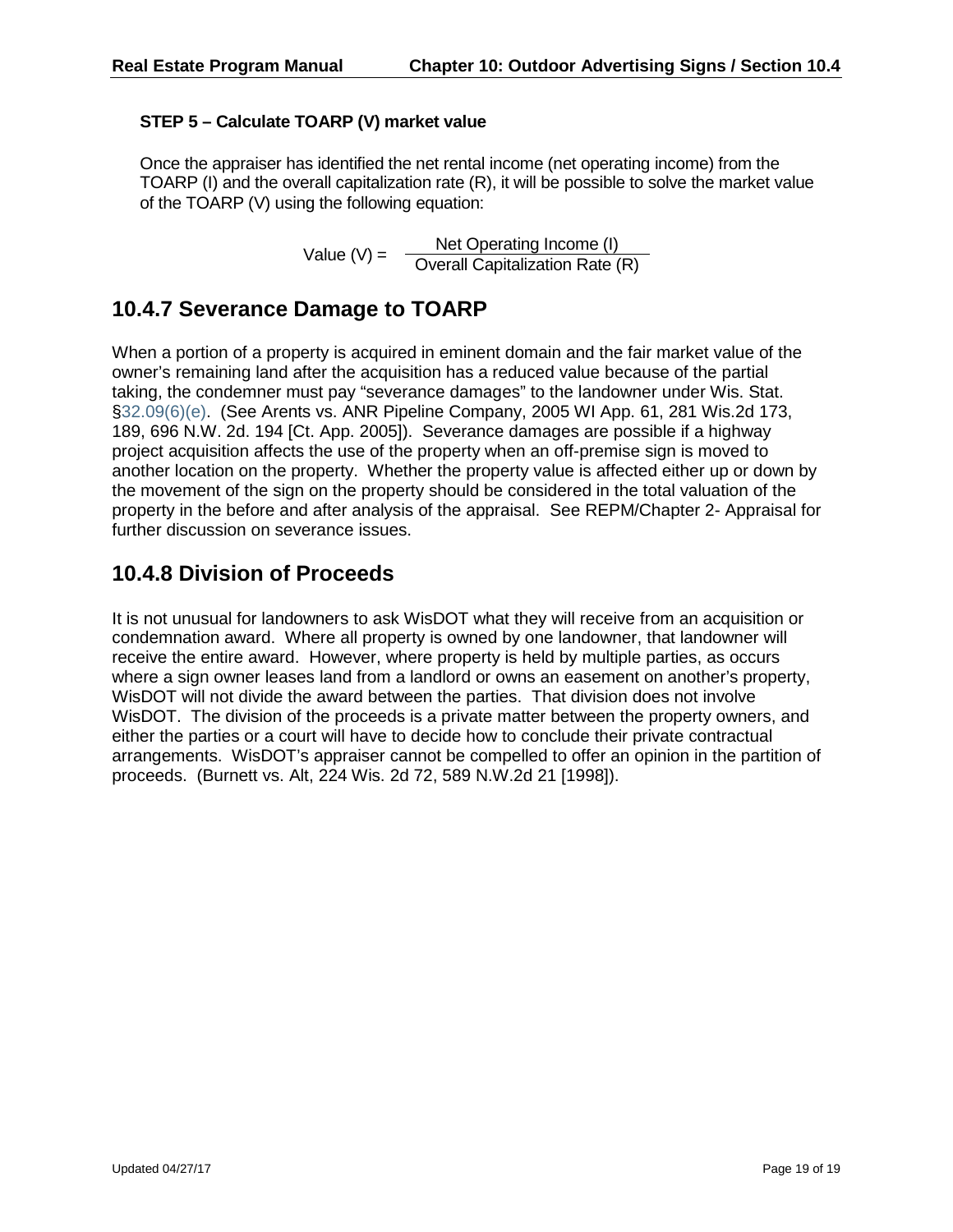#### **STEP 5 – Calculate TOARP (V) market value**

Once the appraiser has identified the net rental income (net operating income) from the TOARP (I) and the overall capitalization rate (R), it will be possible to solve the market value of the TOARP (V) using the following equation:

Value (V) =  $\frac{\text{Net Operating Income (I)}}{\text{Overall Capitalization Rate (R)}}$ 

### **10.4.7 Severance Damage to TOARP**

When a portion of a property is acquired in eminent domain and the fair market value of the owner's remaining land after the acquisition has a reduced value because of the partial taking, the condemner must pay "severance damages" to the landowner under Wis. Stat. [§32.09\(6\)\(e\).](https://docs.legis.wisconsin.gov/document/statutes/32.09(6)(e)) (See Arents vs. ANR Pipeline Company, 2005 WI App. 61, 281 Wis.2d 173, 189, 696 N.W. 2d. 194 [Ct. App. 2005]). Severance damages are possible if a highway project acquisition affects the use of the property when an off-premise sign is moved to another location on the property. Whether the property value is affected either up or down by the movement of the sign on the property should be considered in the total valuation of the property in the before and after analysis of the appraisal. See REPM/Chapter 2- Appraisal for further discussion on severance issues.

#### **10.4.8 Division of Proceeds**

It is not unusual for landowners to ask WisDOT what they will receive from an acquisition or condemnation award. Where all property is owned by one landowner, that landowner will receive the entire award. However, where property is held by multiple parties, as occurs where a sign owner leases land from a landlord or owns an easement on another's property, WisDOT will not divide the award between the parties. That division does not involve WisDOT. The division of the proceeds is a private matter between the property owners, and either the parties or a court will have to decide how to conclude their private contractual arrangements. WisDOT's appraiser cannot be compelled to offer an opinion in the partition of proceeds. (Burnett vs. Alt, 224 Wis. 2d 72, 589 N.W.2d 21 [1998]).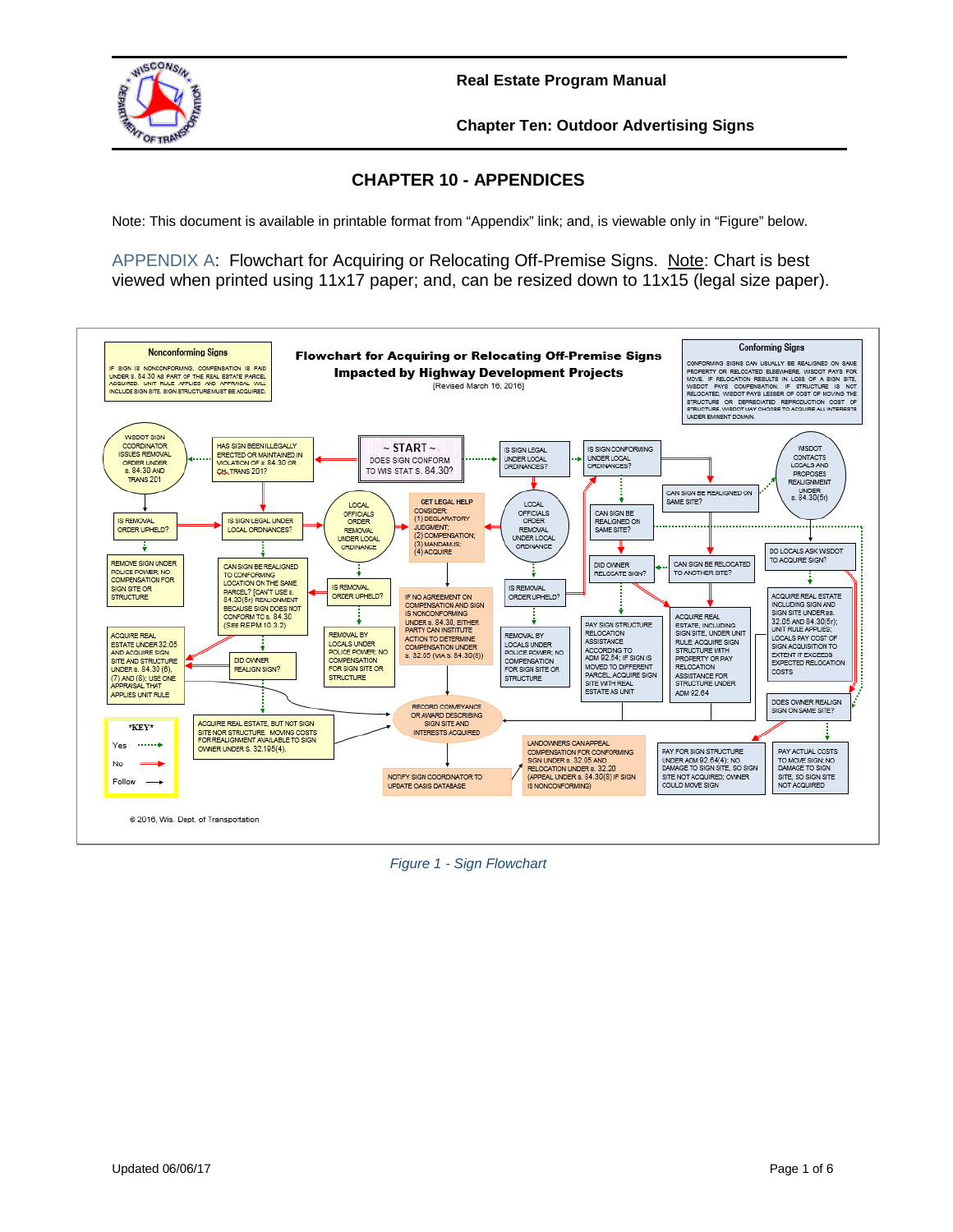

**Chapter Ten: Outdoor Advertising Signs**

#### **CHAPTER 10 - APPENDICES**

Note: This document is available in printable format from "Appendix" link; and, is viewable only in "Figure" below.

[APPENDIX A:](http://wisconsindot.gov/dtsdManuals/re/repmchap10/appendix-a-sign-flowchart.docx) Flowchart for Acquiring or Relocating Off-Premise Signs. Note: Chart is best viewed when printed using 11x17 paper; and, can be resized down to 11x15 (legal size paper).



*Figure 1 - Sign Flowchart*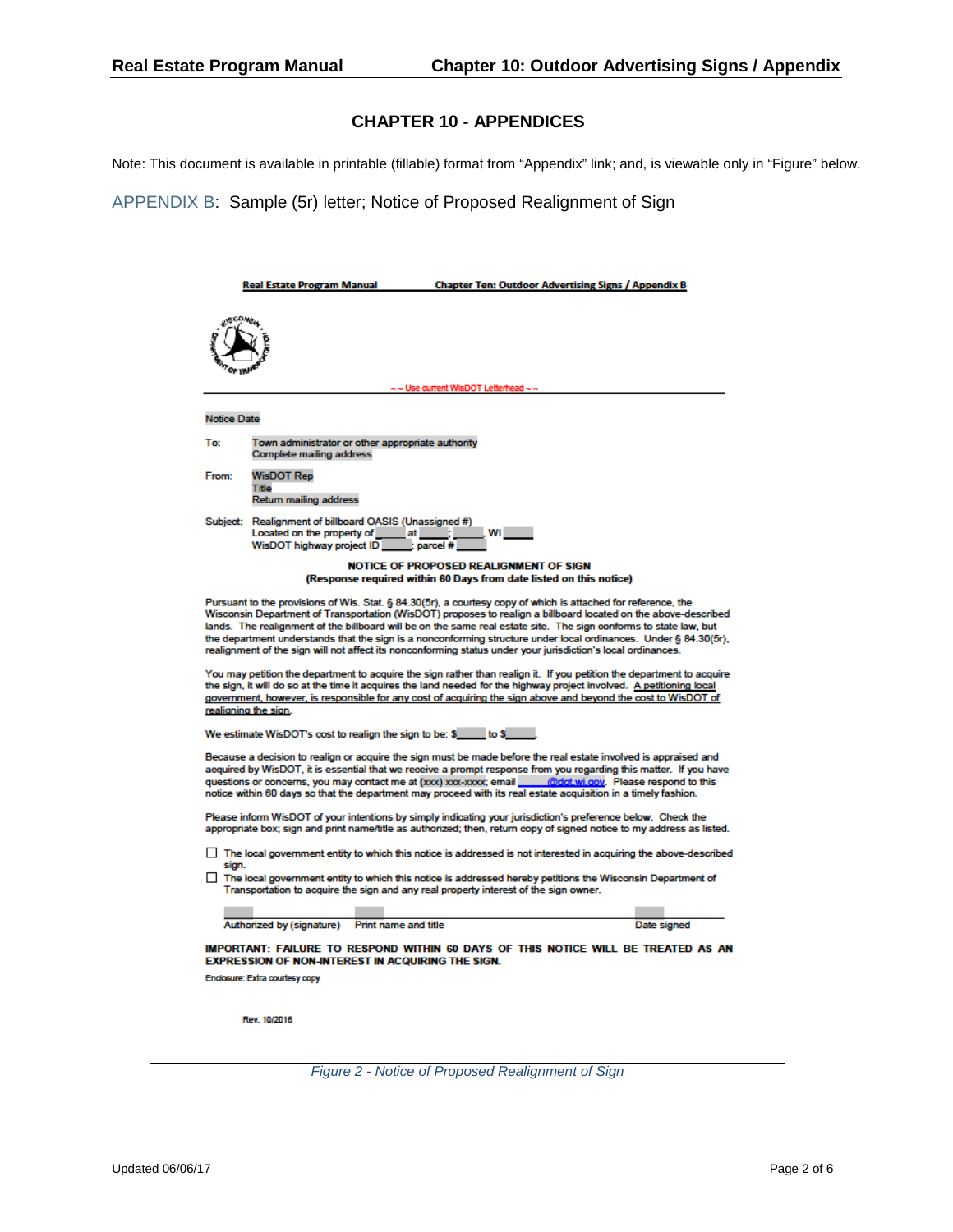Note: This document is available in printable (fillable) format from "Appendix" link; and, is viewable only in "Figure" below.

[APPENDIX B:](http://wisconsindot.gov/dtsdManuals/re/repmchap10/appendix-b-proposed-realighnment-ltr.docx) Sample (5r) letter; Notice of Proposed Realignment of Sign

|                    | $\sim$ $\sim$ Use current WIsDOT Letterhead $\sim$ $\sim$                                                                                                                                                                                                                                                                                                                                                                                                                                    |
|--------------------|----------------------------------------------------------------------------------------------------------------------------------------------------------------------------------------------------------------------------------------------------------------------------------------------------------------------------------------------------------------------------------------------------------------------------------------------------------------------------------------------|
|                    |                                                                                                                                                                                                                                                                                                                                                                                                                                                                                              |
| <b>Notice Date</b> |                                                                                                                                                                                                                                                                                                                                                                                                                                                                                              |
| To:                | Town administrator or other appropriate authority<br>Complete mailing address                                                                                                                                                                                                                                                                                                                                                                                                                |
| From:              | <b>WisDOT Rep</b>                                                                                                                                                                                                                                                                                                                                                                                                                                                                            |
|                    | Title<br><b>Return mailing address</b>                                                                                                                                                                                                                                                                                                                                                                                                                                                       |
|                    | Subject: Realignment of billboard OASIS (Unassigned #)                                                                                                                                                                                                                                                                                                                                                                                                                                       |
|                    | Located on the property of ________ at ______;<br><b>WILL STATE</b><br>WisDOT highway project ID<br>l: parcel #                                                                                                                                                                                                                                                                                                                                                                              |
|                    | NOTICE OF PROPOSED REALIGNMENT OF SIGN<br>(Response required within 60 Days from date listed on this notice)                                                                                                                                                                                                                                                                                                                                                                                 |
|                    |                                                                                                                                                                                                                                                                                                                                                                                                                                                                                              |
|                    | Pursuant to the provisions of Wis. Stat. § 84.30(5r), a courtesy copy of which is attached for reference, the<br>Wisconsin Department of Transportation (WisDOT) proposes to realign a billboard located on the above-described                                                                                                                                                                                                                                                              |
|                    | lands. The realignment of the billboard will be on the same real estate site. The sign conforms to state law, but                                                                                                                                                                                                                                                                                                                                                                            |
|                    | the department understands that the sign is a nonconforming structure under local ordinances. Under § 84.30(5r),<br>realignment of the sign will not affect its nonconforming status under your jurisdiction's local ordinances.                                                                                                                                                                                                                                                             |
|                    | You may petition the department to acquire the sign rather than realign it. If you petition the department to acquire<br>the sign, it will do so at the time it acquires the land needed for the highway project involved. A petitioning local<br>government, however, is responsible for any cost of acquiring the sign above and beyond the cost to WisDOT of<br>realigning the sign.                                                                                                      |
|                    | We estimate WisDOT's cost to realign the sign to be: \$ _____ to \$                                                                                                                                                                                                                                                                                                                                                                                                                          |
|                    |                                                                                                                                                                                                                                                                                                                                                                                                                                                                                              |
|                    | Because a decision to realign or acquire the sign must be made before the real estate involved is appraised and                                                                                                                                                                                                                                                                                                                                                                              |
|                    | notice within 60 days so that the department may proceed with its real estate acquisition in a timely fashion.                                                                                                                                                                                                                                                                                                                                                                               |
|                    | Please inform WisDOT of your intentions by simply indicating your jurisdiction's preference below. Check the                                                                                                                                                                                                                                                                                                                                                                                 |
|                    |                                                                                                                                                                                                                                                                                                                                                                                                                                                                                              |
| sign.              | $\Box$ The local government entity to which this notice is addressed hereby petitions the Wisconsin Department of<br>Transportation to acquire the sign and any real property interest of the sign owner.                                                                                                                                                                                                                                                                                    |
|                    |                                                                                                                                                                                                                                                                                                                                                                                                                                                                                              |
|                    | Authorized by (signature) Print name and title<br>Date signed                                                                                                                                                                                                                                                                                                                                                                                                                                |
|                    | <b>EXPRESSION OF NON-INTEREST IN ACQUIRING THE SIGN.</b>                                                                                                                                                                                                                                                                                                                                                                                                                                     |
|                    | acquired by WisDOT, it is essential that we receive a prompt response from you regarding this matter. If you have<br>appropriate box; sign and print name/title as authorized; then, return copy of signed notice to my address as listed.<br>$\Box$ The local government entity to which this notice is addressed is not interested in acquiring the above-described<br>IMPORTANT: FAILURE TO RESPOND WITHIN 60 DAYS OF THIS NOTICE WILL BE TREATED AS AN<br>Enclosure: Extra courtesy copy |
|                    |                                                                                                                                                                                                                                                                                                                                                                                                                                                                                              |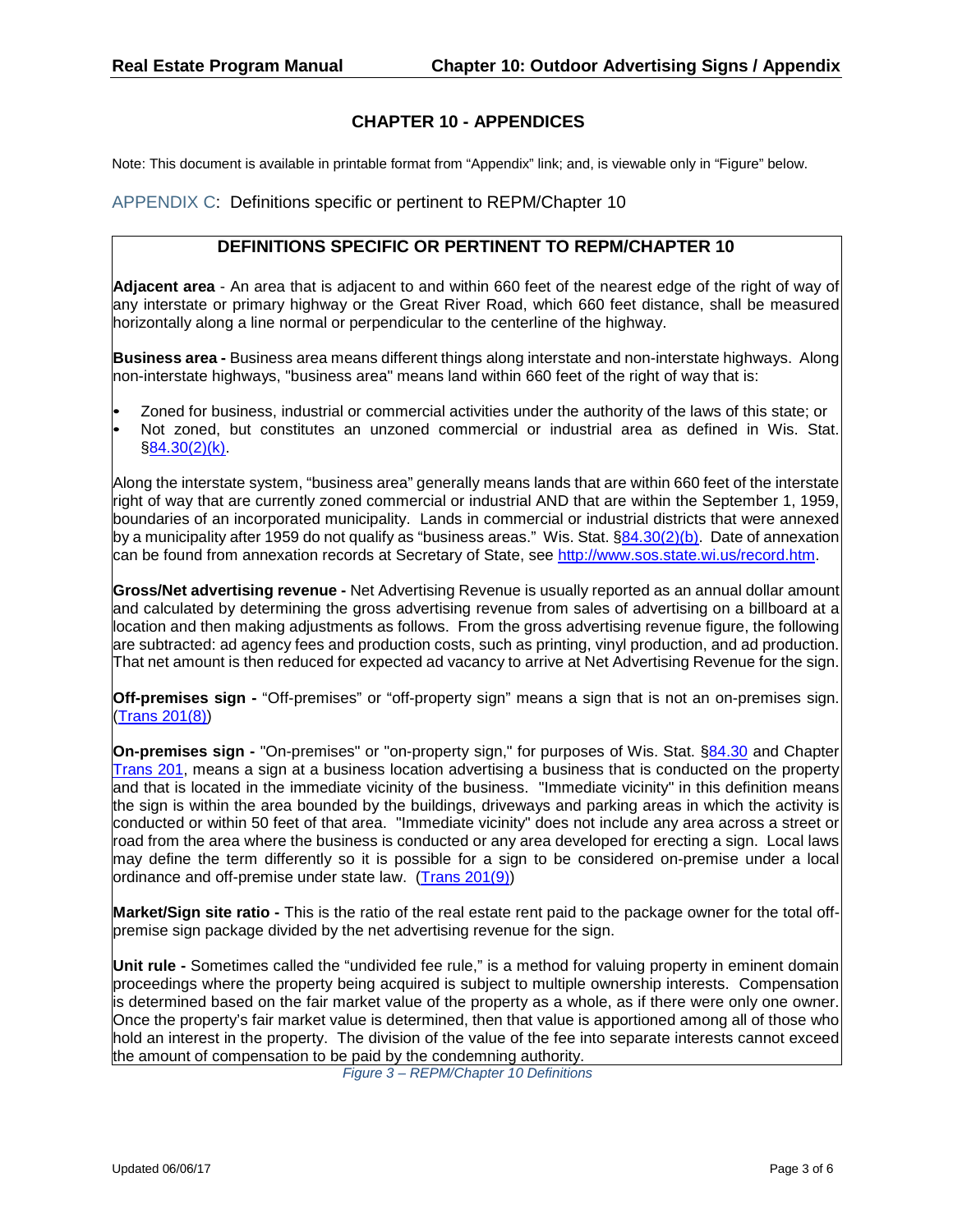Note: This document is available in printable format from "Appendix" link; and, is viewable only in "Figure" below.

[APPENDIX C:](http://wisconsindot.gov/dtsdManuals/re/repmchap10/appendix-c-ch10-definitions.docx) Definitions specific or pertinent to REPM/Chapter 10

#### **DEFINITIONS SPECIFIC OR PERTINENT TO REPM/CHAPTER 10**

**Adjacent area** - An area that is adjacent to and within 660 feet of the nearest edge of the right of way of any interstate or primary highway or the Great River Road, which 660 feet distance, shall be measured horizontally along a line normal or perpendicular to the centerline of the highway.

**Business area -** Business area means different things along interstate and non-interstate highways. Along non-interstate highways, "business area" means land within 660 feet of the right of way that is:

- Zoned for business, industrial or commercial activities under the authority of the laws of this state; or
- Not zoned, but constitutes an unzoned commercial or industrial area as defined in Wis. Stat. §84.30(2)(k).

Along the interstate system, "business area" generally means lands that are within 660 feet of the interstate right of way that are currently zoned commercial or industrial AND that are within the September 1, 1959, boundaries of an incorporated municipality. Lands in commercial or industrial districts that were annexed by a municipality after 1959 do not qualify as "business areas." Wis. Stat. §84.30(2)(b). Date of annexation can be found from annexation records at Secretary of State, see http://www.sos.state.wi.us/record.htm.

**Gross/Net advertising revenue -** Net Advertising Revenue is usually reported as an annual dollar amount and calculated by determining the gross advertising revenue from sales of advertising on a billboard at a location and then making adjustments as follows. From the gross advertising revenue figure, the following are subtracted: ad agency fees and production costs, such as printing, vinyl production, and ad production. That net amount is then reduced for expected ad vacancy to arrive at Net Advertising Revenue for the sign.

**Off-premises sign -** "Off-premises" or "off-property sign" means a sign that is not an on-premises sign. (Trans 201(8))

**On-premises sign -** "On-premises" or "on-property sign," for purposes of Wis. Stat. §84.30 and Chapter Trans 201, means a sign at a business location advertising a business that is conducted on the property and that is located in the immediate vicinity of the business. "Immediate vicinity" in this definition means the sign is within the area bounded by the buildings, driveways and parking areas in which the activity is conducted or within 50 feet of that area. "Immediate vicinity" does not include any area across a street or road from the area where the business is conducted or any area developed for erecting a sign. Local laws may define the term differently so it is possible for a sign to be considered on-premise under a local ordinance and off-premise under state law. (Trans 201(9))

**Market/Sign site ratio -** This is the ratio of the real estate rent paid to the package owner for the total offpremise sign package divided by the net advertising revenue for the sign.

**Unit rule -** Sometimes called the "undivided fee rule," is a method for valuing property in eminent domain proceedings where the property being acquired is subject to multiple ownership interests. Compensation is determined based on the fair market value of the property as a whole, as if there were only one owner. Once the property's fair market value is determined, then that value is apportioned among all of those who hold an interest in the property. The division of the value of the fee into separate interests cannot exceed the amount of compensation to be paid by the condemning authority.

*Figure 3 – REPM/Chapter 10 Definitions*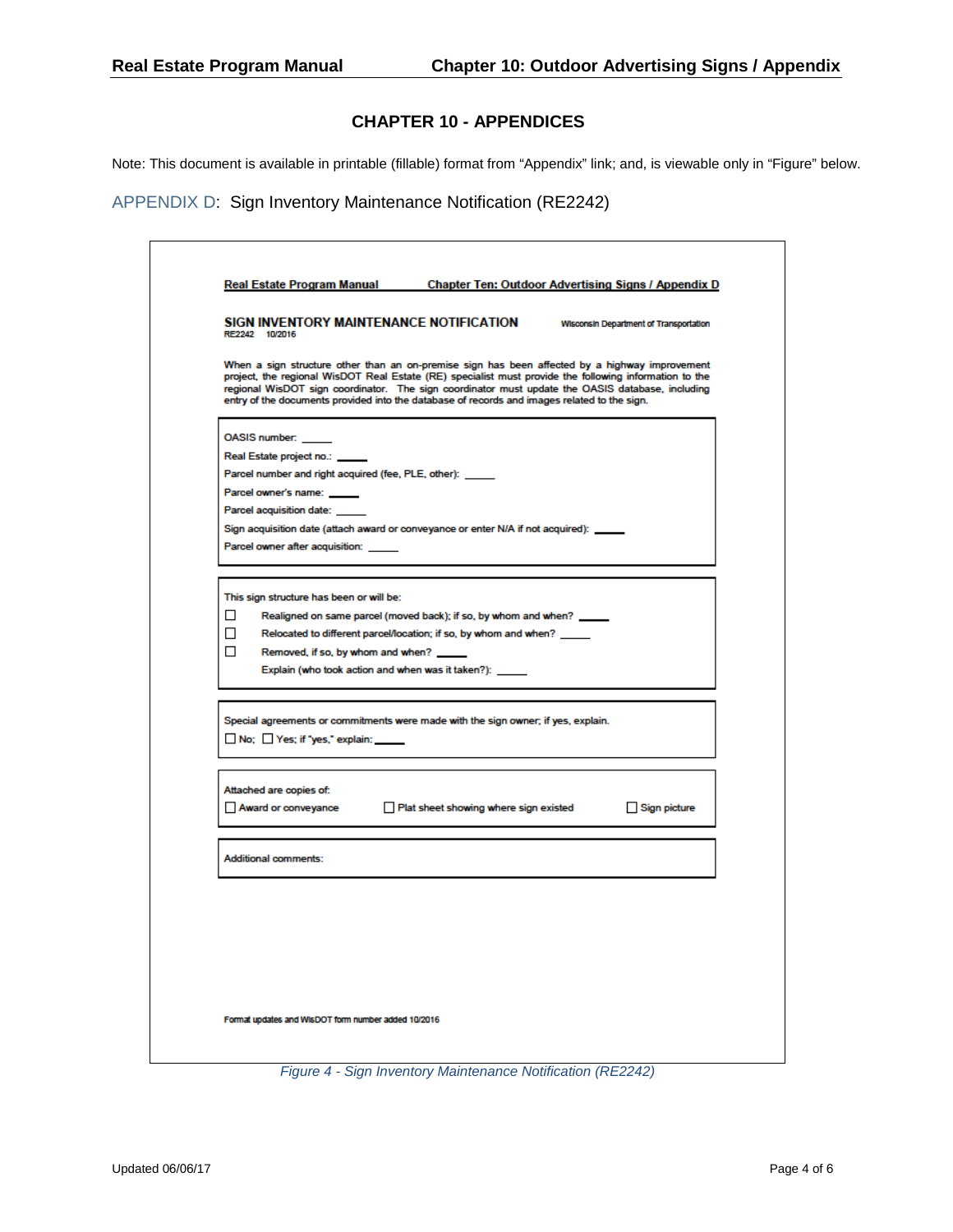Note: This document is available in printable (fillable) format from "Appendix" link; and, is viewable only in "Figure" below.

[APPENDIX D:](http://wisconsindot.gov/dtsdManuals/re/repmchap10/appendix-d-sign-inventory-maint-notice.docx) Sign Inventory Maintenance Notification (RE2242)

| RE2242 10/2016                                            | SIGN INVENTORY MAINTENANCE NOTIFICATION                                                                                                                                                                                                                                                                                                                                                                      | <b>Wisconsin Department of Transportation</b> |
|-----------------------------------------------------------|--------------------------------------------------------------------------------------------------------------------------------------------------------------------------------------------------------------------------------------------------------------------------------------------------------------------------------------------------------------------------------------------------------------|-----------------------------------------------|
|                                                           | When a sign structure other than an on-premise sign has been affected by a highway improvement<br>project, the regional WisDOT Real Estate (RE) specialist must provide the following information to the<br>regional WisDOT sign coordinator. The sign coordinator must update the OASIS database, including<br>entry of the documents provided into the database of records and images related to the sign. |                                               |
| OASIS number:                                             |                                                                                                                                                                                                                                                                                                                                                                                                              |                                               |
| Real Estate project no.:                                  |                                                                                                                                                                                                                                                                                                                                                                                                              |                                               |
| Parcel number and right acquired (fee, PLE, other): _____ |                                                                                                                                                                                                                                                                                                                                                                                                              |                                               |
| Parcel owner's name: _____                                |                                                                                                                                                                                                                                                                                                                                                                                                              |                                               |
| Parcel acquisition date: _____                            |                                                                                                                                                                                                                                                                                                                                                                                                              |                                               |
|                                                           | Sign acquisition date (attach award or conveyance or enter N/A if not acquired): _____                                                                                                                                                                                                                                                                                                                       |                                               |
| Parcel owner after acquisition:                           |                                                                                                                                                                                                                                                                                                                                                                                                              |                                               |
|                                                           |                                                                                                                                                                                                                                                                                                                                                                                                              |                                               |
| This sign structure has been or will be:                  |                                                                                                                                                                                                                                                                                                                                                                                                              |                                               |
| □                                                         | Realigned on same parcel (moved back); if so, by whom and when? _____                                                                                                                                                                                                                                                                                                                                        |                                               |
| □                                                         | Relocated to different parcel/location; if so, by whom and when?                                                                                                                                                                                                                                                                                                                                             |                                               |
| □<br>Removed, if so, by whom and when?                    |                                                                                                                                                                                                                                                                                                                                                                                                              |                                               |
|                                                           | Explain (who took action and when was it taken?):                                                                                                                                                                                                                                                                                                                                                            |                                               |
|                                                           |                                                                                                                                                                                                                                                                                                                                                                                                              |                                               |
|                                                           | Special agreements or commitments were made with the sign owner; if yes, explain.                                                                                                                                                                                                                                                                                                                            |                                               |
| No; Yes; if "yes," explain: \\ow                          |                                                                                                                                                                                                                                                                                                                                                                                                              |                                               |
|                                                           |                                                                                                                                                                                                                                                                                                                                                                                                              |                                               |
| Attached are copies of:                                   |                                                                                                                                                                                                                                                                                                                                                                                                              |                                               |
|                                                           | Award or conveyance <b>Depart Platisheet showing where sign existed</b>                                                                                                                                                                                                                                                                                                                                      | Sign picture                                  |
|                                                           |                                                                                                                                                                                                                                                                                                                                                                                                              |                                               |
| Additional comments:                                      |                                                                                                                                                                                                                                                                                                                                                                                                              |                                               |
|                                                           |                                                                                                                                                                                                                                                                                                                                                                                                              |                                               |
|                                                           |                                                                                                                                                                                                                                                                                                                                                                                                              |                                               |
|                                                           |                                                                                                                                                                                                                                                                                                                                                                                                              |                                               |
|                                                           |                                                                                                                                                                                                                                                                                                                                                                                                              |                                               |
|                                                           |                                                                                                                                                                                                                                                                                                                                                                                                              |                                               |
|                                                           |                                                                                                                                                                                                                                                                                                                                                                                                              |                                               |
|                                                           |                                                                                                                                                                                                                                                                                                                                                                                                              |                                               |

*Figure 4 - Sign Inventory Maintenance Notification (RE2242)*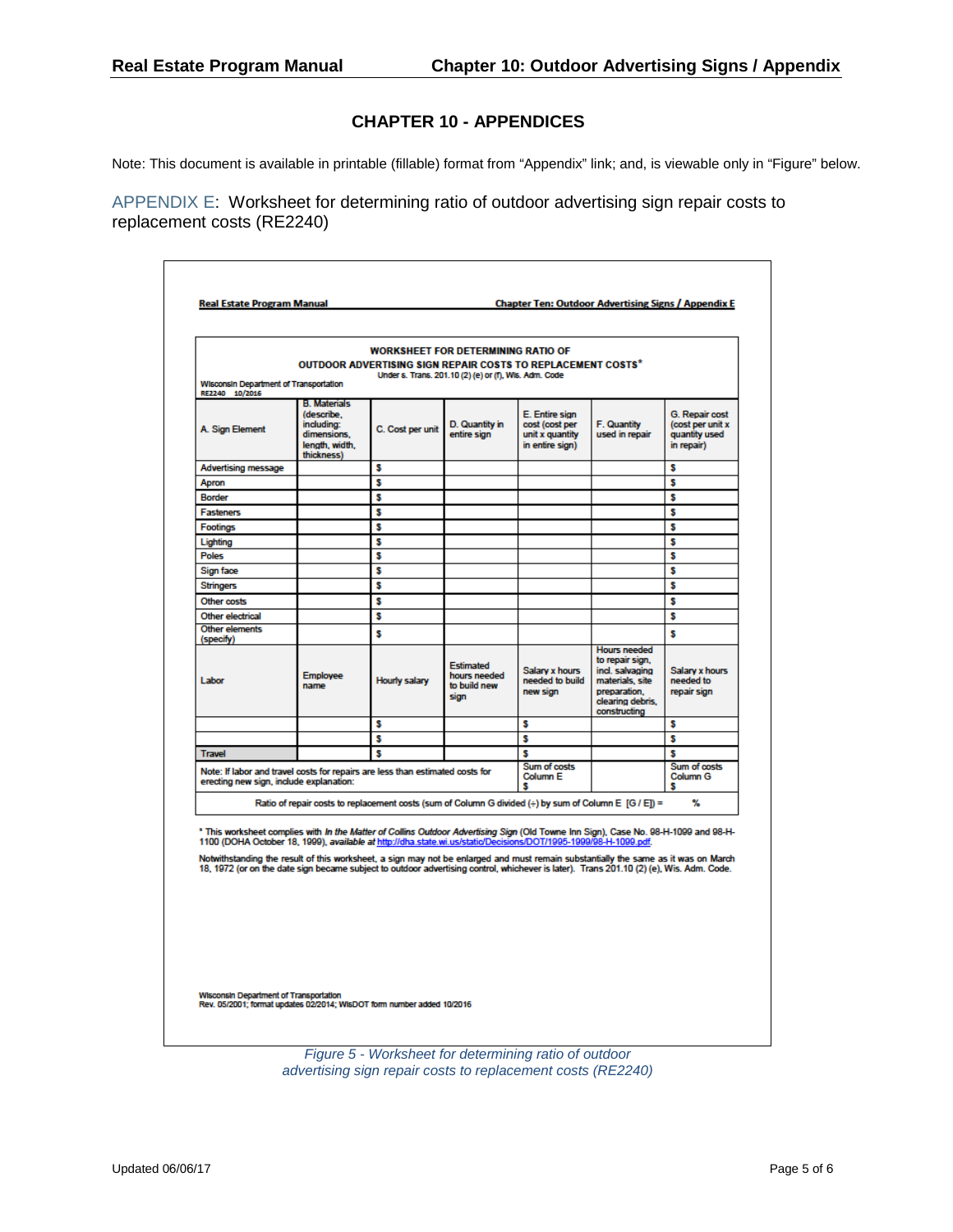Note: This document is available in printable (fillable) format from "Appendix" link; and, is viewable only in "Figure" below.

[APPENDIX E:](http://wisconsindot.gov/dtsdManuals/re/repmchap10/appendix-e-ratio-worksheet.docx) Worksheet for determining ratio of outdoor advertising sign repair costs to replacement costs (RE2240)

| Wisconsin Department of Transportation<br>RE2240 10/2016                                                                                                                                                                                                                                                                                                                                                                                                                                                                                |                                                                                                | <b>OUTDOOR ADVERTISING SIGN REPAIR COSTS TO REPLACEMENT COSTS*</b>                                    | <b>WORKSHEET FOR DETERMINING RATIO OF</b><br>Under s. Trans. 201.10 (2) (e) or (f), Wis. Adm. Code |                                                                        |                                                                                                                                  |                                                                   |
|-----------------------------------------------------------------------------------------------------------------------------------------------------------------------------------------------------------------------------------------------------------------------------------------------------------------------------------------------------------------------------------------------------------------------------------------------------------------------------------------------------------------------------------------|------------------------------------------------------------------------------------------------|-------------------------------------------------------------------------------------------------------|----------------------------------------------------------------------------------------------------|------------------------------------------------------------------------|----------------------------------------------------------------------------------------------------------------------------------|-------------------------------------------------------------------|
| A. Sign Element                                                                                                                                                                                                                                                                                                                                                                                                                                                                                                                         | <b>B. Materials</b><br>(describe.<br>including:<br>dimensions,<br>length, width.<br>thickness) | C. Cost per unit                                                                                      | D. Quantity in<br>entire sign                                                                      | E. Entire sign<br>cost (cost per<br>unit x quantity<br>in entire sign) | F. Quantity<br>used in repair                                                                                                    | G. Repair cost<br>(cost per unit x<br>quantity used<br>in repair) |
| <b>Advertising message</b>                                                                                                                                                                                                                                                                                                                                                                                                                                                                                                              |                                                                                                | s                                                                                                     |                                                                                                    |                                                                        |                                                                                                                                  | s                                                                 |
| Apron                                                                                                                                                                                                                                                                                                                                                                                                                                                                                                                                   |                                                                                                | s                                                                                                     |                                                                                                    |                                                                        |                                                                                                                                  | \$                                                                |
| <b>Border</b>                                                                                                                                                                                                                                                                                                                                                                                                                                                                                                                           |                                                                                                | s                                                                                                     |                                                                                                    |                                                                        |                                                                                                                                  | s                                                                 |
| <b>Fasteners</b>                                                                                                                                                                                                                                                                                                                                                                                                                                                                                                                        |                                                                                                | s                                                                                                     |                                                                                                    |                                                                        |                                                                                                                                  | \$                                                                |
| <b>Footings</b>                                                                                                                                                                                                                                                                                                                                                                                                                                                                                                                         |                                                                                                | s                                                                                                     |                                                                                                    |                                                                        |                                                                                                                                  | s                                                                 |
| Lighting                                                                                                                                                                                                                                                                                                                                                                                                                                                                                                                                |                                                                                                | s                                                                                                     |                                                                                                    |                                                                        |                                                                                                                                  | \$                                                                |
| <b>Poles</b>                                                                                                                                                                                                                                                                                                                                                                                                                                                                                                                            |                                                                                                | s                                                                                                     |                                                                                                    |                                                                        |                                                                                                                                  | s                                                                 |
| Sign face                                                                                                                                                                                                                                                                                                                                                                                                                                                                                                                               |                                                                                                | s                                                                                                     |                                                                                                    |                                                                        |                                                                                                                                  | \$                                                                |
| <b>Stringers</b>                                                                                                                                                                                                                                                                                                                                                                                                                                                                                                                        |                                                                                                | s                                                                                                     |                                                                                                    |                                                                        |                                                                                                                                  | s                                                                 |
| Other costs                                                                                                                                                                                                                                                                                                                                                                                                                                                                                                                             |                                                                                                | s                                                                                                     |                                                                                                    |                                                                        |                                                                                                                                  | s                                                                 |
| Other electrical                                                                                                                                                                                                                                                                                                                                                                                                                                                                                                                        |                                                                                                | s                                                                                                     |                                                                                                    |                                                                        |                                                                                                                                  | \$                                                                |
| Other elements<br>(specify)                                                                                                                                                                                                                                                                                                                                                                                                                                                                                                             |                                                                                                | s                                                                                                     |                                                                                                    |                                                                        |                                                                                                                                  | s                                                                 |
| Labor                                                                                                                                                                                                                                                                                                                                                                                                                                                                                                                                   | <b>Employee</b><br>name                                                                        | <b>Hourly salary</b>                                                                                  | Estimated<br>hours needed<br>to build new<br>sign                                                  | Salary x hours<br>needed to build<br>new sign                          | <b>Hours needed</b><br>to repair sign,<br>incl. salvaging<br>materials, site<br>preparation.<br>clearing debris.<br>constructing | Salary x hours<br>needed to<br>repair sign                        |
|                                                                                                                                                                                                                                                                                                                                                                                                                                                                                                                                         |                                                                                                | s                                                                                                     |                                                                                                    | s                                                                      |                                                                                                                                  | s                                                                 |
|                                                                                                                                                                                                                                                                                                                                                                                                                                                                                                                                         |                                                                                                | s                                                                                                     |                                                                                                    | S                                                                      |                                                                                                                                  | s                                                                 |
| <b>Travel</b>                                                                                                                                                                                                                                                                                                                                                                                                                                                                                                                           |                                                                                                | s                                                                                                     |                                                                                                    | s                                                                      |                                                                                                                                  | s                                                                 |
| Note: If labor and travel costs for repairs are less than estimated costs for<br>erecting new sign, include explanation:                                                                                                                                                                                                                                                                                                                                                                                                                |                                                                                                |                                                                                                       |                                                                                                    | Sum of costs<br>Column <sub>E</sub><br>s                               |                                                                                                                                  | Sum of costs<br>Column G<br>s                                     |
|                                                                                                                                                                                                                                                                                                                                                                                                                                                                                                                                         |                                                                                                | Ratio of repair costs to replacement costs (sum of Column G divided (÷) by sum of Column E [G / E]) = |                                                                                                    |                                                                        |                                                                                                                                  | %                                                                 |
| * This worksheet complies with In the Matter of Collins Outdoor Advertising Sign (Old Towne Inn Sign), Case No. 98-H-1099 and 98-H-<br>1100 (DOHA October 18, 1999), available at http://dha.state.wi.us/static/Decisions/DOT/1995-1999/98-H-1099.pdf.<br>Notwithstanding the result of this worksheet, a sign may not be enlarged and must remain substantially the same as it was on March<br>18, 1972 (or on the date sign became subject to outdoor advertising control, whichever is later). Trans 201.10 (2) (e), Wis. Adm. Code. |                                                                                                |                                                                                                       |                                                                                                    |                                                                        |                                                                                                                                  |                                                                   |

*Figure 5 - Worksheet for determining ratio of outdoor advertising sign repair costs to replacement costs (RE2240)*